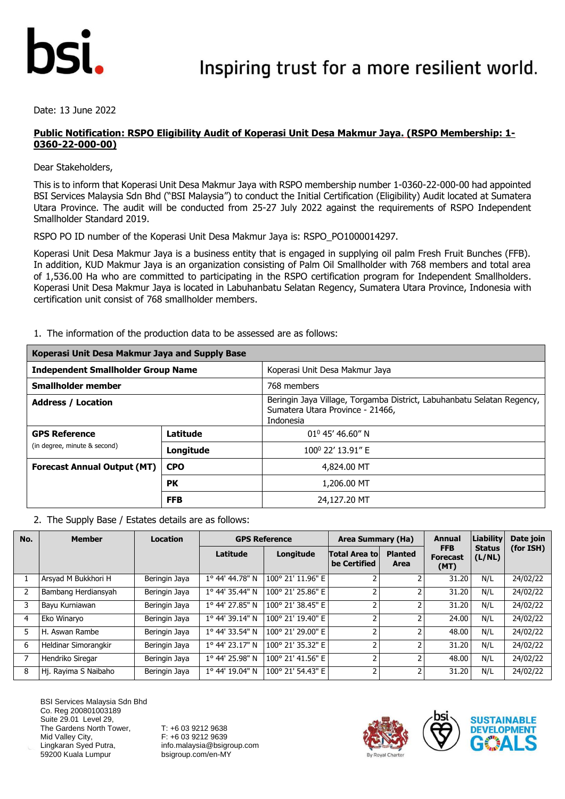

Date: 13 June 2022

#### **Public Notification: RSPO Eligibility Audit of Koperasi Unit Desa Makmur Jaya. (RSPO Membership: 1- 0360-22-000-00)**

Dear Stakeholders,

This is to inform that Koperasi Unit Desa Makmur Jaya with RSPO membership number 1-0360-22-000-00 had appointed BSI Services Malaysia Sdn Bhd ("BSI Malaysia") to conduct the Initial Certification (Eligibility) Audit located at Sumatera Utara Province. The audit will be conducted from 25-27 July 2022 against the requirements of RSPO Independent Smallholder Standard 2019.

RSPO PO ID number of the Koperasi Unit Desa Makmur Jaya is: RSPO\_PO1000014297.

Koperasi Unit Desa Makmur Jaya is a business entity that is engaged in supplying oil palm Fresh Fruit Bunches (FFB). In addition, KUD Makmur Jaya is an organization consisting of Palm Oil Smallholder with 768 members and total area of 1,536.00 Ha who are committed to participating in the RSPO certification program for Independent Smallholders. Koperasi Unit Desa Makmur Jaya is located in Labuhanbatu Selatan Regency, Sumatera Utara Province, Indonesia with certification unit consist of 768 smallholder members.

|  |  |  |  |  | 1. The information of the production data to be assessed are as follows: |
|--|--|--|--|--|--------------------------------------------------------------------------|
|--|--|--|--|--|--------------------------------------------------------------------------|

| Koperasi Unit Desa Makmur Jaya and Supply Base |            |                                                                                                                         |  |  |  |
|------------------------------------------------|------------|-------------------------------------------------------------------------------------------------------------------------|--|--|--|
| <b>Independent Smallholder Group Name</b>      |            | Koperasi Unit Desa Makmur Jaya                                                                                          |  |  |  |
| <b>Smallholder member</b>                      |            | 768 members                                                                                                             |  |  |  |
| <b>Address / Location</b>                      |            | Beringin Jaya Village, Torgamba District, Labuhanbatu Selatan Regency,<br>Sumatera Utara Province - 21466,<br>Indonesia |  |  |  |
| <b>GPS Reference</b>                           | Latitude   | $01^0$ 45' 46.60" N                                                                                                     |  |  |  |
| (in degree, minute & second)                   | Longitude  | 100 <sup>0</sup> 22' 13.91" E                                                                                           |  |  |  |
| <b>Forecast Annual Output (MT)</b>             | <b>CPO</b> | 4,824,00 MT                                                                                                             |  |  |  |
|                                                | <b>PK</b>  | 1,206.00 MT                                                                                                             |  |  |  |
|                                                | <b>FFB</b> | 24,127.20 MT                                                                                                            |  |  |  |

2. The Supply Base / Estates details are as follows:

| No.            | <b>Member</b>        | <b>Location</b> |                 | <b>GPS Reference</b> | Area Summary (Ha)                    |                        | <b>Annual</b>                         | Liability               | Date join |
|----------------|----------------------|-----------------|-----------------|----------------------|--------------------------------------|------------------------|---------------------------------------|-------------------------|-----------|
|                |                      |                 | Latitude        | Longitude            | <b>Total Area to</b><br>be Certified | <b>Planted</b><br>Area | <b>FFB</b><br><b>Forecast</b><br>(MT) | <b>Status</b><br>(L/NL) | (for ISH) |
|                | Arsyad M Bukkhori H  | Beringin Jaya   | 1° 44' 44.78" N | 100° 21' 11.96" E    |                                      |                        | 31.20                                 | N/L                     | 24/02/22  |
| $\overline{2}$ | Bambang Herdiansyah  | Beringin Jaya   | 1° 44' 35.44" N | 100° 21' 25.86" E    | 2                                    |                        | 31.20                                 | N/L                     | 24/02/22  |
| 3              | Bayu Kurniawan       | Beringin Jaya   | 1° 44' 27.85" N | 100° 21' 38.45" E    | 2                                    |                        | 31.20                                 | N/L                     | 24/02/22  |
| 4              | Eko Winaryo          | Beringin Jaya   | 1° 44' 39.14" N | 100° 21' 19.40" E    | 2                                    |                        | 24.00                                 | N/L                     | 24/02/22  |
| 5              | H. Aswan Rambe       | Beringin Jaya   | 1° 44' 33.54" N | 100° 21' 29.00" E    | $\overline{2}$                       |                        | 48.00                                 | N/L                     | 24/02/22  |
| 6              | Heldinar Simorangkir | Beringin Jaya   | 1° 44' 23.17" N | 100° 21' 35.32" E    | 2                                    |                        | 31.20                                 | N/L                     | 24/02/22  |
|                | Hendriko Siregar     | Beringin Jaya   | 1° 44' 25.98" N | 100° 21' 41.56" E    | 2                                    |                        | 48.00                                 | N/L                     | 24/02/22  |
| 8              | Hj. Rayima S Naibaho | Beringin Jaya   | 1° 44' 19.04" N | 100° 21' 54.43" E    | 2                                    |                        | 31.20                                 | N/L                     | 24/02/22  |

BSI Services Malaysia Sdn Bhd Co. Reg 200801003189 Suite 29.01 Level 29, The Gardens North Tower, Mid Valley City, Lingkaran Syed Putra, 59200 Kuala Lumpur



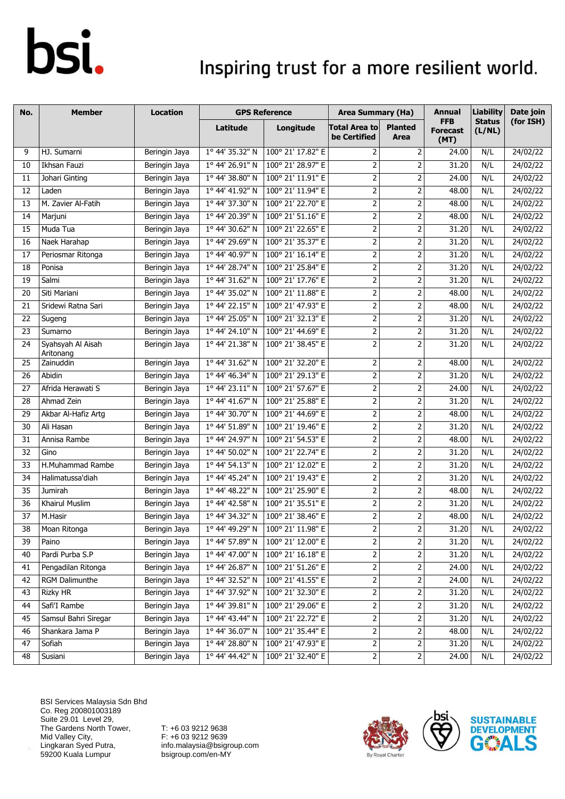### Inspiring trust for a more resilient world.

| No.             | <b>Member</b>                  | Location      |                          | <b>GPS Reference</b>              | <b>Area Summary (Ha)</b>             |                         | <b>Annual</b>                         | <b>Liability</b>        | Date join |
|-----------------|--------------------------------|---------------|--------------------------|-----------------------------------|--------------------------------------|-------------------------|---------------------------------------|-------------------------|-----------|
|                 |                                |               | Latitude                 | Longitude                         | <b>Total Area to</b><br>be Certified | <b>Planted</b><br>Area  | <b>FFB</b><br><b>Forecast</b><br>(MT) | <b>Status</b><br>(L/NL) | (for ISH) |
| 9               | HJ. Sumarni                    | Beringin Jaya | 1° 44' 35.32" N          | 100° 21' 17.82" E                 | 2                                    | 2                       | 24.00                                 | N/L                     | 24/02/22  |
| 10              | Ikhsan Fauzi                   | Beringin Jaya | 1° 44' 26.91" N          | 100° 21' 28.97" E                 | $\mathbf 2$                          | $\mathbf 2$             | 31.20                                 | N/L                     | 24/02/22  |
| 11              | Johari Ginting                 | Beringin Jaya | 1° 44' 38.80" N          | 100° 21' 11.91" E                 | $\overline{2}$                       | $\overline{2}$          | 24.00                                 | N/L                     | 24/02/22  |
| 12              | Laden                          | Beringin Jaya | 1° 44' 41.92" N          | 100° 21' 11.94" E                 | $\overline{2}$                       | $\mathbf 2$             | 48.00                                 | N/L                     | 24/02/22  |
| 13              | M. Zavier Al-Fatih             | Beringin Jaya | 1° 44' 37.30" N          | 100° 21' 22.70" E                 | $\overline{2}$                       | $\mathbf 2$             | 48.00                                 | N/L                     | 24/02/22  |
| 14              | Marjuni                        | Beringin Jaya | 1º 44' 20.39" N          | 100° 21' 51.16" E                 | $\overline{2}$                       | $\mathbf 2$             | 48.00                                 | N/L                     | 24/02/22  |
| 15              | Muda Tua                       | Beringin Jaya | 1° 44' 30.62" N          | 100° 21' 22.65" E                 | $\overline{2}$                       | 2                       | 31.20                                 | N/L                     | 24/02/22  |
| 16              | Naek Harahap                   | Beringin Jaya | 1° 44' 29.69" N          | 100° 21' 35.37" E                 | $\overline{2}$                       | $\mathbf 2$             | 31.20                                 | N/L                     | 24/02/22  |
| 17              | Periosmar Ritonga              | Beringin Jaya | 1° 44' 40.97" N          | 100° 21' 16.14" E                 | $\overline{2}$                       | $\mathbf 2$             | 31.20                                 | N/L                     | 24/02/22  |
| 18              | Ponisa                         | Beringin Jaya | 1° 44' 28.74" N          | 100° 21' 25.84" E                 | $\overline{2}$                       | $\mathbf 2$             | 31.20                                 | N/L                     | 24/02/22  |
| 19              | Salmi                          | Beringin Jaya | 1° 44' 31.62" N          | 100° 21' 17.76" E                 | $\overline{2}$                       | $\mathbf 2$             | 31.20                                 | N/L                     | 24/02/22  |
| 20              | Siti Mariani                   | Beringin Jaya | 1° 44' 35.02" N          | 100° 21' 11.88" E                 | $\overline{2}$                       | $\mathbf 2$             | 48.00                                 | N/L                     | 24/02/22  |
| 21              | Sridewi Ratna Sari             | Beringin Jaya | 1º 44' 22.15" N          | 100° 21' 47.93" E                 | $\overline{2}$                       | $\mathbf 2$             | 48.00                                 | N/L                     | 24/02/22  |
| 22              | Sugeng                         | Beringin Jaya | 1° 44' 25.05" N          | 100° 21' 32.13" E                 | $\overline{2}$                       | $\mathbf 2$             | 31.20                                 | N/L                     | 24/02/22  |
| 23              | Sumarno                        | Beringin Jaya | 1° 44' 24.10" N          | 100° 21' 44.69" E                 | $\overline{2}$                       | $\mathbf 2$             | 31.20                                 | N/L                     | 24/02/22  |
| 24              | Syahsyah Al Aisah<br>Aritonang | Beringin Jaya | 1º 44' 21.38" N          | 100° 21' 38.45" E                 | $\overline{2}$                       | $\overline{2}$          | 31.20                                 | N/L                     | 24/02/22  |
| 25              | Zainuddin                      | Beringin Jaya | 1° 44' 31.62" N          | 100° 21' 32.20" E                 | $\overline{2}$                       | $\mathbf 2$             | 48.00                                 | N/L                     | 24/02/22  |
| 26              | Abidin                         | Beringin Jaya | 1° 44' 46.34" N          | 100° 21' 29.13" E                 | $\overline{2}$                       | $\mathbf 2$             | 31.20                                 | N/L                     | 24/02/22  |
| 27              | Afrida Herawati S              | Beringin Jaya | 1° 44' 23.11" N          | 100° 21' 57.67" E                 | $\overline{2}$                       | $\mathbf 2$             | 24.00                                 | N/L                     | 24/02/22  |
| 28              | Ahmad Zein                     | Beringin Jaya | 1° 44' 41.67" N          | 100° 21' 25.88" E                 | $\overline{2}$                       | $\mathbf 2$             | 31.20                                 | N/L                     | 24/02/22  |
| 29              | Akbar Al-Hafiz Artg            | Beringin Jaya | 1° 44' 30.70" N          | 100° 21' 44.69" E                 | $\overline{2}$                       | $\mathbf 2$             | 48.00                                 | N/L                     | 24/02/22  |
| 30              | Ali Hasan                      | Beringin Jaya | 1° 44' 51.89" N          | 100° 21' 19.46" E                 | $\overline{2}$                       | $\mathbf 2$             | 31.20                                 | N/L                     | 24/02/22  |
| 31              | Annisa Rambe                   | Beringin Jaya | 1° 44' 24.97" N          | 100° 21' 54.53" E                 | $\overline{2}$                       | $\overline{2}$          | 48.00                                 | N/L                     | 24/02/22  |
| 32              | Gino                           | Beringin Jaya | $1^{\circ}$ 44' 50.02" N | 100° 21' 22.74" E                 | $\overline{2}$                       | $\mathbf 2$             | 31.20                                 | N/L                     | 24/02/22  |
| 33              | H.Muhammad Rambe               | Beringin Jaya | 1° 44' 54.13" N          | 100° 21' 12.02" E                 | $\overline{2}$                       | $\overline{2}$          | 31.20                                 | N/L                     | 24/02/22  |
| 34              | Halimatussa'diah               | Beringin Jaya | 1° 44' 45.24" N          | 100° 21' 19.43" E                 | $\mathbf 2$                          | $\mathbf 2$             | 31.20                                 | N/L                     | 24/02/22  |
| 35              | Jumirah                        | Beringin Jaya | 1º 44' 48.22" N          | 100° 21' 25.90" E                 | $\overline{2}$                       | $\mathbf 2$             | 48.00                                 | N/L                     | 24/02/22  |
| 36              | Khairul Muslim                 | Beringin Jaya | 1º 44' 42.58" N          | 100° 21' 35.51" E                 | $\overline{2}$                       | $\mathbf 2$             | 31.20                                 | N/L                     | 24/02/22  |
| 37              | M.Hasir                        | Beringin Jaya | 1º 44' 34.32" N          | 100° 21' 38.46" E                 | $\overline{2}$                       | $\overline{2}$          | 48.00                                 | N/L                     | 24/02/22  |
| $\overline{38}$ | Moan Ritonga                   | Beringin Jaya |                          | 1º 44' 49.29" N 100° 21' 11.98" E | $\overline{2}$                       | $\overline{2}$          | 31.20                                 | N/L                     | 24/02/22  |
| 39              | Paino                          | Beringin Jaya | 1° 44' 57.89" N          | 100° 21' 12.00" E                 | $\overline{2}$                       | $\overline{2}$          | 31.20                                 | N/L                     | 24/02/22  |
| 40              | Pardi Purba S.P                | Beringin Jaya | 1° 44' 47.00" N          | 100° 21' 16.18" E                 | $\overline{c}$                       | 2                       | 31.20                                 | N/L                     | 24/02/22  |
| 41              | Pengadilan Ritonga             | Beringin Jaya | 1° 44' 26.87" N          | 100° 21' 51.26" E                 | $\mathbf 2$                          | $\mathbf 2$             | 24.00                                 | N/L                     | 24/02/22  |
| 42              | RGM Dalimunthe                 | Beringin Jaya | 1° 44' 32.52" N          | 100° 21' 41.55" E                 | $\mathbf{2}$                         | $\mathsf{2}\,$          | 24.00                                 | N/L                     | 24/02/22  |
| 43              | Rizky HR                       | Beringin Jaya | 1° 44' 37.92" N          | 100° 21' 32.30" E                 | $\mathbf 2$                          | $\overline{\mathbf{c}}$ | 31.20                                 | N/L                     | 24/02/22  |
| 44              | Safi'I Rambe                   | Beringin Jaya | 1° 44' 39.81" N          | 100° 21' 29.06" E                 | $\overline{c}$                       | $\mathbf 2$             | 31.20                                 | N/L                     | 24/02/22  |
| 45              | Samsul Bahri Siregar           | Beringin Jaya | 1° 44' 43.44" N          | 100° 21' 22.72" E                 | 2                                    | $\mathbf 2$             | 31.20                                 | N/L                     | 24/02/22  |
| 46              | Shankara Jama P                | Beringin Jaya | 1° 44' 36.07" N          | 100° 21' 35.44" E                 | $\mathbf{2}$                         | $\mathsf{2}$            | 48.00                                 | N/L                     | 24/02/22  |
| 47              | Sofiah                         | Beringin Jaya | 1° 44' 28.80" N          | 100° 21' 47.93" E                 | $\overline{2}$                       | $\overline{c}$          | 31.20                                 | N/L                     | 24/02/22  |
| 48              | Susiani                        | Beringin Jaya | 1° 44' 44.42" N          | 100° 21' 32.40" E                 | $\mathbf{2}$                         | $\mathbf 2$             | 24.00                                 | N/L                     | 24/02/22  |



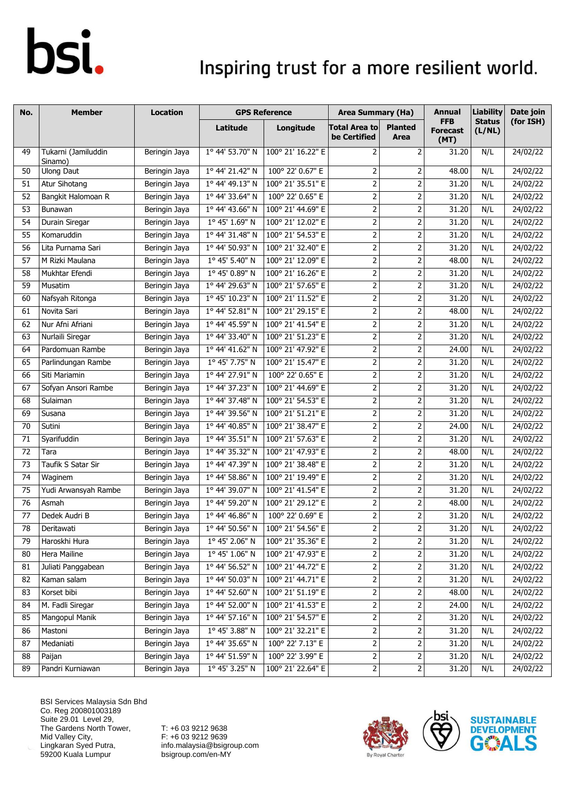### Inspiring trust for a more resilient world.

| No. | <b>Member</b>                  | Location      |                 | <b>GPS Reference</b>              | <b>Area Summary (Ha)</b>             |                         | <b>Annual</b>                         | <b>Liability</b>        | Date join |
|-----|--------------------------------|---------------|-----------------|-----------------------------------|--------------------------------------|-------------------------|---------------------------------------|-------------------------|-----------|
|     |                                |               | Latitude        | Longitude                         | <b>Total Area to</b><br>be Certified | <b>Planted</b><br>Area  | <b>FFB</b><br><b>Forecast</b><br>(MT) | <b>Status</b><br>(L/NL) | (for ISH) |
| 49  | Tukarni (Jamiluddin<br>Sinamo) | Beringin Jaya | 1° 44' 53.70" N | 100° 21' 16.22" E                 | $\overline{2}$                       | $\overline{2}$          | 31.20                                 | N/L                     | 24/02/22  |
| 50  | <b>Ulong Daut</b>              | Beringin Jaya | 1° 44' 21.42" N | 100° 22' 0.67" E                  | 2                                    | 2                       | 48.00                                 | N/L                     | 24/02/22  |
| 51  | <b>Atur Sihotang</b>           | Beringin Jaya | 1° 44' 49.13" N | 100° 21' 35.51" E                 | $\overline{2}$                       | $\mathbf 2$             | 31.20                                 | N/L                     | 24/02/22  |
| 52  | Bangkit Halomoan R             | Beringin Jaya | 1° 44' 33.64" N | 100° 22' 0.65" E                  | $\overline{2}$                       | $\mathbf 2$             | 31.20                                 | N/L                     | 24/02/22  |
| 53  | Bunawan                        | Beringin Jaya | 1° 44' 43.66" N | 100° 21' 44.69" E                 | $\overline{2}$                       | $\overline{2}$          | 31.20                                 | N/L                     | 24/02/22  |
| 54  | Durain Siregar                 | Beringin Jaya | 1° 45' 1.69" N  | 100° 21' 12.02" E                 | $\mathbf 2$                          | $\mathbf 2$             | 31.20                                 | N/L                     | 24/02/22  |
| 55  | Komaruddin                     | Beringin Jaya | 1° 44' 31.48" N | 100° 21' 54.53" E                 | $\overline{2}$                       | $\mathbf 2$             | 31.20                                 | N/L                     | 24/02/22  |
| 56  | Lita Purnama Sari              | Beringin Jaya | 1° 44' 50.93" N | 100° 21' 32.40" E                 | $\overline{2}$                       | $\mathbf 2$             | 31.20                                 | N/L                     | 24/02/22  |
| 57  | M Rizki Maulana                | Beringin Jaya | 1° 45' 5.40" N  | 100° 21' 12.09" E                 | $\overline{2}$                       | $\mathbf 2$             | 48.00                                 | N/L                     | 24/02/22  |
| 58  | Mukhtar Efendi                 | Beringin Jaya | 1° 45' 0.89" N  | 100° 21' 16.26" E                 | $\overline{2}$                       | $\mathbf 2$             | 31.20                                 | N/L                     | 24/02/22  |
| 59  | Musatim                        | Beringin Jaya | 1° 44' 29.63" N | 100° 21' 57.65" E                 | $\overline{2}$                       | 2                       | 31.20                                 | N/L                     | 24/02/22  |
| 60  | Nafsyah Ritonga                | Beringin Jaya | 1° 45' 10.23" N | 100° 21' 11.52" E                 | $\overline{2}$                       | $\overline{2}$          | 31.20                                 | N/L                     | 24/02/22  |
| 61  | Novita Sari                    | Beringin Jaya | 1° 44' 52.81" N | 100° 21' 29.15" E                 | $\overline{2}$                       | $\overline{2}$          | 48.00                                 | N/L                     | 24/02/22  |
| 62  | Nur Afni Afriani               | Beringin Jaya | 1° 44' 45.59" N | 100° 21' 41.54" E                 | $\overline{2}$                       | $\mathbf 2$             | 31.20                                 | N/L                     | 24/02/22  |
| 63  | Nurlaili Siregar               | Beringin Jaya | 1° 44' 33.40" N | 100° 21' 51.23" E                 | $\overline{2}$                       | $\overline{2}$          | 31.20                                 | N/L                     | 24/02/22  |
| 64  | Pardomuan Rambe                | Beringin Jaya | 1° 44' 41.62" N | 100° 21' 47.92" E                 | $\overline{2}$                       | $\overline{2}$          | 24.00                                 | N/L                     | 24/02/22  |
| 65  | Parlindungan Rambe             | Beringin Jaya | 1° 45' 7.75" N  | 100° 21' 15.47" E                 | $\overline{2}$                       | $\overline{2}$          | 31.20                                 | N/L                     | 24/02/22  |
| 66  | Siti Mariamin                  | Beringin Jaya | 1º 44' 27.91" N | 100° 22' 0.65" E                  | $\overline{2}$                       | $\overline{2}$          | 31.20                                 | N/L                     | 24/02/22  |
| 67  | Sofyan Ansori Rambe            | Beringin Jaya | 1° 44' 37.23" N | 100° 21' 44.69" E                 | $\overline{2}$                       | $\overline{2}$          | 31.20                                 | N/L                     | 24/02/22  |
| 68  | Sulaiman                       | Beringin Jaya | 1° 44' 37.48" N | 100° 21' 54.53" E                 | $\overline{2}$                       | 2                       | 31.20                                 | N/L                     | 24/02/22  |
| 69  | Susana                         | Beringin Jaya | 1° 44' 39.56" N | 100° 21' 51.21" E                 | $\overline{2}$                       | $\overline{2}$          | 31.20                                 | N/L                     | 24/02/22  |
| 70  | Sutini                         | Beringin Jaya | 1° 44' 40.85" N | 100° 21' 38.47" E                 | $\mathbf 2$                          | $\mathbf 2$             | 24.00                                 | N/L                     | 24/02/22  |
| 71  | Syarifuddin                    | Beringin Jaya | 1° 44' 35.51" N | 100° 21' 57.63" E                 | $\overline{2}$                       | $\mathbf 2$             | 31.20                                 | N/L                     | 24/02/22  |
| 72  | Tara                           | Beringin Jaya | 1° 44' 35.32" N | 100° 21' 47.93" E                 | $\overline{2}$                       | 2                       | 48.00                                 | N/L                     | 24/02/22  |
| 73  | Taufik S Satar Sir             | Beringin Jaya | 1° 44' 47.39" N | 100° 21' 38.48" E                 | $\overline{2}$                       | 2                       | 31.20                                 | N/L                     | 24/02/22  |
| 74  | Waginem                        | Beringin Jaya | 1° 44' 58.86" N | 100° 21' 19.49" E                 | $\overline{2}$                       | $\mathbf 2$             | 31.20                                 | N/L                     | 24/02/22  |
| 75  | Yudi Arwansyah Rambe           | Beringin Jaya | 1° 44' 39.07" N | 100° 21' 41.54" E                 | $\overline{2}$                       | 2                       | 31.20                                 | N/L                     | 24/02/22  |
| 76  | Asmah                          | Beringin Jaya | 1º 44' 59.20" N | 100° 21' 29.12" E                 | $\overline{2}$                       | 2                       | 48.00                                 | N/L                     | 24/02/22  |
| 77  | Dedek Audri B                  | Beringin Jaya | 1° 44' 46.86" N | 100° 22' 0.69" E                  | 2                                    | 2                       | 31.20                                 | N/L                     | 24/02/22  |
| 78  | Deritawati                     | Beringin Jaya |                 | 1º 44' 50.56" N 100° 21' 54.56" E | $\overline{2}$                       | $\overline{2}$          | 31.20                                 | N/L                     | 24/02/22  |
| 79  | Haroskhi Hura                  | Beringin Jaya | 1° 45' 2.06" N  | 100° 21' 35.36" E                 | $\mathbf{2}$                         | $\overline{2}$          | 31.20                                 | N/L                     | 24/02/22  |
| 80  | Hera Mailine                   | Beringin Jaya | 1° 45' 1.06" N  | 100° 21' 47.93" E                 | $\overline{2}$                       | $\overline{\mathbf{c}}$ | 31.20                                 | N/L                     | 24/02/22  |
| 81  | Juliati Panggabean             | Beringin Jaya | 1° 44' 56.52" N | 100° 21' 44.72" E                 | $\mathbf{2}$                         | $\mathbf 2$             | 31.20                                 | N/L                     | 24/02/22  |
| 82  | Kaman salam                    | Beringin Jaya | 1° 44' 50.03" N | 100° 21' 44.71" E                 | $\mathbf{2}$                         | $\mathsf{2}$            | 31.20                                 | N/L                     | 24/02/22  |
| 83  | Korset bibi                    | Beringin Jaya | 1° 44' 52.60" N | 100° 21' 51.19" E                 | $\mathsf{2}$                         | 2                       | 48.00                                 | N/L                     | 24/02/22  |
| 84  | M. Fadli Siregar               | Beringin Jaya | 1° 44' 52.00" N | 100° 21' 41.53" E                 | $\overline{2}$                       | 2                       | 24.00                                 | N/L                     | 24/02/22  |
| 85  | Mangopul Manik                 | Beringin Jaya | 1° 44' 57.16" N | 100° 21' 54.57" E                 | $\overline{2}$                       | $\mathbf 2$             | 31.20                                 | N/L                     | 24/02/22  |
| 86  | Mastoni                        | Beringin Jaya | 1° 45' 3.88" N  | 100° 21' 32.21" E                 | $\mathbf{2}$                         | $\mathsf{2}$            | 31.20                                 | N/L                     | 24/02/22  |
| 87  | Medaniati                      | Beringin Jaya | 1° 44' 35.65" N | 100° 22' 7.13" E                  | $\mathbf{2}$                         | $\overline{\mathbf{c}}$ | 31.20                                 | N/L                     | 24/02/22  |
| 88  | Paijan                         | Beringin Jaya | 1° 44' 51.59" N | 100° 22' 3.99" E                  | $\overline{2}$                       | $\overline{\mathbf{c}}$ | 31.20                                 | N/L                     | 24/02/22  |
| 89  | Pandri Kurniawan               | Beringin Jaya | 1° 45' 3.25" N  | 100° 21' 22.64" E                 | $\overline{2}$                       | $\overline{\mathbf{c}}$ | 31.20                                 | N/L                     | 24/02/22  |

BSI Services Malaysia Sdn Bhd Co. Reg 200801003189 Suite 29.01 Level 29, The Gardens North Tower, Mid Valley City, Lingkaran Syed Putra, 59200 Kuala Lumpur



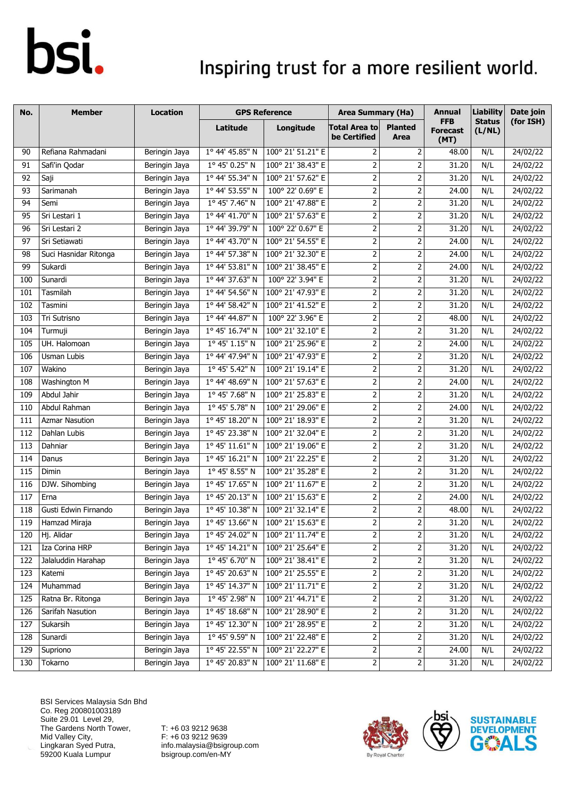### Inspiring trust for a more resilient world.

| No.             | <b>Member</b>         | <b>Location</b> |                         | <b>GPS Reference</b> | <b>Area Summary (Ha)</b>             |                        | <b>Annual</b>                         | <b>Liability</b>        | Date join |
|-----------------|-----------------------|-----------------|-------------------------|----------------------|--------------------------------------|------------------------|---------------------------------------|-------------------------|-----------|
|                 |                       |                 | Latitude                | Longitude            | <b>Total Area to</b><br>be Certified | <b>Planted</b><br>Area | <b>FFB</b><br><b>Forecast</b><br>(MT) | <b>Status</b><br>(L/NL) | (for ISH) |
| 90              | Refiana Rahmadani     | Beringin Jaya   | 1° 44' 45.85" N         | 100° 21' 51.21" E    | 2                                    | 2                      | 48.00                                 | N/L                     | 24/02/22  |
| 91              | Safi'in Qodar         | Beringin Jaya   | $1^{\circ}$ 45' 0.25" N | 100° 21' 38.43" E    | $\overline{2}$                       | $\overline{2}$         | 31.20                                 | N/L                     | 24/02/22  |
| 92              | Saji                  | Beringin Jaya   | 1° 44' 55.34" N         | 100° 21' 57.62" E    | $\overline{2}$                       | $\mathbf 2$            | 31.20                                 | N/L                     | 24/02/22  |
| 93              | Sarimanah             | Beringin Jaya   | 1° 44' 53.55" N         | 100° 22' 0.69" E     | $\overline{2}$                       | 2                      | 24.00                                 | N/L                     | 24/02/22  |
| $\overline{94}$ | Semi                  | Beringin Jaya   | 1° 45' 7.46" N          | 100° 21' 47.88" E    | $\overline{2}$                       | 2                      | 31.20                                 | N/L                     | 24/02/22  |
| 95              | Sri Lestari 1         | Beringin Jaya   | 1° 44' 41.70" N         | 100° 21' 57.63" E    | $\mathbf 2$                          | 2                      | 31.20                                 | N/L                     | 24/02/22  |
| 96              | Sri Lestari 2         | Beringin Jaya   | 1° 44' 39.79" N         | 100° 22' 0.67" E     | $\overline{2}$                       | $\mathbf 2$            | 31.20                                 | N/L                     | 24/02/22  |
| 97              | Sri Setiawati         | Beringin Jaya   | 1° 44' 43.70" N         | 100° 21' 54.55" E    | $\mathbf 2$                          | $\mathbf 2$            | 24.00                                 | N/L                     | 24/02/22  |
| 98              | Suci Hasnidar Ritonga | Beringin Jaya   | 1° 44' 57.38" N         | 100° 21' 32.30" E    | $\mathbf 2$                          | 2                      | 24.00                                 | N/L                     | 24/02/22  |
| 99              | Sukardi               | Beringin Jaya   | 1° 44' 53.81" N         | 100° 21' 38.45" E    | $\mathbf 2$                          | $\mathbf 2$            | 24.00                                 | N/L                     | 24/02/22  |
| 100             | Sunardi               | Beringin Jaya   | 1° 44' 37.63" N         | 100° 22' 3.94" E     | $\mathbf 2$                          | $\mathbf 2$            | 31.20                                 | N/L                     | 24/02/22  |
| 101             | Tasmilah              | Beringin Jaya   | 1º 44' 54.56" N         | 100° 21' 47.93" E    | $\overline{2}$                       | 2                      | 31.20                                 | N/L                     | 24/02/22  |
| 102             | Tasmini               | Beringin Jaya   | 1° 44' 58.42" N         | 100° 21' 41.52" E    | $\overline{2}$                       | 2                      | 31.20                                 | N/L                     | 24/02/22  |
| 103             | Tri Sutrisno          | Beringin Jaya   | 1° 44' 44.87" N         | 100° 22' 3.96" E     | $\overline{2}$                       | $\overline{2}$         | 48.00                                 | N/L                     | 24/02/22  |
| 104             | Turmuji               | Beringin Jaya   | 1° 45' 16.74" N         | 100° 21' 32.10" E    | $\mathbf 2$                          | $\mathbf 2$            | 31.20                                 | N/L                     | 24/02/22  |
| 105             | UH. Halomoan          | Beringin Jaya   | 1° 45' 1.15" N          | 100° 21' 25.96" E    | $\overline{2}$                       | 2                      | 24.00                                 | N/L                     | 24/02/22  |
| 106             | Usman Lubis           | Beringin Jaya   | 1° 44' 47.94" N         | 100° 21' 47.93" E    | $\overline{2}$                       | $\mathbf 2$            | 31.20                                 | N/L                     | 24/02/22  |
| 107             | Wakino                | Beringin Jaya   | 1° 45' 5.42" N          | 100° 21' 19.14" E    | $\overline{2}$                       | $\mathbf 2$            | 31.20                                 | N/L                     | 24/02/22  |
| 108             | Washington M          | Beringin Jaya   | 1° 44' 48.69" N         | 100° 21' 57.63" E    | $\overline{2}$                       | $\overline{2}$         | 24.00                                 | N/L                     | 24/02/22  |
| 109             | Abdul Jahir           | Beringin Jaya   | 1° 45' 7.68" N          | 100° 21' 25.83" E    | $\mathbf 2$                          | 2                      | 31.20                                 | N/L                     | 24/02/22  |
| 110             | Abdul Rahman          | Beringin Jaya   | 1° 45' 5.78" N          | 100° 21' 29.06" E    | $\overline{2}$                       | $\overline{2}$         | 24.00                                 | N/L                     | 24/02/22  |
| 111             | <b>Azmar Nasution</b> | Beringin Jaya   | 1° 45' 18.20" N         | 100° 21' 18.93" E    | $\overline{2}$                       | 2                      | 31.20                                 | N/L                     | 24/02/22  |
| 112             | Dahlan Lubis          | Beringin Jaya   | 1° 45' 23.38" N         | 100° 21' 32.04" E    | $\mathbf 2$                          | 2                      | 31.20                                 | N/L                     | 24/02/22  |
| 113             | Dahniar               | Beringin Jaya   | 1° 45' 11.61" N         | 100° 21' 19.06" E    | $\mathbf 2$                          | 2                      | 31.20                                 | N/L                     | 24/02/22  |
| 114             | Danus                 | Beringin Jaya   | 1° 45' 16.21" N         | 100° 21' 22.25" E    | $\mathbf{2}$                         | $\mathbf 2$            | 31.20                                 | N/L                     | 24/02/22  |
| 115             | Dimin                 | Beringin Jaya   | 1° 45' 8.55" N          | 100° 21' 35.28" E    | $\mathbf 2$                          | 2                      | 31.20                                 | N/L                     | 24/02/22  |
| 116             | DJW. Sihombing        | Beringin Jaya   | 1° 45' 17.65" N         | 100° 21' 11.67" E    | $\overline{2}$                       | 2                      | 31.20                                 | N/L                     | 24/02/22  |
| 117             | Erna                  | Beringin Jaya   | 1° 45' 20.13" N         | 100° 21' 15.63" E    | $\mathbf 2$                          | 2                      | 24.00                                 | N/L                     | 24/02/22  |
| 118             | Gusti Edwin Firnando  | Beringin Jaya   | 1° 45' 10.38" N         | 100° 21' 32.14" E    | $\mathbf{2}$                         | 2                      | 48.00                                 | N/L                     | 24/02/22  |
| 119             | Hamzad Miraja         | Beringin Jaya   | 1° 45' 13.66" N         | 100° 21' 15.63" E    | 2                                    | 2                      | 31.20                                 | N/L                     | 24/02/22  |
| 120             | Hj. Alidar            | Beringin Jaya   | 1° 45' 24.02" N         | 100° 21' 11.74" E    | 2                                    | 2                      | 31.20                                 | N/L                     | 24/02/22  |
| 121             | Iza Corina HRP        | Beringin Jaya   | 1° 45' 14.21" N         | 100° 21' 25.64" E    | $\overline{2}$                       | $\mathsf{2}$           | 31.20                                 | N/L                     | 24/02/22  |
| 122             | Jalaluddin Harahap    | Beringin Jaya   | 1° 45' 6.70" N          | 100° 21' 38.41" E    | $\mathbf{2}$                         | 2                      | 31.20                                 | N/L                     | 24/02/22  |
| 123             | Katemi                | Beringin Jaya   | 1° 45' 20.63" N         | 100° 21' 25.55" E    | $\mathbf 2$                          | 2                      | 31.20                                 | N/L                     | 24/02/22  |
| 124             | Muhammad              | Beringin Jaya   | 1° 45' 14.37" N         | 100° 21' 11.71" E    | $\mathbf{2}$                         | 2                      | 31.20                                 | N/L                     | 24/02/22  |
| 125             | Ratna Br. Ritonga     | Beringin Jaya   | 1° 45' 2.98" N          | 100° 21' 44.71" E    | $\overline{2}$                       | $\mathsf{2}$           | 31.20                                 | N/L                     | 24/02/22  |
| 126             | Sarifah Nasution      | Beringin Jaya   | 1° 45' 18.68" N         | 100° 21' 28.90" E    | $\mathbf{2}$                         | 2                      | 31.20                                 | N/L                     | 24/02/22  |
| 127             | Sukarsih              | Beringin Jaya   | 1° 45' 12.30" N         | 100° 21' 28.95" E    | $\overline{2}$                       | $\mathsf{2}$           | 31.20                                 | N/L                     | 24/02/22  |
| 128             | Sunardi               | Beringin Jaya   | 1° 45' 9.59" N          | 100° 21' 22.48" E    | $\mathsf{2}$                         | 2                      | 31.20                                 | N/L                     | 24/02/22  |
| 129             | Supriono              | Beringin Jaya   | 1° 45' 22.55" N         | 100° 21' 22.27" E    | $\overline{2}$                       | $\overline{c}$         | 24.00                                 | N/L                     | 24/02/22  |
| 130             | Tokarno               | Beringin Jaya   | 1° 45' 20.83" N         | 100° 21' 11.68" E    | $\mathbf{2}$                         | 2                      | 31.20                                 | N/L                     | 24/02/22  |

BSI Services Malaysia Sdn Bhd Co. Reg 200801003189 Suite 29.01 Level 29, The Gardens North Tower, Mid Valley City, Lingkaran Syed Putra, 59200 Kuala Lumpur



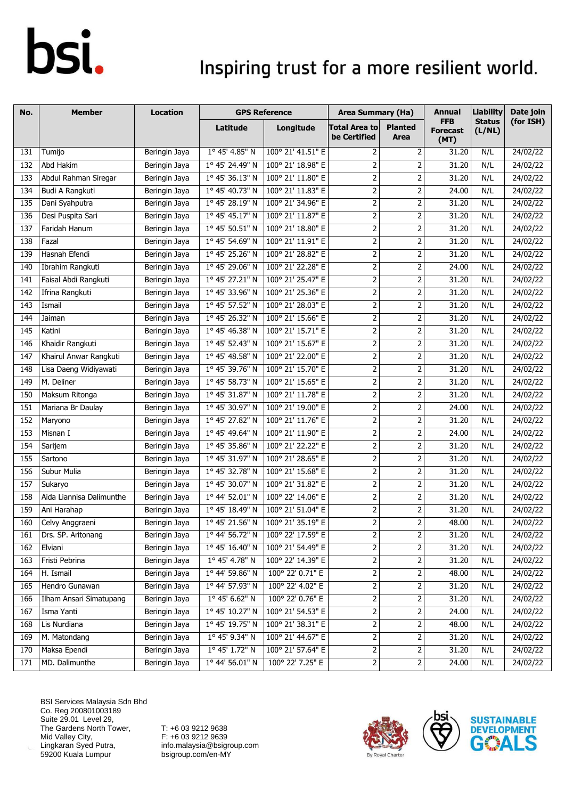### Inspiring trust for a more resilient world.

| No.               | <b>Member</b>            | <b>Location</b> |                          | <b>GPS Reference</b> | <b>Area Summary (Ha)</b>             |                         | <b>Annual</b>                         | <b>Liability</b>        | Date join |
|-------------------|--------------------------|-----------------|--------------------------|----------------------|--------------------------------------|-------------------------|---------------------------------------|-------------------------|-----------|
|                   |                          |                 | Latitude                 | Longitude            | <b>Total Area to</b><br>be Certified | <b>Planted</b><br>Area  | <b>FFB</b><br><b>Forecast</b><br>(MT) | <b>Status</b><br>(L/NL) | (for ISH) |
| 131               | Tumijo                   | Beringin Jaya   | 1° 45' 4.85" N           | 100° 21' 41.51" E    | 2                                    | 2                       | 31.20                                 | N/L                     | 24/02/22  |
| 132               | Abd Hakim                | Beringin Jaya   | 1° 45' 24.49" N          | 100° 21' 18.98" E    | $\mathbf 2$                          | $\mathbf 2$             | 31.20                                 | N/L                     | 24/02/22  |
| 133               | Abdul Rahman Siregar     | Beringin Jaya   | 1° 45' 36.13" N          | 100° 21' 11.80" E    | $\overline{2}$                       | $\mathbf 2$             | 31.20                                 | N/L                     | 24/02/22  |
| 134               | Budi A Rangkuti          | Beringin Jaya   | 1° 45' 40.73" N          | 100° 21' 11.83" E    | $\overline{2}$                       | $\mathbf 2$             | 24.00                                 | N/L                     | 24/02/22  |
| 135               | Dani Syahputra           | Beringin Jaya   | 1° 45' 28.19" N          | 100° 21' 34.96" E    | $\overline{2}$                       | 2                       | 31.20                                 | N/L                     | 24/02/22  |
| 136               | Desi Puspita Sari        | Beringin Jaya   | 1° 45' 45.17" N          | 100° 21' 11.87" E    | $\mathbf{2}$                         | $\mathbf 2$             | 31.20                                 | N/L                     | 24/02/22  |
| 137               | Faridah Hanum            | Beringin Jaya   | $1^{\circ}$ 45' 50.51" N | 100° 21' 18.80" E    | $\overline{2}$                       | $\mathbf 2$             | 31.20                                 | N/L                     | 24/02/22  |
| 138               | Fazal                    | Beringin Jaya   | 1° 45' 54.69" N          | 100° 21' 11.91" E    | $\mathbf{2}$                         | 2                       | 31.20                                 | N/L                     | 24/02/22  |
| 139               | Hasnah Efendi            | Beringin Jaya   | 1° 45' 25.26" N          | 100° 21' 28.82" E    | $\overline{2}$                       | $\overline{2}$          | 31.20                                 | N/L                     | 24/02/22  |
| 140               | Ibrahim Rangkuti         | Beringin Jaya   | 1° 45' 29.06" N          | 100° 21' 22.28" E    | $\mathbf{2}$                         | $\mathbf 2$             | 24.00                                 | N/L                     | 24/02/22  |
| 141               | Faisal Abdi Rangkuti     | Beringin Jaya   | 1º 45' 27.21" N          | 100° 21' 25.47" E    | $\overline{2}$                       | $\overline{2}$          | 31.20                                 | N/L                     | 24/02/22  |
| 142               | Ifrina Rangkuti          | Beringin Jaya   | 1° 45' 33.96" N          | 100° 21' 25.36" E    | $\overline{2}$                       | $\overline{2}$          | 31.20                                 | N/L                     | 24/02/22  |
| 143               | Ismail                   | Beringin Jaya   | 1° 45' 57.52" N          | 100° 21' 28.03" E    | $\overline{2}$                       | 2                       | 31.20                                 | N/L                     | 24/02/22  |
| 144               | Jaiman                   | Beringin Jaya   | 1° 45' 26.32" N          | 100° 21' 15.66" E    | $\overline{2}$                       | $\mathbf 2$             | 31.20                                 | N/L                     | 24/02/22  |
| 145               | Katini                   | Beringin Jaya   | 1° 45' 46.38" N          | 100° 21' 15.71" E    | $\overline{2}$                       | 2                       | 31.20                                 | N/L                     | 24/02/22  |
| 146               | Khaidir Rangkuti         | Beringin Jaya   | $1^{\circ}$ 45' 52.43" N | 100° 21' 15.67" E    | $\overline{2}$                       | 2                       | 31.20                                 | N/L                     | 24/02/22  |
| 147               | Khairul Anwar Rangkuti   | Beringin Jaya   | 1° 45' 48.58" N          | 100° 21' 22.00" E    | $\overline{2}$                       | 2                       | 31.20                                 | N/L                     | 24/02/22  |
| 148               | Lisa Daeng Widiyawati    | Beringin Jaya   | 1° 45' 39.76" N          | 100° 21' 15.70" E    | $\mathbf 2$                          | $\mathbf 2$             | 31.20                                 | N/L                     | 24/02/22  |
| 149               | M. Deliner               | Beringin Jaya   | 1° 45' 58.73" N          | 100° 21' 15.65" E    | $\overline{2}$                       | $\mathbf 2$             | 31.20                                 | N/L                     | 24/02/22  |
| 150               | Maksum Ritonga           | Beringin Jaya   | 1° 45' 31.87" N          | 100° 21' 11.78" E    | $\overline{2}$                       | 2                       | 31.20                                 | N/L                     | 24/02/22  |
| 151               | Mariana Br Daulay        | Beringin Jaya   | 1° 45' 30.97" N          | 100° 21' 19.00" E    | $\overline{2}$                       | 2                       | 24.00                                 | N/L                     | 24/02/22  |
| 152               | Maryono                  | Beringin Jaya   | 1º 45' 27.82" N          | 100° 21' 11.76" E    | $\overline{2}$                       | $\overline{2}$          | 31.20                                 | N/L                     | 24/02/22  |
| 153               | Misnan I                 | Beringin Jaya   | 1° 45' 49.64" N          | 100° 21' 11.90" E    | $\mathbf 2$                          | $\mathbf 2$             | 24.00                                 | N/L                     | 24/02/22  |
| 154               | Sarijem                  | Beringin Jaya   | 1° 45' 35.86" N          | 100° 21' 22.22" E    | $\overline{2}$                       | $\mathbf 2$             | 31.20                                 | N/L                     | 24/02/22  |
| $\frac{155}{155}$ | Sartono                  | Beringin Jaya   | 1° 45' 31.97" N          | 100° 21' 28.65" E    | $\overline{2}$                       | $\mathbf 2$             | 31.20                                 | N/L                     | 24/02/22  |
| 156               | Subur Mulia              | Beringin Jaya   | 1° 45' 32.78" N          | 100° 21' 15.68" E    | $\mathbf{2}$                         | $\mathbf 2$             | 31.20                                 | N/L                     | 24/02/22  |
| 157               | Sukaryo                  | Beringin Jaya   | 1° 45' 30.07" N          | 100° 21' 31.82" E    | $\overline{2}$                       | $\mathbf 2$             | 31.20                                 | N/L                     | 24/02/22  |
| 158               | Aida Liannisa Dalimunthe | Beringin Jaya   | 1° 44' 52.01" N          | 100° 22' 14.06" E    | $\mathbf 2$                          | 2                       | 31.20                                 | N/L                     | 24/02/22  |
| 159               | Ani Harahap              | Beringin Jaya   | 1° 45' 18.49" N          | 100° 21' 51.04" E    | $\mathbf 2$                          | $\mathbf 2$             | 31.20                                 | N/L                     | 24/02/22  |
| 160               | Celvy Anggraeni          | Beringin Jaya   | 1° 45' 21.56" N          | 100° 21' 35.19" E    | $\overline{2}$                       | $\overline{2}$          | 48.00                                 | N/L                     | 24/02/22  |
| 161               | Drs. SP. Aritonang       | Beringin Jaya   | $1^{\circ}$ 44' 56.72" N | 100° 22' 17.59" E    | 2                                    | $\overline{\mathbf{c}}$ | 31.20                                 | N/L                     | 24/02/22  |
| 162               | Elviani                  | Beringin Jaya   | 1° 45' 16.40" N          | 100° 21' 54.49" E    | 2                                    | $\mathbf 2$             | 31.20                                 | N/L                     | 24/02/22  |
| 163               | Fristi Pebrina           | Beringin Jaya   | 1° 45' 4.78" N           | 100° 22' 14.39" E    | 2                                    | $\mathbf 2$             | 31.20                                 | N/L                     | 24/02/22  |
| 164               | H. Ismail                | Beringin Jaya   | 1° 44' 59.86" N          | 100° 22' 0.71" E     | $\mathbf{2}$                         | $\mathbf 2$             | 48.00                                 | N/L                     | 24/02/22  |
| 165               | Hendro Gunawan           | Beringin Jaya   | 1° 44' 57.93" N          | 100° 22' 4.02" E     | $\mathbf{2}$                         | $\overline{\mathbf{c}}$ | 31.20                                 | N/L                     | 24/02/22  |
| 166               | Ilham Ansari Simatupang  | Beringin Jaya   | 1° 45' 6.62" N           | 100° 22' 0.76" E     | $\overline{c}$                       | $\overline{2}$          | 31.20                                 | N/L                     | 24/02/22  |
| 167               | Isma Yanti               | Beringin Jaya   | 1° 45' 10.27" N          | 100° 21' 54.53" E    | $\overline{2}$                       | $\overline{2}$          | 24.00                                 | N/L                     | 24/02/22  |
| 168               | Lis Nurdiana             | Beringin Jaya   | 1° 45' 19.75" N          | 100° 21' 38.31" E    | $\mathbf{2}$                         | $\overline{\mathbf{c}}$ | 48.00                                 | N/L                     | 24/02/22  |
| 169               | M. Matondang             | Beringin Jaya   | 1° 45' 9.34" N           | 100° 21' 44.67" E    | $\mathbf{2}$                         | $\mathsf{2}$            | 31.20                                 | N/L                     | 24/02/22  |
| 170               | Maksa Ependi             | Beringin Jaya   | 1° 45' 1.72" N           | 100° 21' 57.64" E    | $\overline{2}$                       | $\mathbf 2$             | 31.20                                 | N/L                     | 24/02/22  |
| 171               | MD. Dalimunthe           | Beringin Jaya   | 1° 44' 56.01" N          | 100° 22' 7.25" E     | $\overline{c}$                       | $\overline{2}$          | 24.00                                 | N/L                     | 24/02/22  |

BSI Services Malaysia Sdn Bhd Co. Reg 200801003189 Suite 29.01 Level 29, The Gardens North Tower, Mid Valley City, Lingkaran Syed Putra, 59200 Kuala Lumpur



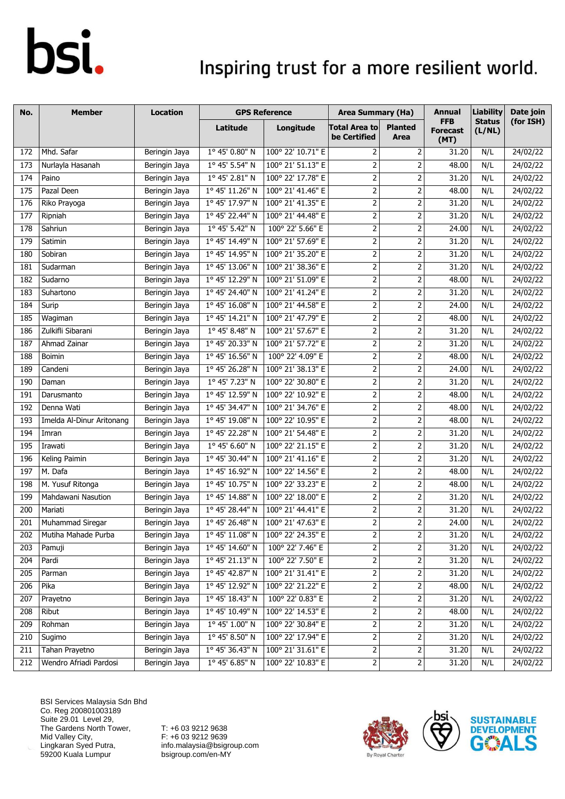### Inspiring trust for a more resilient world.

| No.             | <b>Member</b>             | <b>Location</b> |                 | <b>GPS Reference</b> | <b>Area Summary (Ha)</b>                                                                                         |                                                                                                                  | <b>Annual</b>                         | <b>Liability</b>        | Date join |
|-----------------|---------------------------|-----------------|-----------------|----------------------|------------------------------------------------------------------------------------------------------------------|------------------------------------------------------------------------------------------------------------------|---------------------------------------|-------------------------|-----------|
|                 |                           |                 | Latitude        | Longitude            | <b>Total Area to</b><br>be Certified                                                                             | <b>Planted</b><br>Area                                                                                           | <b>FFB</b><br><b>Forecast</b><br>(MT) | <b>Status</b><br>(L/NL) | (for ISH) |
| 172             | Mhd. Safar                | Beringin Jaya   | 1° 45' 0.80" N  | 100° 22' 10.71" E    | 2                                                                                                                | 2                                                                                                                | 31.20                                 | N/L                     | 24/02/22  |
| 173             | Nurlayla Hasanah          | Beringin Jaya   | 1° 45' 5.54" N  | 100° 21' 51.13" E    | $\overline{2}$                                                                                                   | 2                                                                                                                | 48.00                                 | N/L                     | 24/02/22  |
| 174             | Paino                     | Beringin Jaya   | 1° 45' 2.81" N  | 100° 22' 17.78" E    | $\overline{2}$                                                                                                   | $\mathbf 2$                                                                                                      | 31.20                                 | N/L                     | 24/02/22  |
| $\frac{175}{2}$ | Pazal Deen                | Beringin Jaya   | 1° 45' 11.26" N | 100° 21' 41.46" E    | $\overline{2}$                                                                                                   | 2                                                                                                                | 48.00                                 | N/L                     | 24/02/22  |
| 176             | Riko Prayoga              | Beringin Jaya   | 1° 45' 17.97" N | 100° 21' 41.35" E    | $\overline{2}$                                                                                                   | 2                                                                                                                | 31.20                                 | N/L                     | 24/02/22  |
| 177             | Ripniah                   | Beringin Jaya   | 1° 45' 22.44" N | 100° 21' 44.48" E    | $\mathbf 2$                                                                                                      | 2                                                                                                                | 31.20                                 | N/L                     | 24/02/22  |
| 178             | Sahriun                   | Beringin Jaya   | 1° 45' 5.42" N  | 100° 22' 5.66" E     | $\mathbf 2$                                                                                                      | $\mathbf 2$                                                                                                      | 24.00                                 | N/L                     | 24/02/22  |
| 179             | Satimin                   | Beringin Jaya   | 1° 45' 14.49" N | 100° 21' 57.69" E    | $\mathbf 2$                                                                                                      | $\mathbf 2$                                                                                                      | 31.20                                 | N/L                     | 24/02/22  |
| 180             | Sobiran                   | Beringin Jaya   | 1° 45' 14.95" N | 100° 21' 35.20" E    | $\mathbf 2$                                                                                                      | 2                                                                                                                | 31.20                                 | N/L                     | 24/02/22  |
| 181             | Sudarman                  | Beringin Jaya   | 1° 45' 13.06" N | 100° 21' 38.36" E    | $\mathbf 2$                                                                                                      | 2                                                                                                                | 31.20                                 | N/L                     | 24/02/22  |
| 182             | Sudarno                   | Beringin Jaya   | 1° 45' 12.29" N | 100° 21' 51.09" E    | $\mathbf 2$                                                                                                      | $\mathbf 2$                                                                                                      | 48.00                                 | N/L                     | 24/02/22  |
| 183             | Suhartono                 | Beringin Jaya   | 1° 45' 24.40" N | 100° 21' 41.24" E    | $\overline{2}$                                                                                                   | 2                                                                                                                | 31.20                                 | N/L                     | 24/02/22  |
| 184             | Surip                     | Beringin Jaya   | 1° 45' 16.08" N | 100° 21' 44.58" E    | $\overline{2}$                                                                                                   | 2                                                                                                                | 24.00                                 | N/L                     | 24/02/22  |
| 185             | Wagiman                   | Beringin Jaya   | 1º 45' 14.21" N | 100° 21' 47.79" E    | $\overline{2}$                                                                                                   | $\overline{2}$                                                                                                   | 48.00                                 | N/L                     | 24/02/22  |
| 186             | Zulkifli Sibarani         | Beringin Jaya   | 1° 45' 8.48" N  | 100° 21' 57.67" E    | $\mathbf 2$                                                                                                      | $\mathbf 2$                                                                                                      | 31.20                                 | N/L                     | 24/02/22  |
| 187             | Ahmad Zainar              | Beringin Jaya   | 1° 45' 20.33" N | 100° 21' 57.72" E    | $\overline{2}$                                                                                                   | 2                                                                                                                | 31.20                                 | N/L                     | 24/02/22  |
| 188             | Boimin                    | Beringin Jaya   | 1° 45' 16.56" N | 100° 22' 4.09" E     | $\overline{2}$                                                                                                   | $\mathbf 2$                                                                                                      | 48.00                                 | N/L                     | 24/02/22  |
| 189             | Candeni                   | Beringin Jaya   | 1° 45' 26.28" N | 100° 21' 38.13" E    | $\overline{2}$                                                                                                   | $\mathbf 2$                                                                                                      | 24.00                                 | N/L                     | 24/02/22  |
| 190             | Daman                     | Beringin Jaya   | 1° 45' 7.23" N  | 100° 22' 30.80" E    | $\overline{2}$                                                                                                   | $\overline{2}$                                                                                                   | 31.20                                 | N/L                     | 24/02/22  |
| 191             | Darusmanto                | Beringin Jaya   | 1° 45' 12.59" N | 100° 22' 10.92" E    | $\mathbf 2$                                                                                                      | 2                                                                                                                | 48.00                                 | N/L                     | 24/02/22  |
| 192             | Denna Wati                | Beringin Jaya   | 1° 45' 34.47" N | 100° 21' 34.76" E    | $\overline{2}$                                                                                                   | $\overline{2}$                                                                                                   | 48.00                                 | N/L                     | 24/02/22  |
| 193             | Imelda Al-Dinur Aritonang | Beringin Jaya   | 1° 45' 19.08" N | 100° 22' 10.95" E    | $\overline{2}$                                                                                                   | 2                                                                                                                | 48.00                                 | N/L                     | 24/02/22  |
| 194             | Imran                     | Beringin Jaya   | 1° 45' 22.28" N | 100° 21' 54.48" E    | $\mathbf 2$                                                                                                      | 2                                                                                                                | 31.20                                 | N/L                     | 24/02/22  |
| 195             | Irawati                   | Beringin Jaya   | 1° 45' 6.60" N  | 100° 22' 21.15" E    | $\mathbf 2$                                                                                                      | 2                                                                                                                | 31.20                                 | N/L                     | 24/02/22  |
| 196             | Keling Paimin             | Beringin Jaya   | 1° 45' 30.44" N | 100° 21' 41.16" E    | $\mathsf{2}\!\!\:\mathsf{1}\!\!\:\mathsf{2}\!\!\:\mathsf{1}\!\!\:\mathsf{3}\mathsf{2}\!\!\:\mathsf{4}\mathsf{3}$ | $\mathbf 2$                                                                                                      | 31.20                                 | N/L                     | 24/02/22  |
| 197             | M. Dafa                   | Beringin Jaya   | 1° 45' 16.92" N | 100° 22' 14.56" E    | $\mathbf{2}$                                                                                                     | 2                                                                                                                | 48.00                                 | N/L                     | 24/02/22  |
| 198             | M. Yusuf Ritonga          | Beringin Jaya   | 1° 45' 10.75" N | 100° 22' 33.23" E    | $\overline{2}$                                                                                                   | 2                                                                                                                | 48.00                                 | N/L                     | 24/02/22  |
| 199             | Mahdawani Nasution        | Beringin Jaya   | 1° 45' 14.88" N | 100° 22' 18.00" E    | $\mathbf 2$                                                                                                      | 2                                                                                                                | 31.20                                 | N/L                     | 24/02/22  |
| 200             | Mariati                   | Beringin Jaya   | 1° 45' 28.44" N | 100° 21' 44.41" E    | $\mathbf{2}$                                                                                                     | 2                                                                                                                | 31.20                                 | N/L                     | 24/02/22  |
| 201             | Muhammad Siregar          | Beringin Jaya   | 1° 45' 26.48" N | 100° 21' 47.63" E    | 2                                                                                                                | 2                                                                                                                | 24.00                                 | N/L                     | 24/02/22  |
| 202             | Mutiha Mahade Purba       | Beringin Jaya   | 1° 45' 11.08" N | 100° 22' 24.35" E    | 2                                                                                                                | 2                                                                                                                | 31.20                                 | N/L                     | 24/02/22  |
| 203             | Pamuji                    | Beringin Jaya   | 1° 45' 14.60" N | 100° 22' 7.46" E     | $\overline{2}$                                                                                                   | $\mathsf{2}\!\!\:\mathsf{1}\!\!\:\mathsf{2}\!\!\:\mathsf{1}\!\!\:\mathsf{3}\mathsf{2}\!\!\:\mathsf{4}\mathsf{3}$ | 31.20                                 | N/L                     | 24/02/22  |
| 204             | Pardi                     | Beringin Jaya   | 1° 45' 21.13" N | 100° 22' 7.50" E     | $\mathbf{2}$                                                                                                     | 2                                                                                                                | 31.20                                 | N/L                     | 24/02/22  |
| 205             | Parman                    | Beringin Jaya   | 1° 45' 42.87" N | 100° 21' 31.41" E    | $\mathbf 2$                                                                                                      | 2                                                                                                                | 31.20                                 | N/L                     | 24/02/22  |
| 206             | Pika                      | Beringin Jaya   | 1° 45' 12.92" N | 100° 22' 21.22" E    | $\mathbf{2}$                                                                                                     | 2                                                                                                                | 48.00                                 | N/L                     | 24/02/22  |
| 207             | Prayetno                  | Beringin Jaya   | 1° 45' 18.43" N | 100° 22' 0.83" E     | $\overline{2}$                                                                                                   | $\mathsf{2}\!\!\:\mathsf{1}\!\!\:\mathsf{2}\!\!\:\mathsf{1}\!\!\:\mathsf{3}\mathsf{2}\!\!\:\mathsf{4}\mathsf{3}$ | 31.20                                 | N/L                     | 24/02/22  |
| 208             | Ribut                     | Beringin Jaya   | 1° 45' 10.49" N | 100° 22' 14.53" E    | $\mathbf{2}$                                                                                                     | 2                                                                                                                | 48.00                                 | N/L                     | 24/02/22  |
| 209             | Rohman                    | Beringin Jaya   | 1° 45' 1.00" N  | 100° 22' 30.84" E    | $\overline{2}$                                                                                                   | $\mathsf{2}\!\!\:\mathsf{1}\!\!\:\mathsf{2}\!\!\:\mathsf{1}\!\!\:\mathsf{3}\mathsf{2}\!\!\:\mathsf{4}\mathsf{3}$ | 31.20                                 | N/L                     | 24/02/22  |
| 210             | Sugimo                    | Beringin Jaya   | 1° 45' 8.50" N  | 100° 22' 17.94" E    | $\mathsf{2}$                                                                                                     | 2                                                                                                                | 31.20                                 | N/L                     | 24/02/22  |
| 211             | Tahan Prayetno            | Beringin Jaya   | 1° 45' 36.43" N | 100° 21' 31.61" E    | $\overline{2}$                                                                                                   | 2                                                                                                                | 31.20                                 | N/L                     | 24/02/22  |
| 212             | Wendro Afriadi Pardosi    | Beringin Jaya   | 1° 45' 6.85" N  | 100° 22' 10.83" E    | $\mathbf{2}$                                                                                                     | 2                                                                                                                | 31.20                                 | N/L                     | 24/02/22  |

BSI Services Malaysia Sdn Bhd Co. Reg 200801003189 Suite 29.01 Level 29, The Gardens North Tower, Mid Valley City, Lingkaran Syed Putra, 59200 Kuala Lumpur



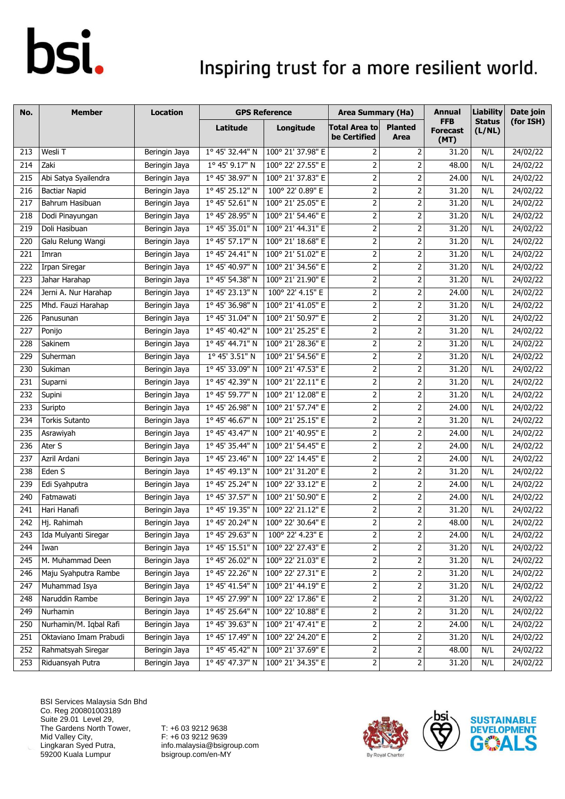### Inspiring trust for a more resilient world.

| No. | <b>Member</b>          | <b>Location</b> |                 | <b>GPS Reference</b> | <b>Area Summary (Ha)</b>             |                         | Annual                                | <b>Liability</b>        | Date join |
|-----|------------------------|-----------------|-----------------|----------------------|--------------------------------------|-------------------------|---------------------------------------|-------------------------|-----------|
|     |                        |                 | Latitude        | Longitude            | <b>Total Area to</b><br>be Certified | <b>Planted</b><br>Area  | <b>FFB</b><br><b>Forecast</b><br>(MT) | <b>Status</b><br>(L/NL) | (for ISH) |
| 213 | Wesli T                | Beringin Jaya   | 1° 45' 32.44" N | 100° 21' 37.98" E    | 2                                    | $\overline{2}$          | 31.20                                 | N/L                     | 24/02/22  |
| 214 | Zaki                   | Beringin Jaya   | 1° 45' 9.17" N  | 100° 22' 27.55" E    | $\overline{2}$                       | $\mathbf 2$             | 48.00                                 | N/L                     | 24/02/22  |
| 215 | Abi Satya Syailendra   | Beringin Jaya   | 1° 45' 38.97" N | 100° 21' 37.83" E    | $\overline{2}$                       | $\mathbf 2$             | 24.00                                 | N/L                     | 24/02/22  |
| 216 | <b>Bactiar Napid</b>   | Beringin Jaya   | 1° 45' 25.12" N | 100° 22' 0.89" E     | $\overline{2}$                       | $\mathbf 2$             | 31.20                                 | N/L                     | 24/02/22  |
| 217 | Bahrum Hasibuan        | Beringin Jaya   | 1° 45' 52.61" N | 100° 21' 25.05" E    | $\overline{2}$                       | 2                       | 31.20                                 | N/L                     | 24/02/22  |
| 218 | Dodi Pinayungan        | Beringin Jaya   | 1° 45' 28.95" N | 100° 21' 54.46" E    | $\overline{2}$                       | 2                       | 31.20                                 | N/L                     | 24/02/22  |
| 219 | Doli Hasibuan          | Beringin Jaya   | 1° 45' 35.01" N | 100° 21' 44.31" E    | $\overline{2}$                       | $\overline{2}$          | 31.20                                 | N/L                     | 24/02/22  |
| 220 | Galu Relung Wangi      | Beringin Jaya   | 1° 45' 57.17" N | 100° 21' 18.68" E    | $\mathbf 2$                          | $\mathbf 2$             | 31.20                                 | N/L                     | 24/02/22  |
| 221 | Imran                  | Beringin Jaya   | 1° 45' 24.41" N | 100° 21' 51.02" E    | $\overline{2}$                       | $\mathbf 2$             | 31.20                                 | N/L                     | 24/02/22  |
| 222 | Irpan Siregar          | Beringin Jaya   | 1° 45' 40.97" N | 100° 21' 34.56" E    | $\overline{2}$                       | $\overline{2}$          | 31.20                                 | N/L                     | 24/02/22  |
| 223 | Jahar Harahap          | Beringin Jaya   | 1° 45' 54.38" N | 100° 21' 21.90" E    | $\overline{2}$                       | $\mathbf 2$             | 31.20                                 | N/L                     | 24/02/22  |
| 224 | Jerni A. Nur Harahap   | Beringin Jaya   | 1° 45' 23.13" N | 100° 22' 4.15" E     | $\overline{2}$                       | 2                       | 24.00                                 | N/L                     | 24/02/22  |
| 225 | Mhd. Fauzi Harahap     | Beringin Jaya   | 1° 45' 36.98" N | 100° 21' 41.05" E    | $\overline{2}$                       | $\overline{2}$          | 31.20                                 | N/L                     | 24/02/22  |
| 226 | Panusunan              | Beringin Jaya   | 1° 45' 31.04" N | 100° 21' 50.97" E    | $\mathbf 2$                          | $\mathbf 2$             | 31.20                                 | N/L                     | 24/02/22  |
| 227 | Ponijo                 | Beringin Jaya   | 1° 45' 40.42" N | 100° 21' 25.25" E    | $\overline{2}$                       | $\mathbf 2$             | 31.20                                 | N/L                     | 24/02/22  |
| 228 | Sakinem                | Beringin Jaya   | 1° 45' 44.71" N | 100° 21' 28.36" E    | $\mathbf 2$                          | $\mathbf 2$             | 31.20                                 | N/L                     | 24/02/22  |
| 229 | Suherman               | Beringin Jaya   | 1° 45' 3.51" N  | 100° 21' 54.56" E    | $\overline{2}$                       | 2                       | 31.20                                 | N/L                     | 24/02/22  |
| 230 | Sukiman                | Beringin Jaya   | 1° 45' 33.09" N | 100° 21' 47.53" E    | $\overline{2}$                       | $\mathbf 2$             | 31.20                                 | N/L                     | 24/02/22  |
| 231 | Suparni                | Beringin Jaya   | 1° 45' 42.39" N | 100° 21' 22.11" E    | $\overline{2}$                       | 2                       | 31.20                                 | N/L                     | 24/02/22  |
| 232 | Supini                 | Beringin Jaya   | 1° 45' 59.77" N | 100° 21' 12.08" E    | $\mathbf 2$                          | 2                       | 31.20                                 | N/L                     | 24/02/22  |
| 233 | Suripto                | Beringin Jaya   | 1° 45' 26.98" N | 100° 21' 57.74" E    | $\overline{2}$                       | $\overline{2}$          | 24.00                                 | N/L                     | 24/02/22  |
| 234 | <b>Torkis Sutanto</b>  | Beringin Jaya   | 1° 45' 46.67" N | 100° 21' 25.15" E    | $\overline{2}$                       | 2                       | 31.20                                 | N/L                     | 24/02/22  |
| 235 | Asrawiyah              | Beringin Jaya   | 1° 45' 43.47" N | 100° 21' 40.95" E    | $\mathbf 2$                          | $\mathbf 2$             | 24.00                                 | N/L                     | 24/02/22  |
| 236 | Ater S                 | Beringin Jaya   | 1° 45' 35.44" N | 100° 21' 54.45" E    | $\overline{2}$                       | $\mathbf 2$             | 24.00                                 | N/L                     | 24/02/22  |
| 237 | Azril Ardani           | Beringin Jaya   | 1° 45' 23.46" N | 100° 22' 14.45" E    | $\mathbf 2$                          | $\mathbf 2$             | 24.00                                 | N/L                     | 24/02/22  |
| 238 | Eden S                 | Beringin Jaya   | 1° 45' 49.13" N | 100° 21' 31.20" E    | $\mathbf 2$                          | $\mathbf 2$             | 31.20                                 | N/L                     | 24/02/22  |
| 239 | Edi Syahputra          | Beringin Jaya   | 1° 45' 25.24" N | 100° 22' 33.12" E    | $\overline{2}$                       | $\overline{2}$          | 24.00                                 | N/L                     | 24/02/22  |
| 240 | Fatmawati              | Beringin Jaya   | 1° 45' 37.57" N | 100° 21' 50.90" E    | $\mathbf 2$                          | $\overline{2}$          | 24.00                                 | N/L                     | 24/02/22  |
| 241 | Hari Hanafi            | Beringin Jaya   | 1° 45' 19.35" N | 100° 22' 21.12" E    | $\overline{2}$                       | 2                       | 31.20                                 | N/L                     | 24/02/22  |
| 242 | Hj. Rahimah            | Beringin Jaya   | 1° 45' 20.24" N | 100° 22' 30.64" E    | $\overline{2}$                       | $\overline{2}$          | 48.00                                 | N/L                     | 24/02/22  |
| 243 | Ida Mulyanti Siregar   | Beringin Jaya   | 1° 45' 29.63" N | 100° 22' 4.23" E     | 2                                    | 2                       | 24.00                                 | N/L                     | 24/02/22  |
| 244 | Iwan                   | Beringin Jaya   | 1° 45' 15.51" N | 100° 22' 27.43" E    | $\overline{2}$                       | 2                       | 31.20                                 | N/L                     | 24/02/22  |
| 245 | M. Muhammad Deen       | Beringin Jaya   | 1° 45' 26.02" N | 100° 22' 21.03" E    | $\overline{2}$                       |                         | 31.20                                 | N/L                     | 24/02/22  |
| 246 | Maju Syahputra Rambe   | Beringin Jaya   | 1° 45' 22.26" N | 100° 22' 27.31" E    | $\overline{2}$                       | 2                       | 31.20                                 | N/L                     | 24/02/22  |
| 247 | Muhammad Isya          | Beringin Jaya   | 1° 45' 41.54" N | 100° 21' 44.19" E    | $\mathbf{2}$                         | $\mathbf 2$             | 31.20                                 | N/L                     | 24/02/22  |
| 248 | Naruddin Rambe         | Beringin Jaya   | 1° 45' 27.99" N | 100° 22' 17.86" E    | $\overline{2}$                       | $\overline{c}$          | 31.20                                 | N/L                     | 24/02/22  |
| 249 | Nurhamin               | Beringin Jaya   | 1° 45' 25.64" N | 100° 22' 10.88" E    | $\overline{2}$                       |                         | 31.20                                 | N/L                     | 24/02/22  |
| 250 | Nurhamin/M. Iqbal Rafi | Beringin Jaya   | 1° 45' 39.63" N | 100° 21' 47.41" E    | $\overline{2}$                       | $\mathbf 2$             | 24.00                                 | N/L                     | 24/02/22  |
| 251 | Oktaviano Imam Prabudi | Beringin Jaya   | 1° 45' 17.49" N | 100° 22' 24.20" E    | $\mathbf{2}$                         | $\mathsf{2}$            | 31.20                                 | N/L                     | 24/02/22  |
| 252 | Rahmatsyah Siregar     | Beringin Jaya   | 1° 45' 45.42" N | 100° 21' 37.69" E    | $\overline{2}$                       | $\overline{\mathbf{c}}$ | 48.00                                 | N/L                     | 24/02/22  |
| 253 | Riduansyah Putra       | Beringin Jaya   | 1° 45' 47.37" N | 100° 21' 34.35" E    | $\overline{2}$                       | 2                       | 31.20                                 | N/L                     | 24/02/22  |

BSI Services Malaysia Sdn Bhd Co. Reg 200801003189 Suite 29.01 Level 29, The Gardens North Tower, Mid Valley City, Lingkaran Syed Putra, 59200 Kuala Lumpur



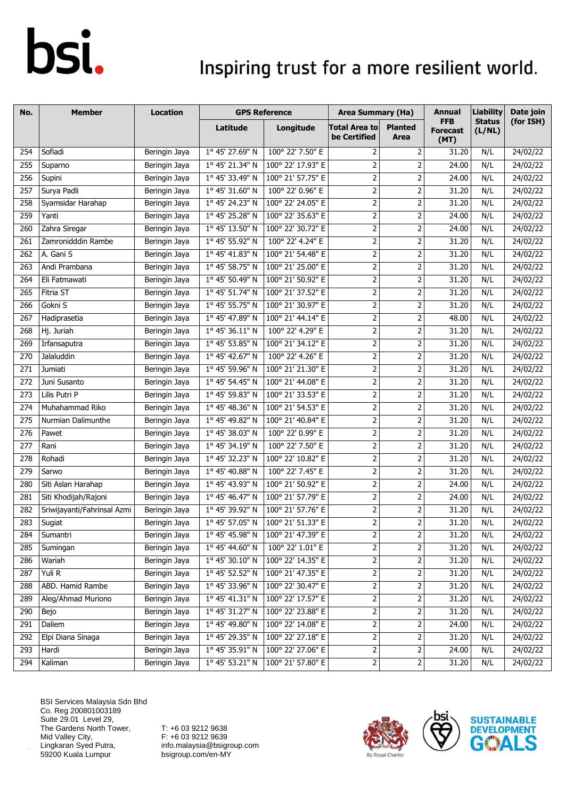### Inspiring trust for a more resilient world.

| No. | <b>Member</b>               | Location      |                          | <b>GPS Reference</b> | <b>Area Summary (Ha)</b>             |                                                                                                                  | Annual                                | <b>Liability</b>        | Date join |
|-----|-----------------------------|---------------|--------------------------|----------------------|--------------------------------------|------------------------------------------------------------------------------------------------------------------|---------------------------------------|-------------------------|-----------|
|     |                             |               | Latitude                 | Longitude            | <b>Total Area to</b><br>be Certified | <b>Planted</b><br>Area                                                                                           | <b>FFB</b><br><b>Forecast</b><br>(MT) | <b>Status</b><br>(L/NL) | (for ISH) |
| 254 | Sofiadi                     | Beringin Jaya | 1° 45' 27.69" N          | 100° 22' 7.50" E     | 2                                    | $\overline{2}$                                                                                                   | 31.20                                 | N/L                     | 24/02/22  |
| 255 | Suparno                     | Beringin Jaya | 1° 45' 21.34" N          | 100° 22' 17.93" E    | $\overline{2}$                       | $\mathbf 2$                                                                                                      | 24.00                                 | N/L                     | 24/02/22  |
| 256 | Supini                      | Beringin Jaya | 1° 45' 33.49" N          | 100° 21' 57.75" E    | $\overline{2}$                       | $\mathbf 2$                                                                                                      | 24.00                                 | N/L                     | 24/02/22  |
| 257 | Surya Padli                 | Beringin Jaya | 1° 45' 31.60" N          | 100° 22' 0.96" E     | $\overline{2}$                       | $\overline{2}$                                                                                                   | 31.20                                 | N/L                     | 24/02/22  |
| 258 | Syamsidar Harahap           | Beringin Jaya | 1° 45' 24.23" N          | 100° 22' 24.05" E    | $\overline{2}$                       | 2                                                                                                                | 31.20                                 | N/L                     | 24/02/22  |
| 259 | Yanti                       | Beringin Jaya | $1^{\circ}$ 45' 25.28" N | 100° 22' 35.63" E    | $\mathbf 2$                          | 2                                                                                                                | 24.00                                 | N/L                     | 24/02/22  |
| 260 | Zahra Siregar               | Beringin Jaya | 1° 45' 13.50" N          | 100° 22' 30.72" E    | $\overline{2}$                       | $\overline{2}$                                                                                                   | 24.00                                 | N/L                     | 24/02/22  |
| 261 | Zamronidddin Rambe          | Beringin Jaya | 1° 45' 55.92" N          | 100° 22' 4.24" E     | $\overline{2}$                       | $\mathbf 2$                                                                                                      | 31.20                                 | N/L                     | 24/02/22  |
| 262 | A. Gani S                   | Beringin Jaya | 1° 45' 41.83" N          | 100° 21' 54.48" E    | $\overline{2}$                       | $\mathbf 2$                                                                                                      | 31.20                                 | N/L                     | 24/02/22  |
| 263 | Andi Prambana               | Beringin Jaya | 1° 45' 58.75" N          | 100° 21' 25.00" E    | $\overline{2}$                       | $\overline{2}$                                                                                                   | 31.20                                 | N/L                     | 24/02/22  |
| 264 | Eli Fatmawati               | Beringin Jaya | 1° 45' 50.49" N          | 100° 21' 50.92" E    | $\overline{2}$                       | $\mathbf 2$                                                                                                      | 31.20                                 | N/L                     | 24/02/22  |
| 265 | Fitria ST                   | Beringin Jaya | 1° 45' 51.74" N          | 100° 21' 37.52" E    | $\overline{2}$                       | 2                                                                                                                | 31.20                                 | N/L                     | 24/02/22  |
| 266 | Gokni S                     | Beringin Jaya | 1° 45' 55.75" N          | 100° 21' 30.97" E    | $\overline{2}$                       | $\overline{2}$                                                                                                   | 31.20                                 | N/L                     | 24/02/22  |
| 267 | Hadiprasetia                | Beringin Jaya | 1° 45' 47.89" N          | 100° 21' 44.14" E    | $\mathbf 2$                          | $\mathbf 2$                                                                                                      | 48.00                                 | N/L                     | 24/02/22  |
| 268 | Hj. Juriah                  | Beringin Jaya | 1° 45' 36.11" N          | 100° 22' 4.29" E     | $\overline{2}$                       | $\mathbf 2$                                                                                                      | 31.20                                 | N/L                     | 24/02/22  |
| 269 | Irfansaputra                | Beringin Jaya | 1° 45' 53.85" N          | 100° 21' 34.12" E    | $\overline{2}$                       | $\mathbf 2$                                                                                                      | 31.20                                 | N/L                     | 24/02/22  |
| 270 | Jalaluddin                  | Beringin Jaya | 1° 45' 42.67" N          | 100° 22' 4.26" E     | $\overline{2}$                       | 2                                                                                                                | 31.20                                 | N/L                     | 24/02/22  |
| 271 | Jumiati                     | Beringin Jaya | 1° 45' 59.96" N          | 100° 21' 21.30" E    | $\overline{2}$                       | $\mathbf 2$                                                                                                      | 31.20                                 | N/L                     | 24/02/22  |
| 272 | Juni Susanto                | Beringin Jaya | 1° 45' 54.45" N          | 100° 21' 44.08" E    | $\overline{2}$                       | 2                                                                                                                | 31.20                                 | N/L                     | 24/02/22  |
| 273 | Lilis Putri P               | Beringin Jaya | 1° 45' 59.83" N          | 100° 21' 33.53" E    | $\overline{2}$                       | 2                                                                                                                | 31.20                                 | N/L                     | 24/02/22  |
| 274 | Muhahammad Riko             | Beringin Jaya | 1° 45' 48.36" N          | 100° 21' 54.53" E    | $\overline{2}$                       | $\overline{2}$                                                                                                   | 31.20                                 | N/L                     | 24/02/22  |
| 275 | Nurmian Dalimunthe          | Beringin Jaya | 1° 45' 49.82" N          | 100° 21' 40.84" E    | $\overline{2}$                       | 2                                                                                                                | 31.20                                 | N/L                     | 24/02/22  |
| 276 | Pawet                       | Beringin Jaya | 1° 45' 38.03" N          | 100° 22' 0.99" E     | $\mathbf 2$                          | $\mathbf 2$                                                                                                      | 31.20                                 | N/L                     | 24/02/22  |
| 277 | Rani                        | Beringin Jaya | 1° 45' 34.19" N          | 100° 22' 7.50" E     | $\overline{2}$                       | $\mathbf 2$                                                                                                      | 31.20                                 | N/L                     | 24/02/22  |
| 278 | Rohadi                      | Beringin Jaya | 1° 45' 32.23" N          | 100° 22' 10.82" E    | $\mathbf 2$                          | $\mathbf 2$                                                                                                      | 31.20                                 | N/L                     | 24/02/22  |
| 279 | Sarwo                       | Beringin Jaya | 1° 45' 40.88" N          | 100° 22' 7.45" E     | $\mathbf 2$                          | $\mathbf 2$                                                                                                      | 31.20                                 | N/L                     | 24/02/22  |
| 280 | Siti Aslan Harahap          | Beringin Jaya | 1° 45' 43.93" N          | 100° 21' 50.92" E    | $\overline{2}$                       | $\overline{2}$                                                                                                   | 24.00                                 | N/L                     | 24/02/22  |
| 281 | Siti Khodijah/Rajoni        | Beringin Jaya | $1^{\circ}$ 45' 46.47" N | 100° 21' 57.79" E    | $\mathbf 2$                          | $\overline{2}$                                                                                                   | 24.00                                 | N/L                     | 24/02/22  |
| 282 | Sriwijayanti/Fahrinsal Azmi | Beringin Jaya | 1° 45' 39.92" N          | 100° 21' 57.76" E    | $\overline{2}$                       | $\mathbf 2$                                                                                                      | 31.20                                 | N/L                     | 24/02/22  |
| 283 | Sugiat                      | Beringin Jaya | 1° 45' 57.05" N          | 100° 21' 51.33" E    | $\overline{2}$                       | $\overline{2}$                                                                                                   | 31.20                                 | N/L                     | 24/02/22  |
| 284 | Sumantri                    | Beringin Jaya | 1° 45' 45.98" N          | 100° 21' 47.39" E    | 2                                    | 2                                                                                                                | 31.20                                 | N/L                     | 24/02/22  |
| 285 | Sumingan                    | Beringin Jaya | 1° 45' 44.60" N          | 100° 22' 1.01" E     | 2                                    | 2                                                                                                                | 31.20                                 | N/L                     | 24/02/22  |
| 286 | Wariah                      | Beringin Jaya | 1° 45' 30.10" N          | 100° 22' 14.35" E    | $\mathbf{2}$                         |                                                                                                                  | 31.20                                 | N/L                     | 24/02/22  |
| 287 | Yuli R                      | Beringin Jaya | 1° 45' 52.52" N          | 100° 21' 47.35" E    | $\mathbf 2$                          | 2                                                                                                                | 31.20                                 | N/L                     | 24/02/22  |
| 288 | ABD. Hamid Rambe            | Beringin Jaya | 1° 45' 33.96" N          | 100° 22' 30.47" E    | $\overline{2}$                       | $\mathbf 2$                                                                                                      | 31.20                                 | N/L                     | 24/02/22  |
| 289 | Aleg/Ahmad Muriono          | Beringin Jaya | 1° 45' 41.31" N          | 100° 22' 17.57" E    | $\overline{2}$                       | $\overline{c}$                                                                                                   | 31.20                                 | N/L                     | 24/02/22  |
| 290 | Bejo                        | Beringin Jaya | 1° 45' 31.27" N          | 100° 22' 23.88" E    | $\overline{2}$                       |                                                                                                                  | 31.20                                 | N/L                     | 24/02/22  |
| 291 | Daliem                      | Beringin Jaya | 1° 45' 49.80" N          | 100° 22' 14.08" E    | $\mathbf 2$                          | $\mathbf 2$                                                                                                      | 24.00                                 | N/L                     | 24/02/22  |
| 292 | Elpi Diana Sinaga           | Beringin Jaya | 1° 45' 29.35" N          | 100° 22' 27.18" E    | $\overline{2}$                       | $\mathsf{2}\!\!\:\mathsf{1}\!\!\:\mathsf{2}\!\!\:\mathsf{1}\!\!\:\mathsf{3}\mathsf{2}\!\!\:\mathsf{4}\mathsf{3}$ | 31.20                                 | N/L                     | 24/02/22  |
| 293 | Hardi                       | Beringin Jaya | 1° 45' 35.91" N          | 100° 22' 27.06" E    | $\overline{2}$                       | $\overline{\mathbf{c}}$                                                                                          | 24.00                                 | N/L                     | 24/02/22  |
| 294 | Kaliman                     | Beringin Jaya | 1° 45' 53.21" N          | 100° 21' 57.80" E    | $\overline{2}$                       | 2                                                                                                                | 31.20                                 | N/L                     | 24/02/22  |

BSI Services Malaysia Sdn Bhd Co. Reg 200801003189 Suite 29.01 Level 29, The Gardens North Tower, Mid Valley City, Lingkaran Syed Putra, 59200 Kuala Lumpur



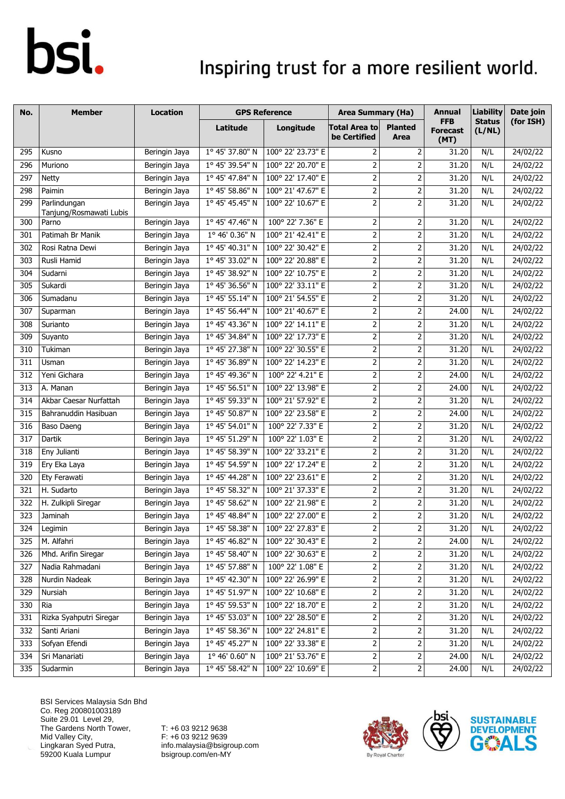### Inspiring trust for a more resilient world.

| No.              | <b>Member</b>                           | <b>Location</b> | <b>GPS Reference</b>     |                                            | <b>Area Summary (Ha)</b>                                                                                         |                         | Annual                                | <b>Liability</b>        | Date join |
|------------------|-----------------------------------------|-----------------|--------------------------|--------------------------------------------|------------------------------------------------------------------------------------------------------------------|-------------------------|---------------------------------------|-------------------------|-----------|
|                  |                                         |                 | Latitude                 | Longitude                                  | <b>Total Area to</b><br>be Certified                                                                             | <b>Planted</b><br>Area  | <b>FFB</b><br><b>Forecast</b><br>(MT) | <b>Status</b><br>(L/NL) | (for ISH) |
| 295              | Kusno                                   | Beringin Jaya   | 1° 45' 37.80" N          | 100° 22' 23.73" E                          | 2                                                                                                                | $\overline{2}$          | 31.20                                 | N/L                     | 24/02/22  |
| 296              | Muriono                                 | Beringin Jaya   | 1° 45' 39.54" N          | 100° 22' 20.70" E                          | $\mathbf 2$                                                                                                      | 2                       | 31.20                                 | N/L                     | 24/02/22  |
| 297              | <b>Netty</b>                            | Beringin Jaya   | 1° 45' 47.84" N          | 100° 22' 17.40" E                          | $\overline{2}$                                                                                                   | 2                       | 31.20                                 | N/L                     | 24/02/22  |
| 298              | Paimin                                  | Beringin Jaya   | 1° 45' 58.86" N          | 100° 21' 47.67" E                          | $\overline{2}$                                                                                                   | $\mathbf 2$             | 31.20                                 | N/L                     | 24/02/22  |
| 299              | Parlindungan<br>Tanjung/Rosmawati Lubis | Beringin Jaya   | 1° 45' 45.45" N          | 100° 22' 10.67" E                          | $\overline{2}$                                                                                                   | 2                       | 31.20                                 | N/L                     | 24/02/22  |
| $\overline{300}$ | Parno                                   | Beringin Jaya   | 1° 45' 47.46" N          | 100° 22' 7.36" E                           | $\overline{2}$                                                                                                   | $\mathbf 2$             | 31.20                                 | N/L                     | 24/02/22  |
| 301              | Patimah Br Manik                        | Beringin Jaya   | 1° 46' 0.36" N           | 100° 21' 42.41" E                          | $\overline{2}$                                                                                                   | $\mathbf 2$             | 31.20                                 | N/L                     | 24/02/22  |
| 302              | Rosi Ratna Dewi                         | Beringin Jaya   | 1° 45' 40.31" N          | 100° 22' 30.42" E                          | $\overline{2}$                                                                                                   | $\overline{2}$          | 31.20                                 | N/L                     | 24/02/22  |
| 303              | Rusli Hamid                             | Beringin Jaya   | 1° 45' 33.02" N          | 100° 22' 20.88" E                          | $\mathbf 2$                                                                                                      | $\mathbf 2$             | 31.20                                 | N/L                     | 24/02/22  |
| 304              | Sudarni                                 | Beringin Jaya   | 1° 45' 38.92" N          | 100° 22' 10.75" E                          | $\overline{2}$                                                                                                   | $\mathbf 2$             | 31.20                                 | N/L                     | 24/02/22  |
| 305              | Sukardi                                 | Beringin Jaya   | 1° 45' 36.56" N          | 100° 22' 33.11" E                          | $\overline{2}$                                                                                                   | $\mathbf 2$             | 31.20                                 | N/L                     | 24/02/22  |
| 306              | Sumadanu                                | Beringin Jaya   | 1° 45' 55.14" N          | 100° 21' 54.55" E                          | $\overline{2}$                                                                                                   | $\overline{2}$          | 31.20                                 | N/L                     | 24/02/22  |
| 307              | Suparman                                | Beringin Jaya   | $1^{\circ}$ 45' 56.44" N | 100° 21' 40.67" E                          | $\overline{2}$                                                                                                   | $\mathbf 2$             | 24.00                                 | N/L                     | 24/02/22  |
| 308              | Surianto                                | Beringin Jaya   | 1° 45' 43.36" N          | 100° 22' 14.11" E                          | $\overline{2}$                                                                                                   | $\mathbf 2$             | 31.20                                 | N/L                     | 24/02/22  |
| 309              | Suyanto                                 | Beringin Jaya   | 1° 45' 34.84" N          | 100° 22' 17.73" E                          | $\overline{2}$                                                                                                   | 2                       | 31.20                                 | N/L                     | 24/02/22  |
| 310              | Tukiman                                 | Beringin Jaya   | 1° 45' 27.38" N          | 100° 22' 30.55" E                          | $\overline{2}$                                                                                                   | $\overline{2}$          | 31.20                                 | N/L                     | 24/02/22  |
| 311              | Usman                                   | Beringin Jaya   | 1° 45' 36.89" N          | 100° 22' 14.23" E                          | $\overline{2}$                                                                                                   | $\mathbf 2$             | 31.20                                 | N/L                     | 24/02/22  |
| 312              | Yeni Gichara                            | Beringin Jaya   | 1° 45' 49.36" N          | 100° 22' 4.21" E                           | $\overline{2}$                                                                                                   | $\mathbf 2$             | 24.00                                 | N/L                     | 24/02/22  |
| 313              | A. Manan                                | Beringin Jaya   | 1° 45' 56.51" N          | 100° 22' 13.98" E                          | $\overline{2}$                                                                                                   | $\mathbf 2$             | 24.00                                 | N/L                     | 24/02/22  |
| 314              | Akbar Caesar Nurfattah                  | Beringin Jaya   | 1° 45' 59.33" N          | 100° 21' 57.92" E                          | $\overline{2}$                                                                                                   | $\overline{2}$          | 31.20                                 | N/L                     | 24/02/22  |
| 315              | Bahranuddin Hasibuan                    | Beringin Jaya   | 1° 45' 50.87" N          | 100° 22' 23.58" E                          | $\overline{2}$                                                                                                   | $\overline{2}$          | 24.00                                 | N/L                     | 24/02/22  |
| 316              | Baso Daeng                              | Beringin Jaya   | 1° 45' 54.01" N          | 100° 22' 7.33" E                           | $\overline{2}$                                                                                                   | $\overline{2}$          | 31.20                                 | N/L                     | 24/02/22  |
| 317              | Dartik                                  | Beringin Jaya   | 1° 45' 51.29" N          | 100° 22' 1.03" E                           | $\overline{2}$                                                                                                   | $\overline{2}$          | 31.20                                 | N/L                     | 24/02/22  |
| 318              | Eny Julianti                            | Beringin Jaya   | 1° 45' 58.39" N          | 100° 22' 33.21" E                          | $\overline{2}$                                                                                                   | 2                       | 31.20                                 | N/L                     | 24/02/22  |
| 319              | Ery Eka Laya                            | Beringin Jaya   | 1° 45' 54.59" N          | 100° 22' 17.24" E                          | $\overline{2}$                                                                                                   | $\overline{2}$          | 31.20                                 | N/L                     | 24/02/22  |
| 320              | Ety Ferawati                            | Beringin Jaya   | 1° 45' 44.28" N          | 100° 22' 23.61" E                          | $\mathbf 2$                                                                                                      | 2                       | 31.20                                 | N/L                     | 24/02/22  |
| 321              | H. Sudarto                              | Beringin Jaya   | 1° 45' 58.32" N          | 100° 21' 37.33" E                          | $\overline{2}$                                                                                                   | $\overline{2}$          | 31.20                                 | N/L                     | 24/02/22  |
| 322              | H. Zulkipli Siregar                     | Beringin Jaya   | 1° 45' 58.62" N          | 100° 22' 21.98" E                          | $\overline{2}$                                                                                                   | $\overline{2}$          | 31.20                                 | N/L                     | 24/02/22  |
| 323              | Jaminah                                 | Beringin Jaya   | 1° 45' 48.84" N          | 100° 22' 27.00" E                          | $\overline{2}$                                                                                                   | $\overline{2}$          | 31.20                                 | N/L                     | 24/02/22  |
| 324              | Legimin                                 | Beringin Jaya   |                          | $1^{\circ}$ 45' 58.38" N 100° 22' 27.83" E | $\overline{2}$                                                                                                   | $\overline{2}$          | 31.20                                 | N/L                     | 24/02/22  |
| 325              | M. Alfahri                              | Beringin Jaya   | 1° 45' 46.82" N          | 100° 22' 30.43" E                          | $\mathbf 2$                                                                                                      | $\overline{2}$          | 24.00                                 | N/L                     | 24/02/22  |
| 326              | Mhd. Arifin Siregar                     | Beringin Jaya   | 1° 45' 58.40" N          | 100° 22' 30.63" E                          | $\overline{c}$                                                                                                   | $\overline{\mathbf{c}}$ | 31.20                                 | N/L                     | 24/02/22  |
| 327              | Nadia Rahmadani                         | Beringin Jaya   | 1° 45' 57.88" N          | 100° 22' 1.08" E                           | $\mathsf{2}\!\!\:\mathsf{1}\!\!\:\mathsf{2}\!\!\:\mathsf{1}\!\!\:\mathsf{3}\mathsf{2}\!\!\:\mathsf{4}\mathsf{3}$ | $\mathbf 2$             | 31.20                                 | N/L                     | 24/02/22  |
| 328              | Nurdin Nadeak                           | Beringin Jaya   | 1° 45' 42.30" N          | 100° 22' 26.99" E                          | $\mathsf{2}$                                                                                                     | $\overline{\mathbf{c}}$ | 31.20                                 | N/L                     | 24/02/22  |
| 329              | Nursiah                                 | Beringin Jaya   | 1° 45' 51.97" N          | 100° 22' 10.68" E                          | $\overline{2}$                                                                                                   | 2                       | 31.20                                 | N/L                     | 24/02/22  |
| 330              | Ria                                     | Beringin Jaya   | 1° 45' 59.53" N          | 100° 22' 18.70" E                          | $\overline{2}$                                                                                                   | 2                       | 31.20                                 | N/L                     | 24/02/22  |
| 331              | Rizka Syahputri Siregar                 | Beringin Jaya   | 1° 45' 53.03" N          | 100° 22' 28.50" E                          | $\overline{2}$                                                                                                   | 2                       | 31.20                                 | N/L                     | 24/02/22  |
| 332              | Santi Ariani                            | Beringin Jaya   | 1° 45' 58.36" N          | 100° 22' 24.81" E                          | $\mathbf{2}$                                                                                                     | 2                       | 31.20                                 | N/L                     | 24/02/22  |
| 333              | Sofyan Efendi                           | Beringin Jaya   | 1° 45' 45.27" N          | 100° 22' 33.38" E                          | $\overline{2}$                                                                                                   | $\mathbf 2$             | 31.20                                 | N/L                     | 24/02/22  |
| 334              | Sri Manariati                           | Beringin Jaya   | 1° 46' 0.60" N           | 100° 21' 53.76" E                          | $\overline{a}$                                                                                                   | $\overline{2}$          | 24.00                                 | N/L                     | 24/02/22  |
| 335              | Sudarmin                                | Beringin Jaya   | 1° 45' 58.42" N          | 100° 22' 10.69" E                          | $\overline{2}$                                                                                                   | $\overline{2}$          | 24.00                                 | N/L                     | 24/02/22  |

BSI Services Malaysia Sdn Bhd Co. Reg 200801003189 Suite 29.01 Level 29, The Gardens North Tower, Mid Valley City, Lingkaran Syed Putra, 59200 Kuala Lumpur



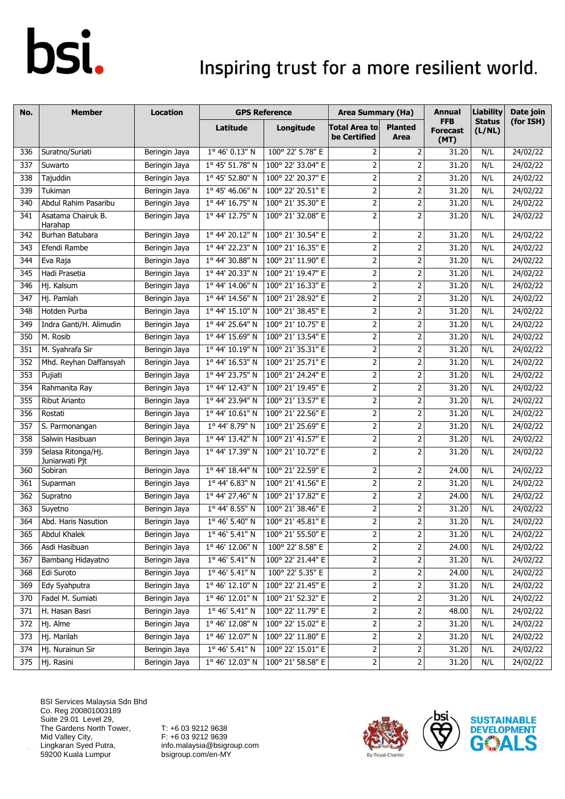### Inspiring trust for a more resilient world.

| No. | <b>Member</b>                        | Location      |                 | <b>GPS Reference</b> | <b>Area Summary (Ha)</b>             |                         | Annual                                | <b>Liability</b>        | Date join |
|-----|--------------------------------------|---------------|-----------------|----------------------|--------------------------------------|-------------------------|---------------------------------------|-------------------------|-----------|
|     |                                      |               | Latitude        | Longitude            | <b>Total Area to</b><br>be Certified | <b>Planted</b><br>Area  | <b>FFB</b><br><b>Forecast</b><br>(MT) | <b>Status</b><br>(L/NL) | (for ISH) |
| 336 | Suratno/Suriati                      | Beringin Jaya | 1° 46' 0.13" N  | 100° 22' 5.78" E     | 2                                    | $\overline{2}$          | 31.20                                 | N/L                     | 24/02/22  |
| 337 | Suwarto                              | Beringin Jaya | 1° 45' 51.78" N | 100° 22' 33.04" E    | $\overline{2}$                       | $\mathbf 2$             | 31.20                                 | N/L                     | 24/02/22  |
| 338 | Tajuddin                             | Beringin Jaya | 1° 45' 52.80" N | 100° 22' 20.37" E    | $\overline{2}$                       | $\mathbf 2$             | 31.20                                 | N/L                     | 24/02/22  |
| 339 | Tukiman                              | Beringin Jaya | 1° 45' 46.06" N | 100° 22' 20.51" E    | $\overline{2}$                       | $\overline{2}$          | 31.20                                 | N/L                     | 24/02/22  |
| 340 | Abdul Rahim Pasaribu                 | Beringin Jaya | 1° 44' 16.75" N | 100° 21' 35.30" E    | $\overline{2}$                       | 2                       | 31.20                                 | N/L                     | 24/02/22  |
| 341 | Asatama Chairuk B.<br>Harahap        | Beringin Jaya | 1° 44' 12.75" N | 100° 21' 32.08" E    | $\overline{2}$                       | 2                       | 31.20                                 | N/L                     | 24/02/22  |
| 342 | Burhan Batubara                      | Beringin Jaya | 1° 44' 20.12" N | 100° 21' 30.54" E    | $\overline{2}$                       | 2                       | 31.20                                 | N/L                     | 24/02/22  |
| 343 | Efendi Rambe                         | Beringin Jaya | 1º 44' 22.23" N | 100° 21' 16.35" E    | $\overline{2}$                       | $\overline{2}$          | 31.20                                 | N/L                     | 24/02/22  |
| 344 | Eva Raja                             | Beringin Jaya | 1° 44' 30.88" N | 100° 21' 11.90" E    | $\overline{2}$                       | $\mathbf 2$             | 31.20                                 | N/L                     | 24/02/22  |
| 345 | Hadi Prasetia                        | Beringin Jaya | 1° 44' 20.33" N | 100° 21' 19.47" E    | $\overline{2}$                       | $\mathbf 2$             | 31.20                                 | N/L                     | 24/02/22  |
| 346 | Hj. Kalsum                           | Beringin Jaya | 1° 44' 14.06" N | 100° 21' 16.33" E    | $\overline{2}$                       | $\mathbf 2$             | 31.20                                 | N/L                     | 24/02/22  |
| 347 | Hj. Pamlah                           | Beringin Jaya | 1° 44' 14.56" N | 100° 21' 28.92" E    | $\overline{2}$                       | $\overline{2}$          | 31.20                                 | N/L                     | 24/02/22  |
| 348 | Hotden Purba                         | Beringin Jaya | 1° 44' 15.10" N | 100° 21' 38.45" E    | $\overline{2}$                       | $\mathbf 2$             | 31.20                                 | N/L                     | 24/02/22  |
| 349 | Indra Ganti/H. Alimudin              | Beringin Jaya | 1° 44' 25.64" N | 100° 21' 10.75" E    | $\overline{2}$                       | $\overline{2}$          | 31.20                                 | N/L                     | 24/02/22  |
| 350 | M. Rosib                             | Beringin Jaya | 1° 44' 15.69" N | 100° 21' 13.54" E    | $\overline{2}$                       | $\overline{2}$          | 31.20                                 | N/L                     | 24/02/22  |
| 351 | M. Syahrafa Sir                      | Beringin Jaya | 1° 44' 10.19" N | 100° 21' 35.31" E    | $\overline{2}$                       | 2                       | 31.20                                 | N/L                     | 24/02/22  |
| 352 | Mhd. Reyhan Daffansyah               | Beringin Jaya | 1° 44' 16.53" N | 100° 21' 25.71" E    | $\overline{2}$                       | $\overline{2}$          | 31.20                                 | N/L                     | 24/02/22  |
| 353 | Pujiati                              | Beringin Jaya | 1° 44' 23.75" N | 100° 21' 24.24" E    | $\mathbf 2$                          | 2                       | 31.20                                 | N/L                     | 24/02/22  |
| 354 | Rahmanita Ray                        | Beringin Jaya | 1° 44' 12.43" N | 100° 21' 19.45" E    | $\overline{2}$                       | $\overline{2}$          | 31.20                                 | N/L                     | 24/02/22  |
| 355 | <b>Ribut Arianto</b>                 | Beringin Jaya | 1º 44' 23.94" N | 100° 21' 13.57" E    | $\overline{2}$                       | $\overline{2}$          | 31.20                                 | N/L                     | 24/02/22  |
| 356 | Rostati                              | Beringin Jaya | 1° 44' 10.61" N | 100° 21' 22.56" E    | $\overline{2}$                       | $\overline{2}$          | 31.20                                 | N/L                     | 24/02/22  |
| 357 | S. Parmonangan                       | Beringin Jaya | 1° 44' 8.79" N  | 100° 21' 25.69" E    | $\mathbf 2$                          | $\mathbf 2$             | 31.20                                 | N/L                     | 24/02/22  |
| 358 | Salwin Hasibuan                      | Beringin Jaya | 1° 44' 13.42" N | 100° 21' 41.57" E    | $\overline{2}$                       | $\overline{2}$          | 31.20                                 | N/L                     | 24/02/22  |
| 359 | Selasa Ritonga/Hj.<br>Juniarwati Pjt | Beringin Jaya | 1° 44' 17.39" N | 100° 21' 10.72" E    | $\overline{2}$                       | $\overline{2}$          | 31.20                                 | N/L                     | 24/02/22  |
| 360 | Sobiran                              | Beringin Jaya | 1° 44' 18.44" N | 100° 21' 22.59" E    | $\overline{2}$                       | $\overline{2}$          | 24.00                                 | N/L                     | 24/02/22  |
| 361 | Suparman                             | Beringin Jaya | 1° 44' 6.83" N  | 100° 21' 41.56" E    | $\overline{2}$                       | $\mathbf 2$             | 31.20                                 | N/L                     | 24/02/22  |
| 362 | Supratno                             | Beringin Jaya | 1º 44' 27.46" N | 100° 21' 17.82" E    | $\overline{2}$                       | $\overline{2}$          | 24.00                                 | N/L                     | 24/02/22  |
| 363 | Suyetno                              | Beringin Jaya | 1° 44' 8.55" N  | 100° 21' 38.46" E    | $\mathbf 2$                          | 2                       | 31.20                                 | N/L                     | 24/02/22  |
| 364 | Abd. Haris Nasution                  | Beringin Jaya | 1° 46' 5.40" N  | 100° 21' 45.81" E    | $\overline{2}$                       | $\overline{2}$          | 31.20                                 | N/L                     | 24/02/22  |
| 365 | Abdul Khalek                         | Beringin Jaya | 1° 46' 5.41" N  | 100° 21' 55.50" E    | 2                                    | 2                       | 31.20                                 | N/L                     | 24/02/22  |
| 366 | Asdi Hasibuan                        | Beringin Jaya | 1° 46' 12.06" N | 100° 22' 8.58" E     | $\overline{2}$                       | $\overline{\mathbf{c}}$ | 24.00                                 | N/L                     | 24/02/22  |
| 367 | Bambang Hidayatno                    | Beringin Jaya | 1° 46' 5.41" N  | 100° 22' 21.44" E    | $\overline{c}$                       | $\overline{\mathbf{c}}$ | 31.20                                 | N/L                     | 24/02/22  |
| 368 | Edi Suroto                           | Beringin Jaya | 1° 46' 5.41" N  | 100° 22' 5.35" E     | $\overline{2}$                       | 2                       | 24.00                                 | N/L                     | 24/02/22  |
| 369 | Edy Syahputra                        | Beringin Jaya | 1° 46' 12.10" N | 100° 22' 21.45" E    | $\mathbf{2}$                         | 2                       | 31.20                                 | N/L                     | 24/02/22  |
| 370 | Fadel M. Sumiati                     | Beringin Jaya | 1° 46' 12.01" N | 100° 21' 52.32" E    | $\mathbf 2$                          | $\mathbf 2$             | 31.20                                 | N/L                     | 24/02/22  |
| 371 | H. Hasan Basri                       | Beringin Jaya | 1° 46' 5.41" N  | 100° 22' 11.79" E    | $\overline{c}$                       |                         | 48.00                                 | N/L                     | 24/02/22  |
| 372 | Hj. Alme                             | Beringin Jaya | 1° 46' 12.08" N | 100° 22' 15.02" E    | $\overline{2}$                       | 2                       | 31.20                                 | N/L                     | 24/02/22  |
| 373 | Hj. Marilah                          | Beringin Jaya | 1° 46' 12.07" N | 100° 22' 11.80" E    | $\mathbf{2}$                         | $\overline{2}$          | 31.20                                 | N/L                     | 24/02/22  |
| 374 | Hj. Nurainun Sir                     | Beringin Jaya | 1° 46' 5.41" N  | 100° 22' 15.01" E    | $\mathsf{2}$                         | $\mathbf 2$             | 31.20                                 | N/L                     | 24/02/22  |
| 375 | Hj. Rasini                           | Beringin Jaya | 1° 46' 12.03" N | 100° 21' 58.58" E    | $\overline{c}$                       | $\overline{2}$          | 31.20                                 | N/L                     | 24/02/22  |

BSI Services Malaysia Sdn Bhd Co. Reg 200801003189 Suite 29.01 Level 29, The Gardens North Tower, Mid Valley City, Lingkaran Syed Putra, 59200 Kuala Lumpur



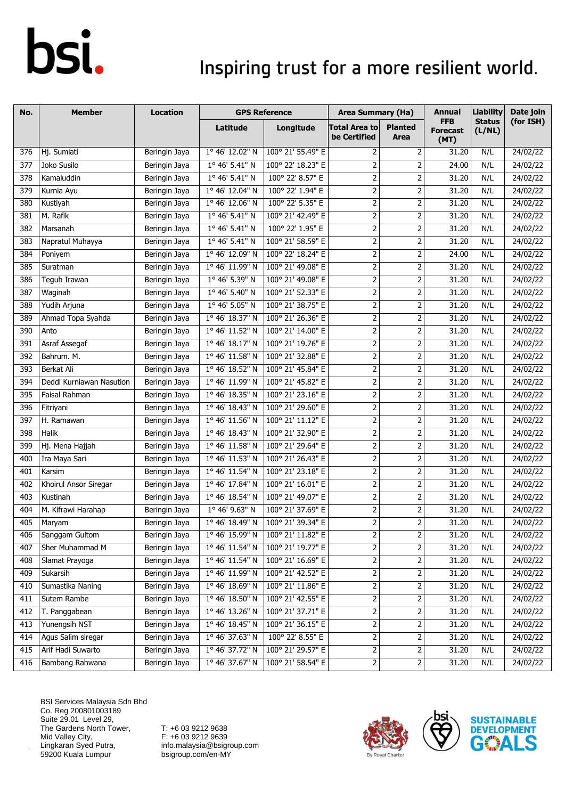### Inspiring trust for a more resilient world.

| No. | <b>Member</b>            | Location      |                         | <b>GPS Reference</b> | <b>Area Summary (Ha)</b>                                                                                         |                         | <b>Annual</b>                         | <b>Liability</b>        | Date join |
|-----|--------------------------|---------------|-------------------------|----------------------|------------------------------------------------------------------------------------------------------------------|-------------------------|---------------------------------------|-------------------------|-----------|
|     |                          |               | Latitude                | Longitude            | <b>Total Area to</b><br>be Certified                                                                             | <b>Planted</b><br>Area  | <b>FFB</b><br><b>Forecast</b><br>(MT) | <b>Status</b><br>(L/NL) | (for ISH) |
| 376 | Hj. Sumiati              | Beringin Jaya | 1° 46' 12.02" N         | 100° 21' 55.49" E    | 2                                                                                                                | $\overline{2}$          | 31.20                                 | N/L                     | 24/02/22  |
| 377 | Joko Susilo              | Beringin Jaya | 1° 46' 5.41" N          | 100° 22' 18.23" E    | $\overline{\mathbf{c}}$                                                                                          | $\overline{\mathbf{c}}$ | 24.00                                 | N/L                     | 24/02/22  |
| 378 | Kamaluddin               | Beringin Jaya | $1^{\circ}$ 46' 5.41" N | 100° 22' 8.57" E     | 2                                                                                                                | 2                       | 31.20                                 | N/L                     | 24/02/22  |
| 379 | Kurnia Ayu               | Beringin Jaya | 1° 46' 12.04" N         | 100° 22' 1.94" E     | 2                                                                                                                | $\overline{2}$          | 31.20                                 | N/L                     | 24/02/22  |
| 380 | Kustiyah                 | Beringin Jaya | 1° 46' 12.06" N         | 100° 22' 5.35" E     | 2                                                                                                                | 2                       | 31.20                                 | N/L                     | 24/02/22  |
| 381 | M. Rafik                 | Beringin Jaya | 1° 46' 5.41" N          | 100° 21' 42.49" E    | $\mathsf{2}\,$                                                                                                   | $\overline{2}$          | 31.20                                 | N/L                     | 24/02/22  |
| 382 | Marsanah                 | Beringin Jaya | 1° 46' 5.41" N          | 100° 22' 1.95" E     | $\overline{2}$                                                                                                   | $\overline{2}$          | 31.20                                 | N/L                     | 24/02/22  |
| 383 | Napratul Muhayya         | Beringin Jaya | 1° 46' 5.41" N          | 100° 21' 58.59" E    | $\mathsf{2}\,$                                                                                                   | $\overline{2}$          | 31.20                                 | N/L                     | 24/02/22  |
| 384 | Poniyem                  | Beringin Jaya | 1° 46' 12.09" N         | 100° 22' 18.24" E    | 2                                                                                                                | $\mathbf 2$             | 24.00                                 | N/L                     | 24/02/22  |
| 385 | Suratman                 | Beringin Jaya | 1° 46' 11.99" N         | 100° 21' 49.08" E    | $\overline{2}$                                                                                                   | $\overline{2}$          | 31.20                                 | N/L                     | 24/02/22  |
| 386 | Teguh Irawan             | Beringin Jaya | 1° 46' 5.39" N          | 100° 21' 49.08" E    | $\overline{2}$                                                                                                   | $\mathbf 2$             | 31.20                                 | N/L                     | 24/02/22  |
| 387 | Waginah                  | Beringin Jaya | 1° 46' 5.40" N          | 100° 21' 52.33" E    | $\overline{2}$                                                                                                   | $\overline{2}$          | 31.20                                 | N/L                     | 24/02/22  |
| 388 | Yudih Arjuna             | Beringin Jaya | 1° 46' 5.05" N          | 100° 21' 38.75" E    | $\overline{2}$                                                                                                   | 2                       | 31.20                                 | N/L                     | 24/02/22  |
| 389 | Ahmad Topa Syahda        | Beringin Jaya | 1° 46' 18.37" N         | 100° 21' 26.36" E    | $\mathsf{2}\,$                                                                                                   | 2                       | 31.20                                 | N/L                     | 24/02/22  |
| 390 | Anto                     | Beringin Jaya | 1° 46' 11.52" N         | 100° 21' 14.00" E    | $\overline{2}$                                                                                                   | $\overline{2}$          | 31.20                                 | N/L                     | 24/02/22  |
| 391 | Asraf Assegaf            | Beringin Jaya | 1° 46' 18.17" N         | 100° 21' 19.76" E    | $\mathsf{2}\,$                                                                                                   | $\overline{2}$          | 31.20                                 | N/L                     | 24/02/22  |
| 392 | Bahrum. M.               | Beringin Jaya | 1° 46' 11.58" N         | 100° 21' 32.88" E    | 2                                                                                                                | $\overline{2}$          | 31.20                                 | N/L                     | 24/02/22  |
| 393 | <b>Berkat Ali</b>        | Beringin Jaya | 1° 46' 18.52" N         | 100° 21' 45.84" E    | $\mathsf{2}\,$                                                                                                   | $\overline{2}$          | 31.20                                 | N/L                     | 24/02/22  |
| 394 | Deddi Kurniawan Nasution | Beringin Jaya | 1° 46' 11.99" N         | 100° 21' 45.82" E    | $\overline{2}$                                                                                                   | $\overline{2}$          | 31.20                                 | N/L                     | 24/02/22  |
| 395 | Faisal Rahman            | Beringin Jaya | 1° 46' 18.35" N         | 100° 21' 23.16" E    | 2                                                                                                                | $\overline{2}$          | 31.20                                 | N/L                     | 24/02/22  |
| 396 | Fitriyani                | Beringin Jaya | 1° 46' 18.43" N         | 100° 21' 29.60" E    | 2                                                                                                                | 2                       | 31.20                                 | N/L                     | 24/02/22  |
| 397 | H. Ramawan               | Beringin Jaya | 1° 46' 11.56" N         | 100° 21' 11.12" E    | $\overline{2}$                                                                                                   | 2                       | 31.20                                 | N/L                     | 24/02/22  |
| 398 | Halik                    | Beringin Jaya | 1° 46' 18.43" N         | 100° 21' 32.90" E    | $\mathsf{2}\!\!\:\mathsf{1}\!\!\:\mathsf{2}\!\!\:\mathsf{1}\!\!\:\mathsf{3}\mathsf{2}\!\!\:\mathsf{4}\mathsf{3}$ | $\mathbf 2$             | 31.20                                 | N/L                     | 24/02/22  |
| 399 | Hj. Mena Hajjah          | Beringin Jaya | 1° 46' 11.58" N         | 100° 21' 29.64" E    | $\overline{2}$                                                                                                   | $\overline{2}$          | 31.20                                 | N/L                     | 24/02/22  |
| 400 | Ira Maya Sari            | Beringin Jaya | 1° 46' 11.53" N         | 100° 21' 26.43" E    | $\mathbf 2$                                                                                                      | $\overline{2}$          | 31.20                                 | N/L                     | 24/02/22  |
| 401 | Karsim                   | Beringin Jaya | 1° 46' 11.54" N         | 100° 21' 23.18" E    | $\mathsf{2}\!\!\:\mathsf{1}\!\!\:\mathsf{2}\!\!\:\mathsf{1}\!\!\:\mathsf{3}\mathsf{2}\!\!\:\mathsf{4}\mathsf{3}$ | $\overline{2}$          | 31.20                                 | N/L                     | 24/02/22  |
| 402 | Khoirul Ansor Siregar    | Beringin Jaya | 1° 46' 17.84" N         | 100° 21' 16.01" E    | $\overline{2}$                                                                                                   | $\overline{2}$          | 31.20                                 | N/L                     | 24/02/22  |
| 403 | Kustinah                 | Beringin Jaya | 1° 46' 18.54" N         | 100° 21' 49.07" E    | $\mathsf{2}\!\!\:\mathsf{1}\!\!\:\mathsf{2}\!\!\:\mathsf{1}\!\!\:\mathsf{3}\mathsf{2}\!\!\:\mathsf{4}\mathsf{3}$ | $\overline{2}$          | 31.20                                 | N/L                     | 24/02/22  |
| 404 | M. Kifrawi Harahap       | Beringin Jaya | 1° 46' 9.63" N          | 100° 21' 37.69" E    | $\overline{2}$                                                                                                   | $\overline{\mathbf{c}}$ | 31.20                                 | N/L                     | 24/02/22  |
| 405 | Maryam                   | Beringin Jaya | 1° 46' 18.49" N         | 100° 21' 39.34" E    | 2                                                                                                                | $\overline{2}$          | 31.20                                 | N/L                     | 24/02/22  |
| 406 | Sanggam Gultom           | Beringin Jaya | $1°$ 46' 15.99" N       | 100° 21' 11.82" E    | $\overline{\mathbf{c}}$                                                                                          | 2                       | 31.20                                 | N/L                     | 24/02/22  |
| 407 | Sher Muhammad M          | Beringin Jaya | 1° 46' 11.54" N         | 100° 21' 19.77" E    | 2                                                                                                                | 2                       | 31.20                                 | N/L                     | 24/02/22  |
| 408 | Slamat Prayoga           | Beringin Jaya | 1° 46' 11.54" N         | 100° 21' 16.69" E    | $\overline{2}$                                                                                                   |                         | 31.20                                 | N/L                     | 24/02/22  |
| 409 | Sukarsih                 | Beringin Jaya | 1° 46' 11.99" N         | 100° 21' 42.52" E    | $\mathsf{2}\,$                                                                                                   | 2                       | 31.20                                 | N/L                     | 24/02/22  |
| 410 | Sumastika Naning         | Beringin Jaya | 1° 46' 18.69" N         | 100° 21' 11.86" E    | $\mathbf{2}$                                                                                                     | $\mathbf 2$             | 31.20                                 | N/L                     | 24/02/22  |
| 411 | Sutem Rambe              | Beringin Jaya | 1° 46' 18.50" N         | 100° 21' 42.55" E    | $\overline{\mathbf{c}}$                                                                                          | $\overline{2}$          | 31.20                                 | N/L                     | 24/02/22  |
| 412 | T. Panggabean            | Beringin Jaya | 1° 46' 13.26" N         | 100° 21' 37.71" E    | $\overline{c}$                                                                                                   |                         | 31.20                                 | N/L                     | 24/02/22  |
| 413 | Yunengsih NST            | Beringin Jaya | 1° 46' 18.45" N         | 100° 21' 36.15" E    | $\mathsf{2}\!\!\:\mathsf{1}\!\!\:\mathsf{2}\!\!\:\mathsf{1}\!\!\:\mathsf{3}\mathsf{2}\!\!\:\mathsf{4}\mathsf{3}$ | $\mathsf{2}$            | 31.20                                 | N/L                     | 24/02/22  |
| 414 | Agus Salim siregar       | Beringin Jaya | 1° 46' 37.63" N         | 100° 22' 8.55" E     | $\mathbf{2}$                                                                                                     | $\mathsf{2}$            | 31.20                                 | N/L                     | 24/02/22  |
| 415 | Arif Hadi Suwarto        | Beringin Jaya | 1° 46' 37.72" N         | 100° 21' 29.57" E    | $\overline{c}$                                                                                                   | 2                       | 31.20                                 | N/L                     | 24/02/22  |
| 416 | Bambang Rahwana          | Beringin Jaya | 1° 46' 37.67" N         | 100° 21' 58.54" E    | $\mathbf{2}$                                                                                                     | $\overline{2}$          | 31.20                                 | N/L                     | 24/02/22  |

BSI Services Malaysia Sdn Bhd Co. Reg 200801003189 Suite 29.01 Level 29, The Gardens North Tower, Mid Valley City, Lingkaran Syed Putra, 59200 Kuala Lumpur



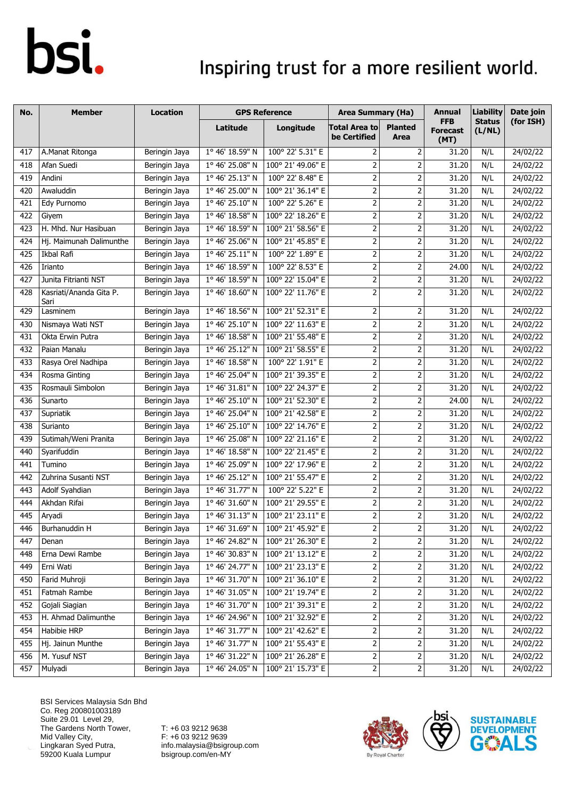### Inspiring trust for a more resilient world.

| No. | <b>Member</b>                   | <b>Location</b> |                          | <b>GPS Reference</b>                       | <b>Area Summary (Ha)</b>             |                         | <b>Annual</b>                         | <b>Liability</b>        | Date join |
|-----|---------------------------------|-----------------|--------------------------|--------------------------------------------|--------------------------------------|-------------------------|---------------------------------------|-------------------------|-----------|
|     |                                 |                 | Latitude                 | Longitude                                  | <b>Total Area to</b><br>be Certified | <b>Planted</b><br>Area  | <b>FFB</b><br><b>Forecast</b><br>(MT) | <b>Status</b><br>(L/NL) | (for ISH) |
| 417 | A.Manat Ritonga                 | Beringin Jaya   | 1° 46' 18.59" N          | 100° 22' 5.31" E                           | 2                                    | 2                       | 31.20                                 | N/L                     | 24/02/22  |
| 418 | Afan Suedi                      | Beringin Jaya   | 1° 46' 25.08" N          | 100° 21' 49.06" E                          | $\mathbf 2$                          | $\mathbf 2$             | 31.20                                 | N/L                     | 24/02/22  |
| 419 | Andini                          | Beringin Jaya   | 1° 46' 25.13" N          | 100° 22' 8.48" E                           | $\overline{2}$                       | $\overline{2}$          | 31.20                                 | N/L                     | 24/02/22  |
| 420 | Awaluddin                       | Beringin Jaya   | 1° 46' 25.00" N          | 100° 21' 36.14" E                          | $\overline{2}$                       | $\mathbf 2$             | 31.20                                 | N/L                     | 24/02/22  |
| 421 | Edy Purnomo                     | Beringin Jaya   | 1° 46' 25.10" N          | 100° 22' 5.26" E                           | $\overline{2}$                       | 2                       | 31.20                                 | N/L                     | 24/02/22  |
| 422 | Giyem                           | Beringin Jaya   | $1^{\circ}$ 46' 18.58" N | 100° 22' 18.26" E                          | $\overline{2}$                       | $\mathbf 2$             | 31.20                                 | N/L                     | 24/02/22  |
| 423 | H. Mhd. Nur Hasibuan            | Beringin Jaya   | 1° 46' 18.59" N          | 100° 21' 58.56" E                          | $\overline{2}$                       | 2                       | 31.20                                 | N/L                     | 24/02/22  |
| 424 | Hj. Maimunah Dalimunthe         | Beringin Jaya   | 1° 46' 25.06" N          | 100° 21' 45.85" E                          | $\overline{2}$                       | $\mathbf 2$             | 31.20                                 | N/L                     | 24/02/22  |
| 425 | Ikbal Rafi                      | Beringin Jaya   | 1° 46' 25.11" N          | 100° 22' 1.89" E                           | $\overline{2}$                       | $\mathbf 2$             | 31.20                                 | N/L                     | 24/02/22  |
| 426 | Irianto                         | Beringin Jaya   | 1° 46' 18.59" N          | 100° 22' 8.53" E                           | $\overline{2}$                       | $\mathbf 2$             | 24.00                                 | N/L                     | 24/02/22  |
| 427 | Junita Fitrianti NST            | Beringin Jaya   | 1° 46' 18.59" N          | 100° 22' 15.04" E                          | $\overline{2}$                       | $\mathbf 2$             | 31.20                                 | N/L                     | 24/02/22  |
| 428 | Kasriati/Ananda Gita P.<br>Sari | Beringin Jaya   | 1° 46' 18.60" N          | 100° 22' 11.76" E                          | $\overline{2}$                       | $\overline{2}$          | 31.20                                 | N/L                     | 24/02/22  |
| 429 | Lasminem                        | Beringin Jaya   | 1° 46' 18.56" N          | 100° 21' 52.31" E                          | $\overline{2}$                       | $\mathbf 2$             | 31.20                                 | N/L                     | 24/02/22  |
| 430 | Nismaya Wati NST                | Beringin Jaya   | 1° 46' 25.10" N          | 100° 22' 11.63" E                          | $\overline{2}$                       | $\mathbf 2$             | 31.20                                 | N/L                     | 24/02/22  |
| 431 | Okta Erwin Putra                | Beringin Jaya   | 1° 46' 18.58" N          | 100° 21' 55.48" E                          | $\overline{2}$                       | $\mathbf 2$             | 31.20                                 | N/L                     | 24/02/22  |
| 432 | Paian Manalu                    | Beringin Jaya   | 1° 46' 25.12" N          | 100° 21' 58.55" E                          | $\overline{2}$                       | 2                       | 31.20                                 | N/L                     | 24/02/22  |
| 433 | Rasya Orel Nadhipa              | Beringin Jaya   | 1° 46' 18.58" N          | 100° 22' 1.91" E                           | $\overline{2}$                       | $\mathbf 2$             | 31.20                                 | N/L                     | 24/02/22  |
| 434 | Rosma Ginting                   | Beringin Jaya   | $1^{\circ}$ 46' 25.04" N | 100° 21' 39.35" E                          | $\overline{2}$                       | $\mathbf 2$             | 31.20                                 | N/L                     | 24/02/22  |
| 435 | Rosmauli Simbolon               | Beringin Jaya   | 1° 46' 31.81" N          | 100° 22' 24.37" E                          | $\overline{2}$                       | 2                       | 31.20                                 | N/L                     | 24/02/22  |
| 436 | Sunarto                         | Beringin Jaya   | 1° 46' 25.10" N          | 100° 21' 52.30" E                          | $\overline{2}$                       | $\overline{2}$          | 24.00                                 | N/L                     | 24/02/22  |
| 437 | Supriatik                       | Beringin Jaya   | 1° 46' 25.04" N          | 100° 21' 42.58" E                          | $\overline{2}$                       | 2                       | 31.20                                 | N/L                     | 24/02/22  |
| 438 | Surianto                        | Beringin Jaya   | 1° 46' 25.10" N          | 100° 22' 14.76" E                          | $\mathbf{2}$                         | $\mathbf 2$             | 31.20                                 | N/L                     | 24/02/22  |
| 439 | Sutimah/Weni Pranita            | Beringin Jaya   | 1° 46' 25.08" N          | 100° 22' 21.16" E                          | $\overline{2}$                       | $\overline{2}$          | 31.20                                 | N/L                     | 24/02/22  |
| 440 | Syarifuddin                     | Beringin Jaya   | 1° 46' 18.58" N          | 100° 22' 21.45" E                          | $\overline{2}$                       | 2                       | 31.20                                 | N/L                     | 24/02/22  |
| 441 | Tumino                          | Beringin Jaya   | 1° 46' 25.09" N          | 100° 22' 17.96" E                          | $\overline{2}$                       | $\overline{2}$          | 31.20                                 | N/L                     | 24/02/22  |
| 442 | Zuhrina Susanti NST             | Beringin Jaya   | 1° 46' 25.12" N          | 100° 21' 55.47" E                          | $\mathbf{2}$                         | 2                       | 31.20                                 | N/L                     | 24/02/22  |
| 443 | Adolf Syahdian                  | Beringin Jaya   | 1° 46' 31.77" N          | 100° 22' 5.22" E                           | $\overline{2}$                       | $\mathbf 2$             | 31.20                                 | N/L                     | 24/02/22  |
| 444 | Akhdan Rifai                    | Beringin Jaya   | 1° 46' 31.60" N          | 100° 21' 29.55" E                          | $\overline{2}$                       | $\mathbf 2$             | 31.20                                 | N/L                     | 24/02/22  |
| 445 | Aryadi                          | Beringin Jaya   | 1° 46' 31.13" N          | 100° 21' 23.11" E                          | $\overline{2}$                       | $\mathbf 2$             | 31.20                                 | N/L                     | 24/02/22  |
| 446 | Burhanuddin H                   | Beringin Jaya   |                          | $1^{\circ}$ 46' 31.69" N 100° 21' 45.92" E | $\overline{2}$                       | $\overline{2}$          | 31.20                                 | N/L                     | 24/02/22  |
| 447 | Denan                           | Beringin Jaya   | 1° 46' 24.82" N          | 100° 21' 26.30" E                          | $\mathbf 2$                          | $\overline{2}$          | 31.20                                 | N/L                     | 24/02/22  |
| 448 | Erna Dewi Rambe                 | Beringin Jaya   | 1° 46' 30.83" N          | 100° 21' 13.12" E                          | 2                                    | $\overline{\mathbf{c}}$ | 31.20                                 | N/L                     | 24/02/22  |
| 449 | Erni Wati                       | Beringin Jaya   | 1° 46' 24.77" N          | 100° 21' 23.13" E                          | $\mathbf 2$                          | 2                       | 31.20                                 | N/L                     | 24/02/22  |
| 450 | Farid Muhroji                   | Beringin Jaya   | 1° 46' 31.70" N          | 100° 21' 36.10" E                          | $\overline{\mathbf{c}}$              | $\mathsf{2}$            | 31.20                                 | N/L                     | 24/02/22  |
| 451 | Fatmah Rambe                    | Beringin Jaya   | 1° 46' 31.05" N          | 100° 21' 19.74" E                          | $\overline{2}$                       | $\mathbf 2$             | 31.20                                 | N/L                     | 24/02/22  |
| 452 | Gojali Siagian                  | Beringin Jaya   | 1° 46' 31.70" N          | 100° 21' 39.31" E                          | 2                                    | $\mathbf 2$             | 31.20                                 | N/L                     | 24/02/22  |
| 453 | H. Ahmad Dalimunthe             | Beringin Jaya   | 1° 46' 24.96" N          | 100° 21' 32.92" E                          | 2                                    | 2                       | 31.20                                 | N/L                     | 24/02/22  |
| 454 | Habibie HRP                     | Beringin Jaya   | 1° 46' 31.77" N          | 100° 21' 42.62" E                          | $\overline{2}$                       | 2                       | 31.20                                 | N/L                     | 24/02/22  |
| 455 | Hj. Jainun Munthe               | Beringin Jaya   | 1° 46' 31.77" N          | 100° 21' 55.43" E                          | $\mathbf 2$                          | $\overline{\mathbf{c}}$ | 31.20                                 | N/L                     | 24/02/22  |
| 456 | M. Yusuf NST                    | Beringin Jaya   | 1° 46' 31.22" N          | 100° 21' 26.28" E                          | $\overline{a}$                       | 2                       | 31.20                                 | N/L                     | 24/02/22  |
| 457 | Mulyadi                         | Beringin Jaya   | 1° 46' 24.05" N          | 100° 21' 15.73" E                          | $\mathbf{2}$                         | $\mathbf 2$             | 31.20                                 | N/L                     | 24/02/22  |

BSI Services Malaysia Sdn Bhd Co. Reg 200801003189 Suite 29.01 Level 29, The Gardens North Tower, Mid Valley City, Lingkaran Syed Putra, 59200 Kuala Lumpur



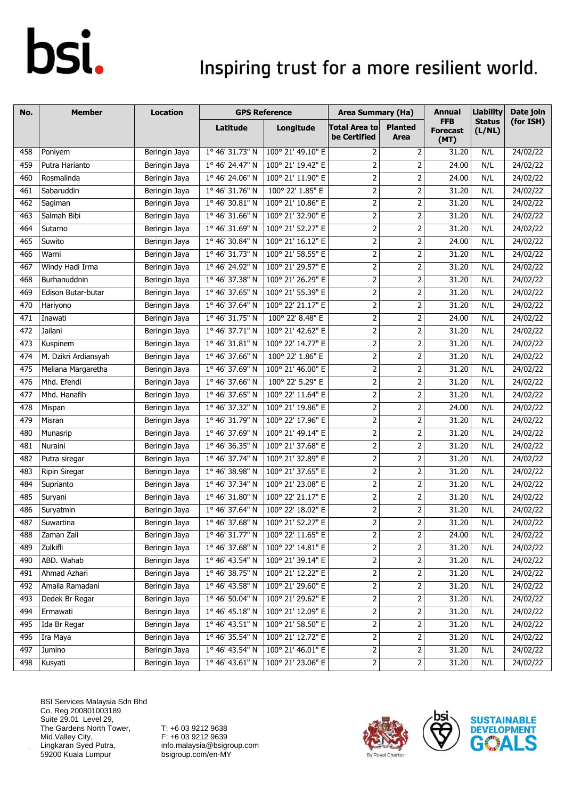### Inspiring trust for a more resilient world.

| No. | <b>Member</b>        | <b>Location</b> | <b>GPS Reference</b>     |                   | <b>Area Summary (Ha)</b>                                                                                         |                                                                                                                  | Annual                                | <b>Liability</b>        | Date join |
|-----|----------------------|-----------------|--------------------------|-------------------|------------------------------------------------------------------------------------------------------------------|------------------------------------------------------------------------------------------------------------------|---------------------------------------|-------------------------|-----------|
|     |                      |                 | <b>Latitude</b>          | Longitude         | <b>Total Area to</b><br>be Certified                                                                             | <b>Planted</b><br>Area                                                                                           | <b>FFB</b><br><b>Forecast</b><br>(MT) | <b>Status</b><br>(L/NL) | (for ISH) |
| 458 | Poniyem              | Beringin Jaya   | 1° 46' 31.73" N          | 100° 21' 49.10" E | $\overline{2}$                                                                                                   | 2                                                                                                                | 31.20                                 | N/L                     | 24/02/22  |
| 459 | Putra Harianto       | Beringin Jaya   | 1° 46' 24.47" N          | 100° 21' 19.42" E | $\mathsf{2}\!\!\:\mathsf{1}\!\!\:\mathsf{2}\!\!\:\mathsf{1}\!\!\:\mathsf{3}\mathsf{2}\!\!\:\mathsf{4}\mathsf{3}$ | 2                                                                                                                | 24.00                                 | N/L                     | 24/02/22  |
| 460 | Rosmalinda           | Beringin Jaya   | 1° 46' 24.06" N          | 100° 21' 11.90" E | $\mathbf 2$                                                                                                      | 2                                                                                                                | 24.00                                 | N/L                     | 24/02/22  |
| 461 | Sabaruddin           | Beringin Jaya   | 1° 46' 31.76" N          | 100° 22' 1.85" E  | $\mathbf{2}$                                                                                                     | $\mathbf 2$                                                                                                      | 31.20                                 | N/L                     | 24/02/22  |
| 462 | Sagiman              | Beringin Jaya   | 1° 46' 30.81" N          | 100° 21' 10.86" E | $\overline{2}$                                                                                                   | 2                                                                                                                | 31.20                                 | N/L                     | 24/02/22  |
| 463 | Salmah Bibi          | Beringin Jaya   | 1° 46' 31.66" N          | 100° 21' 32.90" E | $\mathbf 2$                                                                                                      | 2                                                                                                                | 31.20                                 | N/L                     | 24/02/22  |
| 464 | Sutarno              | Beringin Jaya   | 1° 46' 31.69" N          | 100° 21' 52.27" E | $\overline{2}$                                                                                                   | $\overline{2}$                                                                                                   | 31.20                                 | N/L                     | 24/02/22  |
| 465 | Suwito               | Beringin Jaya   | 1° 46' 30.84" N          | 100° 21' 16.12" E | $\mathbf{2}$                                                                                                     | $\mathbf 2$                                                                                                      | 24.00                                 | N/L                     | 24/02/22  |
| 466 | Warni                | Beringin Jaya   | 1° 46' 31.73" N          | 100° 21' 58.55" E | $\overline{2}$                                                                                                   | $\overline{2}$                                                                                                   | 31.20                                 | N/L                     | 24/02/22  |
| 467 | Windy Hadi Irma      | Beringin Jaya   | 1° 46' 24.92" N          | 100° 21' 29.57" E | $\overline{2}$                                                                                                   | $\overline{2}$                                                                                                   | 31.20                                 | N/L                     | 24/02/22  |
| 468 | Burhanuddnin         | Beringin Jaya   | 1° 46' 37.38" N          | 100° 21' 26.29" E | $\overline{2}$                                                                                                   | $\mathbf 2$                                                                                                      | 31.20                                 | N/L                     | 24/02/22  |
| 469 | Edison Butar-butar   | Beringin Jaya   | 1° 46' 37.65" N          | 100° 21' 55.39" E | $\overline{2}$                                                                                                   | 2                                                                                                                | 31.20                                 | N/L                     | 24/02/22  |
| 470 | Hariyono             | Beringin Jaya   | 1° 46' 37.64" N          | 100° 22' 21.17" E | $\overline{2}$                                                                                                   | 2                                                                                                                | 31.20                                 | N/L                     | 24/02/22  |
| 471 | Inawati              | Beringin Jaya   | 1° 46' 31.75" N          | 100° 22' 8.48" E  | $\mathbf 2$                                                                                                      | 2                                                                                                                | 24.00                                 | N/L                     | 24/02/22  |
| 472 | Jailani              | Beringin Jaya   | 1° 46' 37.71" N          | 100° 21' 42.62" E | $\overline{2}$                                                                                                   | $\mathbf 2$                                                                                                      | 31.20                                 | N/L                     | 24/02/22  |
| 473 | Kuspinem             | Beringin Jaya   | 1° 46' 31.81" N          | 100° 22' 14.77" E | $\mathbf 2$                                                                                                      | 2                                                                                                                | 31.20                                 | N/L                     | 24/02/22  |
| 474 | M. Dzikri Ardiansyah | Beringin Jaya   | 1° 46' 37.66" N          | 100° 22' 1.86" E  | $\mathbf 2$                                                                                                      | 2                                                                                                                | 31.20                                 | N/L                     | 24/02/22  |
| 475 | Meliana Margaretha   | Beringin Jaya   | 1° 46' 37.69" N          | 100° 21' 46.00" E | $\mathbf 2$                                                                                                      | 2                                                                                                                | 31.20                                 | N/L                     | 24/02/22  |
| 476 | Mhd. Efendi          | Beringin Jaya   | 1° 46' 37.66" N          | 100° 22' 5.29" E  | $\overline{2}$                                                                                                   | 2                                                                                                                | 31.20                                 | N/L                     | 24/02/22  |
| 477 | Mhd. Hanafih         | Beringin Jaya   | 1° 46' 37.65" N          | 100° 22' 11.64" E | 2                                                                                                                | 2                                                                                                                | 31.20                                 | N/L                     | 24/02/22  |
| 478 | Mispan               | Beringin Jaya   | 1° 46' 37.32" N          | 100° 21' 19.86" E | $\overline{2}$                                                                                                   | 2                                                                                                                | 24.00                                 | N/L                     | 24/02/22  |
| 479 | Misran               | Beringin Jaya   | 1° 46' 31.79" N          | 100° 22' 17.96" E | $\overline{2}$                                                                                                   | 2                                                                                                                | 31.20                                 | N/L                     | 24/02/22  |
| 480 | Munasrip             | Beringin Jaya   | 1° 46' 37.69" N          | 100° 21' 49.14" E | $\overline{2}$                                                                                                   | $\mathbf 2$                                                                                                      | 31.20                                 | N/L                     | 24/02/22  |
| 481 | Nuraini              | Beringin Jaya   | 1° 46' 36.35" N          | 100° 21' 37.68" E | $\overline{2}$                                                                                                   | 2                                                                                                                | 31.20                                 | N/L                     | 24/02/22  |
| 482 | Putra siregar        | Beringin Jaya   | 1° 46' 37.74" N          | 100° 21' 32.89" E | $\overline{2}$                                                                                                   | $\mathbf 2$                                                                                                      | 31.20                                 | N/L                     | 24/02/22  |
| 483 | <b>Ripin Siregar</b> | Beringin Jaya   | 1° 46' 38.98" N          | 100° 21' 37.65" E | $\mathbf 2$                                                                                                      | $\mathbf 2$                                                                                                      | 31.20                                 | N/L                     | 24/02/22  |
| 484 | Suprianto            | Beringin Jaya   | 1° 46' 37.34" N          | 100° 21' 23.08" E | $\overline{2}$                                                                                                   | $\overline{2}$                                                                                                   | 31.20                                 | N/L                     | 24/02/22  |
| 485 | Suryani              | Beringin Jaya   | $1^{\circ}$ 46' 31.80" N | 100° 22' 21.17" E | $\mathbf 2$                                                                                                      | 2                                                                                                                | 31.20                                 | N/L                     | 24/02/22  |
| 486 | Suryatmin            | Beringin Jaya   | 1° 46' 37.64" N          | 100° 22' 18.02" E | $\overline{2}$                                                                                                   | $\mathbf 2$                                                                                                      | 31.20                                 | N/L                     | 24/02/22  |
| 487 | Suwartina            | Beringin Jaya   | 1° 46' 37.68" N          | 100° 21' 52.27" E | $\overline{2}$                                                                                                   | 2                                                                                                                | 31.20                                 | N/L                     | 24/02/22  |
| 488 | Zaman Zali           | Beringin Jaya   | $1°$ 46' 31.77" N        | 100° 22' 11.65" E | 2                                                                                                                | 2                                                                                                                | 24.00                                 | N/L                     | 24/02/22  |
| 489 | Zulkifli             | Beringin Jaya   | 1° 46' 37.68" N          | 100° 22' 14.81" E | $\overline{2}$                                                                                                   | 2                                                                                                                | 31.20                                 | N/L                     | 24/02/22  |
| 490 | ABD. Wahab           | Beringin Jaya   | 1° 46' 43.54" N          | 100° 21' 39.14" E | $\mathbf 2$                                                                                                      | 2                                                                                                                | 31.20                                 | N/L                     | 24/02/22  |
| 491 | Ahmad Azhari         | Beringin Jaya   | 1° 46' 38.75" N          | 100° 21' 12.22" E | $\mathbf 2$                                                                                                      | 2                                                                                                                | 31.20                                 | N/L                     | 24/02/22  |
| 492 | Amalia Ramadani      | Beringin Jaya   | 1° 46' 43.58" N          | 100° 21' 29.60" E | $\mathbf{2}$                                                                                                     | $\mathsf{2}\!\!\:\mathsf{1}\!\!\:\mathsf{2}\!\!\:\mathsf{1}\!\!\:\mathsf{3}\mathsf{2}\!\!\:\mathsf{4}\mathsf{3}$ | 31.20                                 | N/L                     | 24/02/22  |
| 493 | Dedek Br Regar       | Beringin Jaya   | 1° 46' 50.04" N          | 100° 21' 29.62" E | $\overline{c}$                                                                                                   | 2                                                                                                                | 31.20                                 | N/L                     | 24/02/22  |
| 494 | Ermawati             | Beringin Jaya   | 1° 46' 45.18" N          | 100° 21' 12.09" E | $\overline{2}$                                                                                                   | 2                                                                                                                | 31.20                                 | N/L                     | 24/02/22  |
| 495 | Ida Br Regar         | Beringin Jaya   | 1° 46' 43.51" N          | 100° 21' 58.50" E | $\mathbf 2$                                                                                                      | 2                                                                                                                | 31.20                                 | N/L                     | 24/02/22  |
| 496 | Ira Maya             | Beringin Jaya   | 1° 46' 35.54" N          | 100° 21' 12.72" E | $\overline{2}$                                                                                                   | 2                                                                                                                | 31.20                                 | N/L                     | 24/02/22  |
| 497 | Jumino               | Beringin Jaya   | 1° 46' 43.54" N          | 100° 21' 46.01" E | 2                                                                                                                | 2                                                                                                                | 31.20                                 | N/L                     | 24/02/22  |
| 498 | Kusyati              | Beringin Jaya   | $1^{\circ}$ 46' 43.61" N | 100° 21' 23.06" E | $\mathbf{2}$                                                                                                     | 2                                                                                                                | 31.20                                 | N/L                     | 24/02/22  |

BSI Services Malaysia Sdn Bhd Co. Reg 200801003189 Suite 29.01 Level 29, The Gardens North Tower, Mid Valley City, Lingkaran Syed Putra, 59200 Kuala Lumpur



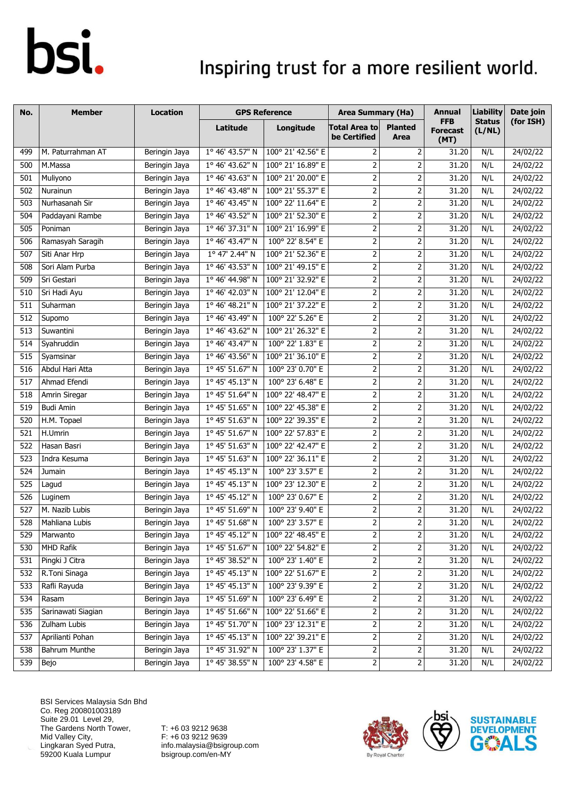### Inspiring trust for a more resilient world.

| No.              | <b>Member</b>        | <b>Location</b> | <b>GPS Reference</b>     |                   | <b>Area Summary (Ha)</b>             |                                                                                                                  | Annual                                | <b>Liability</b>        | Date join |
|------------------|----------------------|-----------------|--------------------------|-------------------|--------------------------------------|------------------------------------------------------------------------------------------------------------------|---------------------------------------|-------------------------|-----------|
|                  |                      |                 | <b>Latitude</b>          | Longitude         | <b>Total Area to</b><br>be Certified | <b>Planted</b><br>Area                                                                                           | <b>FFB</b><br><b>Forecast</b><br>(MT) | <b>Status</b><br>(L/NL) | (for ISH) |
| 499              | M. Paturrahman AT    | Beringin Jaya   | 1° 46' 43.57" N          | 100° 21' 42.56" E | $\overline{2}$                       | 2                                                                                                                | 31.20                                 | N/L                     | 24/02/22  |
| 500              | M.Massa              | Beringin Jaya   | 1° 46' 43.62" N          | 100° 21' 16.89" E | $\mathsf{2}\,$                       | 2                                                                                                                | 31.20                                 | N/L                     | 24/02/22  |
| 501              | Muliyono             | Beringin Jaya   | 1° 46' 43.63" N          | 100° 21' 20.00" E | $\overline{2}$                       | 2                                                                                                                | 31.20                                 | N/L                     | 24/02/22  |
| 502              | Nurainun             | Beringin Jaya   | 1° 46' 43.48" N          | 100° 21' 55.37" E | $\overline{2}$                       | $\overline{2}$                                                                                                   | 31.20                                 | N/L                     | 24/02/22  |
| 503              | Nurhasanah Sir       | Beringin Jaya   | 1° 46' 43.45" N          | 100° 22' 11.64" E | $\overline{2}$                       | 2                                                                                                                | 31.20                                 | N/L                     | 24/02/22  |
| 504              | Paddayani Rambe      | Beringin Jaya   | 1° 46' 43.52" N          | 100° 21' 52.30" E | $\mathbf 2$                          | 2                                                                                                                | 31.20                                 | N/L                     | 24/02/22  |
| 505              | Poniman              | Beringin Jaya   | 1° 46' 37.31" N          | 100° 21' 16.99" E | $\overline{2}$                       | $\overline{2}$                                                                                                   | 31.20                                 | N/L                     | 24/02/22  |
| 506              | Ramasyah Saragih     | Beringin Jaya   | 1° 46' 43.47" N          | 100° 22' 8.54" E  | $\mathbf{2}$                         | 2                                                                                                                | 31.20                                 | N/L                     | 24/02/22  |
| 507              | Siti Anar Hrp        | Beringin Jaya   | 1º 47' 2.44" N           | 100° 21' 52.36" E | $\overline{2}$                       | $\overline{2}$                                                                                                   | 31.20                                 | N/L                     | 24/02/22  |
| 508              | Sori Alam Purba      | Beringin Jaya   | 1° 46' 43.53" N          | 100° 21' 49.15" E | $\overline{2}$                       | $\overline{2}$                                                                                                   | 31.20                                 | N/L                     | 24/02/22  |
| 509              | Sri Gestari          | Beringin Jaya   | 1° 46' 44.98" N          | 100° 21' 32.92" E | $\overline{2}$                       | $\mathbf 2$                                                                                                      | 31.20                                 | N/L                     | 24/02/22  |
| 510              | Sri Hadi Ayu         | Beringin Jaya   | 1° 46' 42.03" N          | 100° 21' 12.04" E | $\overline{2}$                       | 2                                                                                                                | 31.20                                 | N/L                     | 24/02/22  |
| 511              | Suharman             | Beringin Jaya   | 1° 46' 48.21" N          | 100° 21' 37.22" E | $\overline{2}$                       | 2                                                                                                                | 31.20                                 | N/L                     | 24/02/22  |
| 512              | Supomo               | Beringin Jaya   | 1° 46' 43.49" N          | 100° 22' 5.26" E  | $\mathbf 2$                          | 2                                                                                                                | 31.20                                 | N/L                     | 24/02/22  |
| 513              | Suwantini            | Beringin Jaya   | 1° 46' 43.62" N          | 100° 21' 26.32" E | $\overline{2}$                       | $\mathbf 2$                                                                                                      | 31.20                                 | N/L                     | 24/02/22  |
| 514              | Syahruddin           | Beringin Jaya   | 1° 46' 43.47" N          | 100° 22' 1.83" E  | $\mathbf 2$                          | 2                                                                                                                | 31.20                                 | N/L                     | 24/02/22  |
| 515              | Syamsinar            | Beringin Jaya   | 1° 46' 43.56" N          | 100° 21' 36.10" E | $\mathbf 2$                          | 2                                                                                                                | 31.20                                 | N/L                     | 24/02/22  |
| 516              | Abdul Hari Atta      | Beringin Jaya   | 1° 45' 51.67" N          | 100° 23' 0.70" E  | $\mathbf 2$                          | 2                                                                                                                | 31.20                                 | N/L                     | 24/02/22  |
| 517              | Ahmad Efendi         | Beringin Jaya   | 1° 45' 45.13" N          | 100° 23' 6.48" E  | $\overline{2}$                       | 2                                                                                                                | 31.20                                 | N/L                     | 24/02/22  |
| 518              | Amrin Siregar        | Beringin Jaya   | 1° 45' 51.64" N          | 100° 22' 48.47" E | 2                                    | 2                                                                                                                | 31.20                                 | N/L                     | 24/02/22  |
| 519              | <b>Budi Amin</b>     | Beringin Jaya   | 1° 45' 51.65" N          | 100° 22' 45.38" E | $\overline{2}$                       | $\overline{2}$                                                                                                   | 31.20                                 | N/L                     | 24/02/22  |
| 520              | H.M. Topael          | Beringin Jaya   | 1° 45' 51.63" N          | 100° 22' 39.35" E | $\overline{2}$                       | 2                                                                                                                | 31.20                                 | N/L                     | 24/02/22  |
| 521              | H.Umrin              | Beringin Jaya   | 1° 45' 51.67" N          | 100° 22' 57.83" E | $\overline{2}$                       | $\mathbf 2$                                                                                                      | 31.20                                 | N/L                     | 24/02/22  |
| 522              | Hasan Basri          | Beringin Jaya   | 1° 45' 51.63" N          | 100° 22' 42.47" E | $\overline{2}$                       | 2                                                                                                                | 31.20                                 | N/L                     | 24/02/22  |
| 523              | Indra Kesuma         | Beringin Jaya   | 1° 45' 51.63" N          | 100° 22' 36.11" E | $\mathbf{2}$                         | $\mathbf 2$                                                                                                      | 31.20                                 | N/L                     | 24/02/22  |
| 524              | Jumain               | Beringin Jaya   | 1° 45' 45.13" N          | 100° 23' 3.57" E  | $\mathbf 2$                          | $\mathbf 2$                                                                                                      | 31.20                                 | N/L                     | 24/02/22  |
| 525              | Lagud                | Beringin Jaya   | 1° 45' 45.13" N          | 100° 23' 12.30" E | $\overline{2}$                       | $\overline{2}$                                                                                                   | 31.20                                 | N/L                     | 24/02/22  |
| 526              | Luginem              | Beringin Jaya   | $1^{\circ}$ 45' 45.12" N | 100° 23' 0.67" E  | $\mathbf 2$                          | 2                                                                                                                | 31.20                                 | N/L                     | 24/02/22  |
| $\overline{527}$ | M. Nazib Lubis       | Beringin Jaya   | 1° 45' 51.69" N          | 100° 23' 9.40" E  | $\overline{2}$                       | $\mathbf 2$                                                                                                      | 31.20                                 | N/L                     | 24/02/22  |
| 528              | Mahliana Lubis       | Beringin Jaya   | 1° 45' 51.68" N          | 100° 23' 3.57" E  | $\overline{2}$                       | 2                                                                                                                | 31.20                                 | N/L                     | 24/02/22  |
| 529              | Marwanto             | Beringin Jaya   | 1° 45' 45.12" N          | 100° 22' 48.45" E | 2                                    | 2                                                                                                                | 31.20                                 | N/L                     | 24/02/22  |
| 530              | MHD Rafik            | Beringin Jaya   | 1° 45' 51.67" N          | 100° 22' 54.82" E | $\overline{2}$                       | 2                                                                                                                | 31.20                                 | N/L                     | 24/02/22  |
| 531              | Pingki J Citra       | Beringin Jaya   | 1° 45' 38.52" N          | 100° 23' 1.40" E  | $\mathbf 2$                          | 2                                                                                                                | 31.20                                 | N/L                     | 24/02/22  |
| 532              | R.Toni Sinaga        | Beringin Jaya   | 1° 45' 45.13" N          | 100° 22' 51.67" E | $\mathbf 2$                          | 2                                                                                                                | 31.20                                 | N/L                     | 24/02/22  |
| 533              | Rafli Rayuda         | Beringin Jaya   | 1° 45' 45.13" N          | 100° 23' 9.39" E  | $\mathbf{2}$                         | $\mathsf{2}\!\!\:\mathsf{1}\!\!\:\mathsf{2}\!\!\:\mathsf{1}\!\!\:\mathsf{3}\mathsf{2}\!\!\:\mathsf{4}\mathsf{3}$ | 31.20                                 | N/L                     | 24/02/22  |
| 534              | Rasam                | Beringin Jaya   | 1° 45' 51.69" N          | 100° 23' 6.49" E  | $\overline{c}$                       | 2                                                                                                                | 31.20                                 | N/L                     | 24/02/22  |
| 535              | Sarinawati Siagian   | Beringin Jaya   | 1° 45' 51.66" N          | 100° 22' 51.66" E | $\overline{2}$                       | 2                                                                                                                | 31.20                                 | N/L                     | 24/02/22  |
| 536              | Zulham Lubis         | Beringin Jaya   | 1° 45' 51.70" N          | 100° 23' 12.31" E | $\mathbf 2$                          | 2                                                                                                                | 31.20                                 | N/L                     | 24/02/22  |
| 537              | Aprilianti Pohan     | Beringin Jaya   | 1° 45' 45.13" N          | 100° 22' 39.21" E | $\overline{2}$                       | $\mathsf{2}\!\!\:\mathsf{1}\!\!\:\mathsf{2}\!\!\:\mathsf{1}\!\!\:\mathsf{3}\mathsf{2}\!\!\:\mathsf{4}\mathsf{3}$ | 31.20                                 | N/L                     | 24/02/22  |
| 538              | <b>Bahrum Munthe</b> | Beringin Jaya   | 1° 45' 31.92" N          | 100° 23' 1.37" E  | $\overline{c}$                       | 2                                                                                                                | 31.20                                 | N/L                     | 24/02/22  |
| 539              | Bejo                 | Beringin Jaya   | 1° 45' 38.55" N          | 100° 23' 4.58" E  | $\overline{2}$                       | 2                                                                                                                | 31.20                                 | N/L                     | 24/02/22  |

BSI Services Malaysia Sdn Bhd Co. Reg 200801003189 Suite 29.01 Level 29, The Gardens North Tower, Mid Valley City, Lingkaran Syed Putra, 59200 Kuala Lumpur



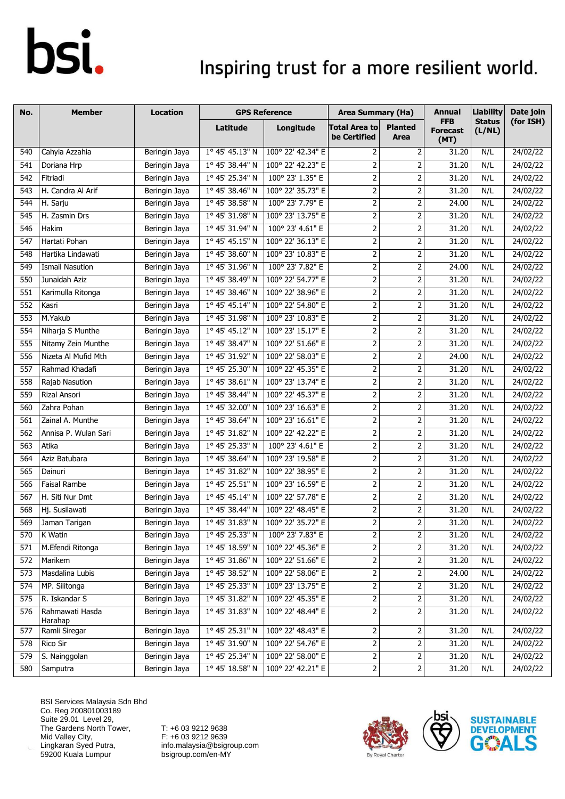### Inspiring trust for a more resilient world.

| No. | <b>Member</b>              | <b>Location</b> |                          | <b>GPS Reference</b> | <b>Area Summary (Ha)</b>             |                                                                                                                  | <b>Annual</b>                         | <b>Liability</b>        | Date join |
|-----|----------------------------|-----------------|--------------------------|----------------------|--------------------------------------|------------------------------------------------------------------------------------------------------------------|---------------------------------------|-------------------------|-----------|
|     |                            |                 | Latitude                 | Longitude            | <b>Total Area to</b><br>be Certified | <b>Planted</b><br>Area                                                                                           | <b>FFB</b><br><b>Forecast</b><br>(MT) | <b>Status</b><br>(L/NL) | (for ISH) |
| 540 | Cahyia Azzahia             | Beringin Jaya   | 1° 45' 45.13" N          | 100° 22' 42.34" E    | 2                                    | 2                                                                                                                | 31.20                                 | N/L                     | 24/02/22  |
| 541 | Doriana Hrp                | Beringin Jaya   | 1° 45' 38.44" N          | 100° 22' 42.23" E    | $\mathbf 2$                          | $\mathbf 2$                                                                                                      | 31.20                                 | N/L                     | 24/02/22  |
| 542 | Fitriadi                   | Beringin Jaya   | 1° 45' 25.34" N          | 100° 23' 1.35" E     | $\overline{2}$                       | $\mathbf 2$                                                                                                      | 31.20                                 | N/L                     | 24/02/22  |
| 543 | H. Candra Al Arif          | Beringin Jaya   | 1° 45' 38.46" N          | 100° 22' 35.73" E    | $\overline{2}$                       | $\mathbf 2$                                                                                                      | 31.20                                 | N/L                     | 24/02/22  |
| 544 | H. Sarju                   | Beringin Jaya   | 1° 45' 38.58" N          | 100° 23' 7.79" E     | $\overline{2}$                       | 2                                                                                                                | 24.00                                 | N/L                     | 24/02/22  |
| 545 | H. Zasmin Drs              | Beringin Jaya   | 1° 45' 31.98" N          | 100° 23' 13.75" E    | $\mathbf{2}$                         | $\mathbf 2$                                                                                                      | 31.20                                 | N/L                     | 24/02/22  |
| 546 | Hakim                      | Beringin Jaya   | 1° 45' 31.94" N          | 100° 23' 4.61" E     | $\overline{2}$                       | $\overline{2}$                                                                                                   | 31.20                                 | N/L                     | 24/02/22  |
| 547 | Hartati Pohan              | Beringin Jaya   | 1° 45' 45.15" N          | 100° 22' 36.13" E    | $\mathbf{2}$                         | 2                                                                                                                | 31.20                                 | N/L                     | 24/02/22  |
| 548 | Hartika Lindawati          | Beringin Jaya   | 1° 45' 38.60" N          | 100° 23' 10.83" E    | $\overline{2}$                       | $\overline{2}$                                                                                                   | 31.20                                 | N/L                     | 24/02/22  |
| 549 | <b>Ismail Nasution</b>     | Beringin Jaya   | 1° 45' 31.96" N          | 100° 23' 7.82" E     | $\mathbf{2}$                         | $\mathbf 2$                                                                                                      | 24.00                                 | N/L                     | 24/02/22  |
| 550 | Junaidah Aziz              | Beringin Jaya   | 1° 45' 38.49" N          | 100° 22' 54.77" E    | $\overline{2}$                       | $\overline{2}$                                                                                                   | 31.20                                 | N/L                     | 24/02/22  |
| 551 | Karimulla Ritonga          | Beringin Jaya   | 1° 45' 38.46" N          | 100° 22' 38.96" E    | $\overline{2}$                       | $\overline{2}$                                                                                                   | 31.20                                 | N/L                     | 24/02/22  |
| 552 | Kasri                      | Beringin Jaya   | 1° 45' 45.14" N          | 100° 22' 54.80" E    | $\overline{2}$                       | 2                                                                                                                | 31.20                                 | N/L                     | 24/02/22  |
| 553 | M.Yakub                    | Beringin Jaya   | 1° 45' 31.98" N          | 100° 23' 10.83" E    | $\overline{2}$                       | $\mathbf 2$                                                                                                      | 31.20                                 | N/L                     | 24/02/22  |
| 554 | Niharja S Munthe           | Beringin Jaya   | 1° 45' 45.12" N          | 100° 23' 15.17" E    | $\overline{2}$                       | 2                                                                                                                | 31.20                                 | N/L                     | 24/02/22  |
| 555 | Nitamy Zein Munthe         | Beringin Jaya   | 1° 45' 38.47" N          | 100° 22' 51.66" E    | $\overline{2}$                       | 2                                                                                                                | 31.20                                 | N/L                     | 24/02/22  |
| 556 | Nizeta Al Mufid Mth        | Beringin Jaya   | 1° 45' 31.92" N          | 100° 22' 58.03" E    | $\overline{2}$                       | $\mathbf 2$                                                                                                      | 24.00                                 | N/L                     | 24/02/22  |
| 557 | Rahmad Khadafi             | Beringin Jaya   | 1° 45' 25.30" N          | 100° 22' 45.35" E    | $\mathbf 2$                          | $\mathbf 2$                                                                                                      | 31.20                                 | N/L                     | 24/02/22  |
| 558 | Rajab Nasution             | Beringin Jaya   | 1° 45' 38.61" N          | 100° 23' 13.74" E    | $\overline{2}$                       | $\mathbf 2$                                                                                                      | 31.20                                 | N/L                     | 24/02/22  |
| 559 | Rizal Ansori               | Beringin Jaya   | 1° 45' 38.44" N          | 100° 22' 45.37" E    | $\mathbf 2$                          | 2                                                                                                                | 31.20                                 | N/L                     | 24/02/22  |
| 560 | Zahra Pohan                | Beringin Jaya   | 1° 45' 32.00" N          | 100° 23' 16.63" E    | $\overline{2}$                       | 2                                                                                                                | 31.20                                 | N/L                     | 24/02/22  |
| 561 | Zainal A. Munthe           | Beringin Jaya   | 1° 45' 38.64" N          | 100° 23' 16.61" E    | $\overline{2}$                       | $\overline{2}$                                                                                                   | 31.20                                 | N/L                     | 24/02/22  |
| 562 | Annisa P. Wulan Sari       | Beringin Jaya   | 1° 45' 31.82" N          | 100° 22' 42.22" E    | $\mathbf 2$                          | $\mathbf 2$                                                                                                      | 31.20                                 | N/L                     | 24/02/22  |
| 563 | Atika                      | Beringin Jaya   | 1° 45' 25.33" N          | 100° 23' 4.61" E     | $\overline{2}$                       | $\mathbf 2$                                                                                                      | 31.20                                 | N/L                     | 24/02/22  |
| 564 | Aziz Batubara              | Beringin Jaya   | 1° 45' 38.64" N          | 100° 23' 19.58" E    | $\overline{2}$                       | $\mathbf 2$                                                                                                      | 31.20                                 | N/L                     | 24/02/22  |
| 565 | Dainuri                    | Beringin Jaya   | 1° 45' 31.82" N          | 100° 22' 38.95" E    | $\mathbf{2}$                         | $\mathbf 2$                                                                                                      | 31.20                                 | N/L                     | 24/02/22  |
| 566 | Faisal Rambe               | Beringin Jaya   | 1° 45' 25.51" N          | 100° 23' 16.59" E    | $\overline{2}$                       | $\overline{2}$                                                                                                   | 31.20                                 | N/L                     | 24/02/22  |
| 567 | H. Siti Nur Dmt            | Beringin Jaya   | $1^{\circ}$ 45' 45.14" N | 100° 22' 57.78" E    | $\mathbf 2$                          | $\mathbf 2$                                                                                                      | 31.20                                 | N/L                     | 24/02/22  |
| 568 | Hj. Susilawati             | Beringin Jaya   | 1° 45' 38.44" N          | 100° 22' 48.45" E    | $\overline{2}$                       | $\mathbf 2$                                                                                                      | 31.20                                 | N/L                     | 24/02/22  |
| 569 | Jaman Tarigan              | Beringin Jaya   | 1° 45' 31.83" N          | 100° 22' 35.72" E    | $\overline{2}$                       | $\overline{2}$                                                                                                   | 31.20                                 | N/L                     | 24/02/22  |
| 570 | K Watin                    | Beringin Jaya   | 1° 45' 25.33" N          | 100° 23' 7.83" E     | $\mathbf{2}$                         | $\overline{\mathbf{c}}$                                                                                          | 31.20                                 | N/L                     | 24/02/22  |
| 571 | M.Efendi Ritonga           | Beringin Jaya   | 1° 45' 18.59" N          | 100° 22' 45.36" E    | 2                                    | $\mathbf 2$                                                                                                      | 31.20                                 | N/L                     | 24/02/22  |
| 572 | Marikem                    | Beringin Jaya   | 1° 45' 31.86" N          | 100° 22' 51.66" E    | $\overline{2}$                       | $\mathbf 2$                                                                                                      | 31.20                                 | N/L                     | 24/02/22  |
| 573 | Masdalina Lubis            | Beringin Jaya   | 1° 45' 38.52" N          | 100° 22' 58.06" E    | $\mathbf{2}$                         | $\mathsf{2}\!\!\:\mathsf{1}\!\!\:\mathsf{2}\!\!\:\mathsf{1}\!\!\:\mathsf{3}\mathsf{2}\!\!\:\mathsf{4}\mathsf{3}$ | 24.00                                 | N/L                     | 24/02/22  |
| 574 | MP. Silitonga              | Beringin Jaya   | 1° 45' 25.33" N          | 100° 23' 13.75" E    | $\mathbf{2}$                         | $\overline{\mathbf{c}}$                                                                                          | 31.20                                 | N/L                     | 24/02/22  |
| 575 | R. Iskandar S              | Beringin Jaya   | 1° 45' 31.82" N          | 100° 22' 45.35" E    | $\overline{2}$                       | $\overline{2}$                                                                                                   | 31.20                                 | N/L                     | 24/02/22  |
| 576 | Rahmawati Hasda<br>Harahap | Beringin Jaya   | 1° 45' 31.83" N          | 100° 22' 48.44" E    | $\overline{2}$                       | $\overline{2}$                                                                                                   | 31.20                                 | N/L                     | 24/02/22  |
| 577 | Ramli Siregar              | Beringin Jaya   | 1° 45' 25.31" N          | 100° 22' 48.43" E    | $\mathbf 2$                          | $\mathsf{2}\!\!\:\mathsf{1}\!\!\:\mathsf{2}\!\!\:\mathsf{1}\!\!\:\mathsf{3}\mathsf{2}\!\!\:\mathsf{4}\mathsf{3}$ | 31.20                                 | N/L                     | 24/02/22  |
| 578 | Rico Sir                   | Beringin Jaya   | 1° 45' 31.90" N          | 100° 22' 54.76" E    | $\overline{2}$                       | $\overline{\mathbf{c}}$                                                                                          | 31.20                                 | N/L                     | 24/02/22  |
| 579 | S. Nainggolan              | Beringin Jaya   | 1° 45' 25.34" N          | 100° 22' 58.00" E    | $\overline{2}$                       | $\overline{2}$                                                                                                   | 31.20                                 | N/L                     | 24/02/22  |
| 580 | Samputra                   | Beringin Jaya   | 1° 45' 18.58" N          | 100° 22' 42.21" E    | $\overline{2}$                       | $\mathsf{2}\,$                                                                                                   | 31.20                                 | N/L                     | 24/02/22  |

BSI Services Malaysia Sdn Bhd Co. Reg 200801003189 Suite 29.01 Level 29, The Gardens North Tower, Mid Valley City, Lingkaran Syed Putra, 59200 Kuala Lumpur



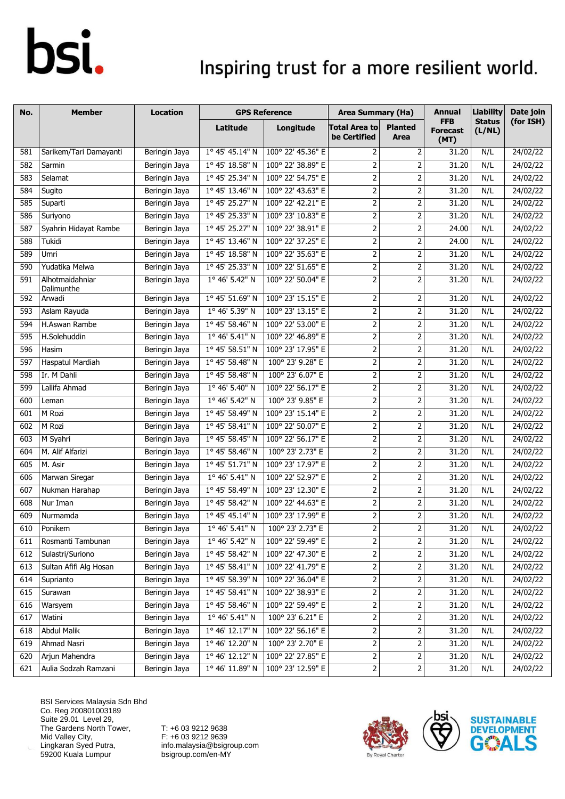### Inspiring trust for a more resilient world.

| No. | <b>Member</b>                 | <b>Location</b> |                          | <b>GPS Reference</b> | <b>Area Summary (Ha)</b>             |                               | Annual                                | <b>Liability</b>        | Date join |
|-----|-------------------------------|-----------------|--------------------------|----------------------|--------------------------------------|-------------------------------|---------------------------------------|-------------------------|-----------|
|     |                               |                 | Latitude                 | Longitude            | <b>Total Area to</b><br>be Certified | <b>Planted</b><br><b>Area</b> | <b>FFB</b><br><b>Forecast</b><br>(MT) | <b>Status</b><br>(L/NL) | (for ISH) |
| 581 | Sarikem/Tari Damayanti        | Beringin Jaya   | 1° 45' 45.14" N          | 100° 22' 45.36" E    | 2                                    | 2                             | 31.20                                 | N/L                     | 24/02/22  |
| 582 | Sarmin                        | Beringin Jaya   | 1° 45' 18.58" N          | 100° 22' 38.89" E    | $\overline{2}$                       | $\overline{2}$                | 31.20                                 | N/L                     | 24/02/22  |
| 583 | Selamat                       | Beringin Jaya   | 1° 45' 25.34" N          | 100° 22' 54.75" E    | $\overline{2}$                       | 2                             | 31.20                                 | N/L                     | 24/02/22  |
| 584 | Sugito                        | Beringin Jaya   | 1° 45' 13.46" N          | 100° 22' 43.63" E    | $\overline{2}$                       | $\overline{2}$                | 31.20                                 | N/L                     | 24/02/22  |
| 585 | Suparti                       | Beringin Jaya   | 1° 45' 25.27" N          | 100° 22' 42.21" E    | $\overline{2}$                       | 2                             | 31.20                                 | N/L                     | 24/02/22  |
| 586 | Suriyono                      | Beringin Jaya   | $1^{\circ}$ 45' 25.33" N | 100° 23' 10.83" E    | $\mathbf 2$                          | 2                             | 31.20                                 | N/L                     | 24/02/22  |
| 587 | Syahrin Hidayat Rambe         | Beringin Jaya   | 1° 45' 25.27" N          | 100° 22' 38.91" E    | $\overline{2}$                       | $\overline{2}$                | 24.00                                 | N/L                     | 24/02/22  |
| 588 | Tukidi                        | Beringin Jaya   | 1° 45' 13.46" N          | 100° 22' 37.25" E    | $\overline{2}$                       | $\mathbf 2$                   | 24.00                                 | N/L                     | 24/02/22  |
| 589 | Umri                          | Beringin Jaya   | 1° 45' 18.58" N          | 100° 22' 35.63" E    | $\overline{2}$                       | $\mathbf 2$                   | 31.20                                 | N/L                     | 24/02/22  |
| 590 | Yudatika Melwa                | Beringin Jaya   | 1° 45' 25.33" N          | 100° 22' 51.65" E    | $\overline{2}$                       | $\overline{2}$                | 31.20                                 | N/L                     | 24/02/22  |
| 591 | Alhotmaidahniar<br>Dalimunthe | Beringin Jaya   | $1^{\circ}$ 46' 5.42" N  | 100° 22' 50.04" E    | $\overline{2}$                       | $\overline{2}$                | 31.20                                 | N/L                     | 24/02/22  |
| 592 | Arwadi                        | Beringin Jaya   | 1° 45' 51.69" N          | 100° 23' 15.15" E    | 2                                    | $\overline{2}$                | 31.20                                 | N/L                     | 24/02/22  |
| 593 | Aslam Rayuda                  | Beringin Jaya   | 1° 46' 5.39" N           | 100° 23' 13.15" E    | $\overline{2}$                       | $\mathbf 2$                   | 31.20                                 | N/L                     | 24/02/22  |
| 594 | H.Aswan Rambe                 | Beringin Jaya   | 1° 45' 58.46" N          | 100° 22' 53.00" E    | $\overline{2}$                       | $\mathbf 2$                   | 31.20                                 | N/L                     | 24/02/22  |
| 595 | H.Solehuddin                  | Beringin Jaya   | 1° 46' 5.41" N           | 100° 22' 46.89" E    | $\overline{2}$                       | $\overline{2}$                | 31.20                                 | N/L                     | 24/02/22  |
| 596 | Hasim                         | Beringin Jaya   | 1° 45' 58.51" N          | 100° 23' 17.95" E    | $\overline{2}$                       | 2                             | 31.20                                 | N/L                     | 24/02/22  |
| 597 | <b>Haspatul Mardiah</b>       | Beringin Jaya   | 1° 45' 58.48" N          | 100° 23' 9.28" E     | $\overline{2}$                       | $\overline{2}$                | 31.20                                 | N/L                     | 24/02/22  |
| 598 | Ir. M Dahli                   | Beringin Jaya   | $1^{\circ}$ 45' 58.48" N | 100° 23' 6.07" E     | $\mathbf 2$                          | 2                             | 31.20                                 | N/L                     | 24/02/22  |
| 599 | Lallifa Ahmad                 | Beringin Jaya   | $1^{\circ}$ 46' 5.40" N  | 100° 22' 56.17" E    | $\overline{2}$                       | $\overline{2}$                | 31.20                                 | N/L                     | 24/02/22  |
| 600 | Leman                         | Beringin Jaya   | 1° 46' 5.42" N           | 100° 23' 9.85" E     | $\overline{2}$                       | $\overline{2}$                | 31.20                                 | N/L                     | 24/02/22  |
| 601 | M Rozi                        | Beringin Jaya   | 1° 45' 58.49" N          | 100° 23' 15.14" E    | $\overline{2}$                       | $\overline{2}$                | 31.20                                 | N/L                     | 24/02/22  |
| 602 | M Rozi                        | Beringin Jaya   | 1° 45' 58.41" N          | 100° 22' 50.07" E    | $\mathbf 2$                          | $\mathbf 2$                   | 31.20                                 | N/L                     | 24/02/22  |
| 603 | M Syahri                      | Beringin Jaya   | 1° 45' 58.45" N          | 100° 22' 56.17" E    | $\overline{2}$                       | $\overline{2}$                | 31.20                                 | N/L                     | 24/02/22  |
| 604 | M. Alif Alfarizi              | Beringin Jaya   | 1° 45' 58.46" N          | 100° 23' 2.73" E     | $\overline{2}$                       | 2                             | 31.20                                 | N/L                     | 24/02/22  |
| 605 | M. Asir                       | Beringin Jaya   | 1° 45' 51.71" N          | 100° 23' 17.97" E    | $\overline{2}$                       | 2                             | 31.20                                 | N/L                     | 24/02/22  |
| 606 | Marwan Siregar                | Beringin Jaya   | 1° 46' 5.41" N           | 100° 22' 52.97" E    | $\mathbf 2$                          | $\mathbf 2$                   | 31.20                                 | N/L                     | 24/02/22  |
| 607 | Nukman Harahap                | Beringin Jaya   | 1° 45' 58.49" N          | 100° 23' 12.30" E    | $\overline{2}$                       | $\overline{2}$                | 31.20                                 | N/L                     | 24/02/22  |
| 608 | Nur Iman                      | Beringin Jaya   | 1° 45' 58.42" N          | 100° 22' 44.63" E    | $\overline{2}$                       | 2                             | 31.20                                 | N/L                     | 24/02/22  |
| 609 | Nurmamda                      | Beringin Jaya   | 1° 45' 45.14" N          | 100° 23' 17.99" E    | 2                                    | 2                             | 31.20                                 | N/L                     | 24/02/22  |
| 610 | Ponikem                       | Beringin Jaya   | 1° 46' 5.41'' N          | 100° 23' 2.73" E     | $\overline{2}$                       | $\overline{2}$                | 31.20                                 | N/L                     | 24/02/22  |
| 611 | Rosmanti Tambunan             | Beringin Jaya   | 1° 46' 5.42" N           | 100° 22' 59.49" E    | $\overline{2}$                       | $\overline{2}$                | 31.20                                 | N/L                     | 24/02/22  |
| 612 | Sulastri/Suriono              | Beringin Jaya   | 1° 45' 58.42" N          | 100° 22' 47.30" E    | $\overline{c}$                       | 2                             | 31.20                                 | N/L                     | 24/02/22  |
| 613 | Sultan Afifi Alg Hosan        | Beringin Jaya   | 1° 45' 58.41" N          | 100° 22' 41.79" E    | $\overline{2}$                       | 2                             | 31.20                                 | N/L                     | 24/02/22  |
| 614 | Suprianto                     | Beringin Jaya   | 1° 45' 58.39" N          | 100° 22' 36.04" E    | $\mathbf 2$                          | $\overline{2}$                | 31.20                                 | N/L                     | 24/02/22  |
| 615 | Surawan                       | Beringin Jaya   | 1° 45' 58.41" N          | 100° 22' 38.93" E    | $\mathsf{2}$                         |                               | 31.20                                 | N/L                     | 24/02/22  |
| 616 | Warsyem                       | Beringin Jaya   | 1° 45' 58.46" N          | 100° 22' 59.49" E    | $\overline{2}$                       | 2                             | 31.20                                 | N/L                     | 24/02/22  |
| 617 | Watini                        | Beringin Jaya   | 1° 46' 5.41" N           | 100° 23' 6.21" E     | $\overline{2}$                       | $\overline{2}$                | 31.20                                 | N/L                     | 24/02/22  |
| 618 | Abdul Malik                   | Beringin Jaya   | 1° 46' 12.17" N          | 100° 22' 56.16" E    | $\mathbf 2$                          | 2                             | 31.20                                 | N/L                     | 24/02/22  |
| 619 | Ahmad Nasri                   | Beringin Jaya   | 1° 46' 12.20" N          | 100° 23' 2.70" E     | $\overline{2}$                       | $\mathsf 2$                   | 31.20                                 | N/L                     | 24/02/22  |
| 620 | Arjun Mahendra                | Beringin Jaya   | $1^{\circ}$ 46' 12.12" N | 100° 22' 27.85" E    | $\overline{2}$                       | $\overline{2}$                | 31.20                                 | N/L                     | 24/02/22  |
| 621 | Aulia Sodzah Ramzani          | Beringin Jaya   | 1° 46' 11.89" N          | 100° 23' 12.59" E    | $\overline{2}$                       | $\mathbf 2$                   | 31.20                                 | N/L                     | 24/02/22  |

BSI Services Malaysia Sdn Bhd Co. Reg 200801003189 Suite 29.01 Level 29, The Gardens North Tower, Mid Valley City, Lingkaran Syed Putra, 59200 Kuala Lumpur



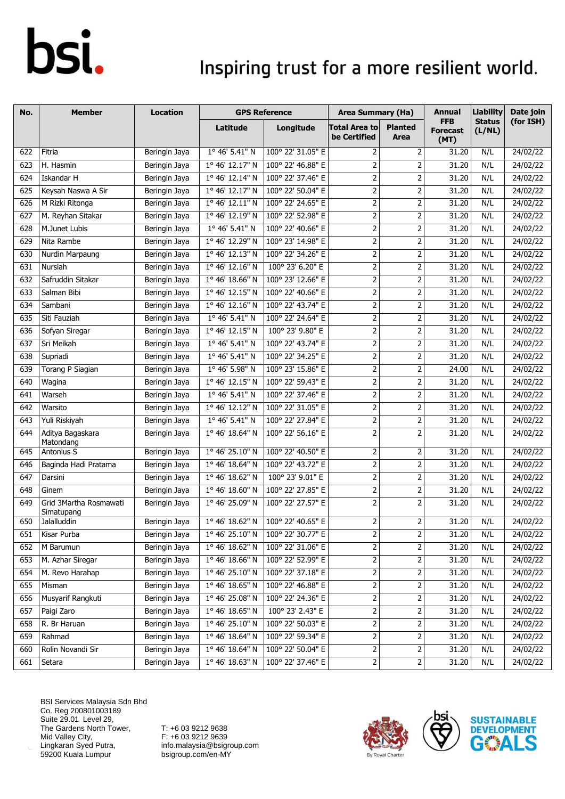### Inspiring trust for a more resilient world.

| No. | <b>Member</b>                        | <b>Location</b> |                          | <b>GPS Reference</b> | <b>Area Summary (Ha)</b>             |                         | Annual                                | <b>Liability</b>        | Date join |
|-----|--------------------------------------|-----------------|--------------------------|----------------------|--------------------------------------|-------------------------|---------------------------------------|-------------------------|-----------|
|     |                                      |                 | Latitude                 | Longitude            | <b>Total Area to</b><br>be Certified | <b>Planted</b><br>Area  | <b>FFB</b><br><b>Forecast</b><br>(MT) | <b>Status</b><br>(L/NL) | (for ISH) |
| 622 | Fitria                               | Beringin Jaya   | 1° 46' 5.41" N           | 100° 22' 31.05" E    | $\overline{2}$                       | $\overline{2}$          | 31.20                                 | N/L                     | 24/02/22  |
| 623 | H. Hasmin                            | Beringin Jaya   | $1^{\circ}$ 46' 12.17" N | 100° 22' 46.88" E    | $\overline{2}$                       | $\mathbf 2$             | 31.20                                 | N/L                     | 24/02/22  |
| 624 | Iskandar H                           | Beringin Jaya   | 1° 46' 12.14" N          | 100° 22' 37.46" E    | $\overline{2}$                       | $\mathbf 2$             | 31.20                                 | N/L                     | 24/02/22  |
| 625 | Keysah Naswa A Sir                   | Beringin Jaya   | 1° 46' 12.17" N          | 100° 22' 50.04" E    | $\overline{2}$                       | $\mathbf 2$             | 31.20                                 | N/L                     | 24/02/22  |
| 626 | M Rizki Ritonga                      | Beringin Jaya   | 1° 46' 12.11" N          | 100° 22' 24.65" E    | $\overline{2}$                       | 2                       | 31.20                                 | N/L                     | 24/02/22  |
| 627 | M. Reyhan Sitakar                    | Beringin Jaya   | 1° 46' 12.19" N          | 100° 22' 52.98" E    | $\mathbf 2$                          | 2                       | 31.20                                 | N/L                     | 24/02/22  |
| 628 | M.Junet Lubis                        | Beringin Jaya   | 1° 46' 5.41" N           | 100° 22' 40.66" E    | $\overline{2}$                       | $\overline{2}$          | 31.20                                 | N/L                     | 24/02/22  |
| 629 | Nita Rambe                           | Beringin Jaya   | 1° 46' 12.29" N          | 100° 23' 14.98" E    | $\mathbf 2$                          | $\mathbf 2$             | 31.20                                 | N/L                     | 24/02/22  |
| 630 | Nurdin Marpaung                      | Beringin Jaya   | 1° 46' 12.13" N          | 100° 22' 34.26" E    | $\overline{2}$                       | $\mathbf 2$             | 31.20                                 | N/L                     | 24/02/22  |
| 631 | Nursiah                              | Beringin Jaya   | 1° 46' 12.16" N          | 100° 23' 6.20" E     | $\overline{2}$                       | $\overline{2}$          | 31.20                                 | N/L                     | 24/02/22  |
| 632 | Safruddin Sitakar                    | Beringin Jaya   | 1° 46' 18.66" N          | 100° 23' 12.66" E    | $\overline{2}$                       | $\mathbf 2$             | 31.20                                 | N/L                     | 24/02/22  |
| 633 | Salman Bibi                          | Beringin Jaya   | 1° 46' 12.15" N          | 100° 22' 40.66" E    | $\overline{2}$                       | 2                       | 31.20                                 | N/L                     | 24/02/22  |
| 634 | Sambani                              | Beringin Jaya   | 1° 46' 12.16" N          | 100° 22' 43.74" E    | $\overline{2}$                       | $\overline{2}$          | 31.20                                 | N/L                     | 24/02/22  |
| 635 | Siti Fauziah                         | Beringin Jaya   | $1^{\circ}$ 46' 5.41" N  | 100° 22' 24.64" E    | $\mathbf 2$                          | $\mathbf 2$             | 31.20                                 | N/L                     | 24/02/22  |
| 636 | Sofyan Siregar                       | Beringin Jaya   | 1° 46' 12.15" N          | 100° 23' 9.80" E     | $\overline{2}$                       | $\mathbf 2$             | 31.20                                 | N/L                     | 24/02/22  |
| 637 | Sri Meikah                           | Beringin Jaya   | 1° 46' 5.41" N           | 100° 22' 43.74" E    | $\mathbf 2$                          | $\mathbf 2$             | 31.20                                 | N/L                     | 24/02/22  |
| 638 | Supriadi                             | Beringin Jaya   | 1° 46' 5.41" N           | 100° 22' 34.25" E    | $\overline{2}$                       | 2                       | 31.20                                 | N/L                     | 24/02/22  |
| 639 | Torang P Siagian                     | Beringin Jaya   | $1^{\circ}$ 46' 5.98" N  | 100° 23' 15.86" E    | $\overline{2}$                       | $\mathbf 2$             | 24.00                                 | N/L                     | 24/02/22  |
| 640 | Wagina                               | Beringin Jaya   | 1° 46' 12.15" N          | 100° 22' 59.43" E    | $\overline{2}$                       | 2                       | 31.20                                 | N/L                     | 24/02/22  |
| 641 | Warseh                               | Beringin Jaya   | 1° 46' 5.41" N           | 100° 22' 37.46" E    | $\overline{2}$                       | 2                       | 31.20                                 | N/L                     | 24/02/22  |
| 642 | Warsito                              | Beringin Jaya   | 1° 46' 12.12" N          | 100° 22' 31.05" E    | $\overline{2}$                       | $\overline{2}$          | 31.20                                 | N/L                     | 24/02/22  |
| 643 | Yuli Riskiyah                        | Beringin Jaya   | 1° 46' 5.41" N           | 100° 22' 27.84" E    | $\overline{2}$                       | 2                       | 31.20                                 | N/L                     | 24/02/22  |
| 644 | Aditya Bagaskara<br>Matondang        | Beringin Jaya   | $1^{\circ}$ 46' 18.64" N | 100° 22' 56.16" E    | $\overline{2}$                       | $\overline{2}$          | 31.20                                 | N/L                     | 24/02/22  |
| 645 | Antonius S                           | Beringin Jaya   | 1° 46' 25.10" N          | 100° 22' 40.50" E    | $\overline{2}$                       | 2                       | 31.20                                 | N/L                     | 24/02/22  |
| 646 | Baginda Hadi Pratama                 | Beringin Jaya   | 1° 46' 18.64" N          | 100° 22' 43.72" E    | $\overline{2}$                       | 2                       | 31.20                                 | N/L                     | 24/02/22  |
| 647 | Darsini                              | Beringin Jaya   | 1° 46' 18.62" N          | 100° 23' 9.01" E     | $\mathbf 2$                          | $\mathbf 2$             | 31.20                                 | N/L                     | 24/02/22  |
| 648 | Ginem                                | Beringin Jaya   | 1° 46' 18.60" N          | 100° 22' 27.85" E    | $\mathbf 2$                          | $\overline{2}$          | 31.20                                 | N/L                     | 24/02/22  |
| 649 | Grid 3Martha Rosmawati<br>Simatupang | Beringin Jaya   | 1° 46' 25.09" N          | 100° 22' 27.57" E    | $\overline{2}$                       | $\overline{2}$          | 31.20                                 | N/L                     | 24/02/22  |
| 650 | Jalalluddin                          | Beringin Jaya   | 1° 46' 18.62" N          | 100° 22' 40.65" E    | $\overline{2}$                       | $\overline{2}$          | 31.20                                 | N/L                     | 24/02/22  |
| 651 | Kisar Purba                          | Beringin Jaya   | 1° 46' 25.10" N          | 100° 22' 30.77" E    | 2                                    | 2                       | 31.20                                 | N/L                     | 24/02/22  |
| 652 | M Barumun                            | Beringin Jaya   | 1° 46' 18.62" N          | 100° 22' 31.06" E    | $\overline{2}$                       | $\overline{\mathbf{c}}$ | 31.20                                 | N/L                     | 24/02/22  |
| 653 | M. Azhar Siregar                     | Beringin Jaya   | 1° 46' 18.66" N          | 100° 22' 52.99" E    | $\overline{c}$                       | 2                       | 31.20                                 | N/L                     | 24/02/22  |
| 654 | M. Revo Harahap                      | Beringin Jaya   | 1° 46' 25.10" N          | 100° 22' 37.18" E    | $\overline{2}$                       | 2                       | 31.20                                 | N/L                     | 24/02/22  |
| 655 | Misman                               | Beringin Jaya   | 1° 46' 18.65" N          | 100° 22' 46.88" E    | $\mathbf{2}$                         | 2                       | 31.20                                 | N/L                     | 24/02/22  |
| 656 | Musyarif Rangkuti                    | Beringin Jaya   | 1° 46' 25.08" N          | 100° 22' 24.36" E    | $\mathbf 2$                          | $\mathbf 2$             | 31.20                                 | N/L                     | 24/02/22  |
| 657 | Paigi Zaro                           | Beringin Jaya   | 1° 46' 18.65" N          | 100° 23' 2.43" E     | $\overline{c}$                       |                         | 31.20                                 | N/L                     | 24/02/22  |
| 658 | R. Br Haruan                         | Beringin Jaya   | 1° 46' 25.10" N          | 100° 22' 50.03" E    | $\overline{2}$                       | 2                       | 31.20                                 | N/L                     | 24/02/22  |
| 659 | Rahmad                               | Beringin Jaya   | 1° 46' 18.64" N          | 100° 22' 59.34" E    | $\overline{2}$                       | $\overline{2}$          | 31.20                                 | N/L                     | 24/02/22  |
| 660 | Rolin Novandi Sir                    | Beringin Jaya   | 1° 46' 18.64" N          | 100° 22' 50.04" E    | $\mathbf 2$                          | $\mathbf 2$             | 31.20                                 | N/L                     | 24/02/22  |
| 661 | Setara                               | Beringin Jaya   | 1° 46' 18.63" N          | 100° 22' 37.46" E    | $\overline{c}$                       | $\overline{2}$          | 31.20                                 | N/L                     | 24/02/22  |

BSI Services Malaysia Sdn Bhd Co. Reg 200801003189 Suite 29.01 Level 29, The Gardens North Tower, Mid Valley City, Lingkaran Syed Putra, 59200 Kuala Lumpur



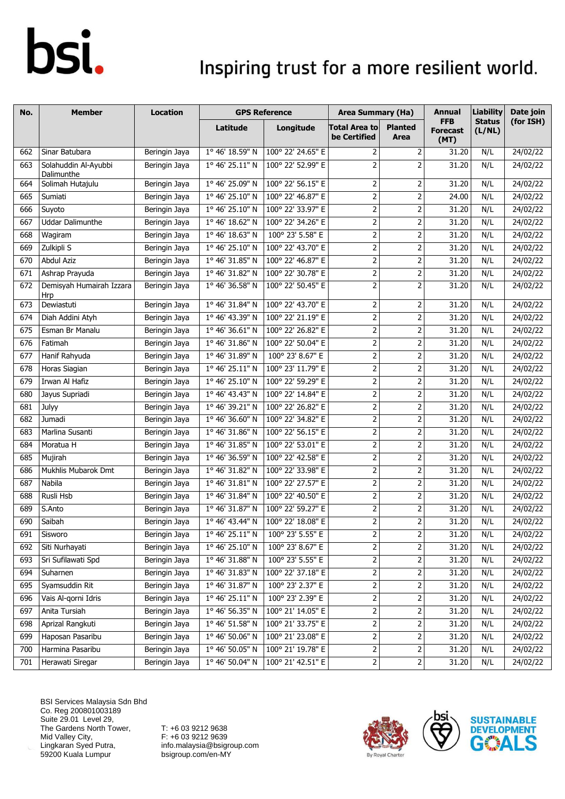### Inspiring trust for a more resilient world.

| No. | <b>Member</b>                      | <b>Location</b> |                 | <b>GPS Reference</b> | <b>Area Summary (Ha)</b>             |                         | <b>Annual</b>                         | <b>Liability</b>        | Date join |
|-----|------------------------------------|-----------------|-----------------|----------------------|--------------------------------------|-------------------------|---------------------------------------|-------------------------|-----------|
|     |                                    |                 | Latitude        | Longitude            | <b>Total Area to</b><br>be Certified | <b>Planted</b><br>Area  | <b>FFB</b><br><b>Forecast</b><br>(MT) | <b>Status</b><br>(L/NL) | (for ISH) |
| 662 | Sinar Batubara                     | Beringin Jaya   | 1° 46' 18.59" N | 100° 22' 24.65" E    | 2                                    | $\overline{2}$          | 31.20                                 | N/L                     | 24/02/22  |
| 663 | Solahuddin Al-Ayubbi<br>Dalimunthe | Beringin Jaya   | 1° 46' 25.11" N | 100° 22' 52.99" E    | $\overline{2}$                       | 2                       | 31.20                                 | N/L                     | 24/02/22  |
| 664 | Solimah Hutajulu                   | Beringin Jaya   | 1° 46' 25.09" N | 100° 22' 56.15" E    | 2                                    | 2                       | 31.20                                 | N/L                     | 24/02/22  |
| 665 | Sumiati                            | Beringin Jaya   | 1° 46' 25.10" N | 100° 22' 46.87" E    | $\overline{2}$                       | $\mathbf 2$             | 24.00                                 | N/L                     | 24/02/22  |
| 666 | Suyoto                             | Beringin Jaya   | 1° 46' 25.10" N | 100° 22' 33.97" E    | $\overline{2}$                       | $\overline{2}$          | 31.20                                 | N/L                     | 24/02/22  |
| 667 | <b>Uddar Dalimunthe</b>            | Beringin Jaya   | 1° 46' 18.62" N | 100° 22' 34.26" E    | $\mathbf 2$                          | $\mathbf 2$             | 31.20                                 | N/L                     | 24/02/22  |
| 668 | Wagiram                            | Beringin Jaya   | 1° 46' 18.63" N | 100° 23' 5.58" E     | $\overline{2}$                       | $\mathbf 2$             | 31.20                                 | N/L                     | 24/02/22  |
| 669 | Zulkipli S                         | Beringin Jaya   | 1° 46' 25.10" N | 100° 22' 43.70" E    | $\overline{2}$                       | $\mathbf 2$             | 31.20                                 | N/L                     | 24/02/22  |
| 670 | <b>Abdul Aziz</b>                  | Beringin Jaya   | 1° 46' 31.85" N | 100° 22' 46.87" E    | $\overline{2}$                       | $\mathbf 2$             | 31.20                                 | N/L                     | 24/02/22  |
| 671 | Ashrap Prayuda                     | Beringin Jaya   | 1° 46' 31.82" N | 100° 22' 30.78" E    | $\overline{2}$                       | $\mathbf 2$             | 31.20                                 | N/L                     | 24/02/22  |
| 672 | Demisyah Humairah Izzara<br>Hrp    | Beringin Jaya   | 1° 46' 36.58" N | 100° 22' 50.45" E    | $\overline{2}$                       | $\mathbf 2$             | 31.20                                 | N/L                     | 24/02/22  |
| 673 | Dewiastuti                         | Beringin Jaya   | 1° 46' 31.84" N | 100° 22' 43.70" E    | $\overline{2}$                       | 2                       | 31.20                                 | N/L                     | 24/02/22  |
| 674 | Diah Addini Atyh                   | Beringin Jaya   | 1° 46' 43.39" N | 100° 22' 21.19" E    | $\overline{2}$                       | $\mathbf 2$             | 31.20                                 | N/L                     | 24/02/22  |
| 675 | Esman Br Manalu                    | Beringin Jaya   | 1° 46' 36.61" N | 100° 22' 26.82" E    | $\overline{2}$                       | $\mathbf 2$             | 31.20                                 | N/L                     | 24/02/22  |
| 676 | Fatimah                            | Beringin Jaya   | 1° 46' 31.86" N | 100° 22' 50.04" E    | $\overline{2}$                       | $\mathbf 2$             | 31.20                                 | N/L                     | 24/02/22  |
| 677 | Hanif Rahyuda                      | Beringin Jaya   | 1° 46' 31.89" N | 100° 23' 8.67" E     | $\overline{2}$                       | $\mathbf 2$             | 31.20                                 | N/L                     | 24/02/22  |
| 678 | Horas Siagian                      | Beringin Jaya   | 1° 46' 25.11" N | 100° 23' 11.79" E    | $\overline{2}$                       | $\mathbf 2$             | 31.20                                 | N/L                     | 24/02/22  |
| 679 | Irwan Al Hafiz                     | Beringin Jaya   | 1° 46' 25.10" N | 100° 22' 59.29" E    | $\mathbf 2$                          | $\mathbf 2$             | 31.20                                 | N/L                     | 24/02/22  |
| 680 | Jayus Supriadi                     | Beringin Jaya   | 1° 46' 43.43" N | 100° 22' 14.84" E    | $\overline{2}$                       | $\mathbf 2$             | 31.20                                 | N/L                     | 24/02/22  |
| 681 | Julyy                              | Beringin Jaya   | 1° 46' 39.21" N | 100° 22' 26.82" E    | $\overline{2}$                       | $\overline{2}$          | 31.20                                 | N/L                     | 24/02/22  |
| 682 | Jumadi                             | Beringin Jaya   | 1° 46' 36.60" N | 100° 22' 34.82" E    | $\overline{2}$                       | 2                       | 31.20                                 | N/L                     | 24/02/22  |
| 683 | Marlina Susanti                    | Beringin Jaya   | 1° 46' 31.86" N | 100° 22' 56.15" E    | $\overline{2}$                       | $\overline{2}$          | 31.20                                 | N/L                     | 24/02/22  |
| 684 | Moratua H                          | Beringin Jaya   | 1° 46' 31.85" N | 100° 22' 53.01" E    | $\overline{2}$                       | $\overline{2}$          | 31.20                                 | N/L                     | 24/02/22  |
| 685 | Mujirah                            | Beringin Jaya   | 1° 46' 36.59" N | 100° 22' 42.58" E    | $\overline{2}$                       | $\mathbf 2$             | 31.20                                 | N/L                     | 24/02/22  |
| 686 | Mukhlis Mubarok Dmt                | Beringin Jaya   | 1° 46' 31.82" N | 100° 22' 33.98" E    | $\overline{2}$                       | $\overline{2}$          | 31.20                                 | N/L                     | 24/02/22  |
| 687 | Nabila                             | Beringin Jaya   | 1° 46' 31.81" N | 100° 22' 27.57" E    | $\overline{2}$                       | $\mathbf 2$             | 31.20                                 | N/L                     | 24/02/22  |
| 688 | Rusli Hsb                          | Beringin Jaya   | 1° 46' 31.84" N | 100° 22' 40.50" E    | $\overline{2}$                       | $\overline{2}$          | 31.20                                 | N/L                     | 24/02/22  |
| 689 | S.Anto                             | Beringin Jaya   | 1° 46' 31.87" N | 100° 22' 59.27" E    | $\overline{2}$                       | 2                       | 31.20                                 | N/L                     | 24/02/22  |
| 690 | Saibah                             | Beringin Jaya   | 1° 46' 43.44" N | 100° 22' 18.08" E    | $\overline{2}$                       | $\overline{\mathbf{c}}$ | 31.20                                 | N/L                     | 24/02/22  |
| 691 | Sisworo                            | Beringin Jaya   | 1° 46' 25.11" N | 100° 23' 5.55" E     | 2                                    | $\overline{2}$          | 31.20                                 | N/L                     | 24/02/22  |
| 692 | Siti Nurhayati                     | Beringin Jaya   | 1° 46' 25.10" N | 100° 23' 8.67" E     | $\mathsf{2}\,$                       | $\overline{\mathbf{c}}$ | 31.20                                 | N/L                     | 24/02/22  |
| 693 | Sri Sufilawati Spd                 | Beringin Jaya   | 1° 46' 31.88" N | 100° 23' 5.55" E     | 2                                    | $\mathbf 2$             | 31.20                                 | N/L                     | 24/02/22  |
| 694 | Suharnen                           | Beringin Jaya   | 1° 46' 31.83" N | 100° 22' 37.18" E    | 2                                    | $\mathbf 2$             | 31.20                                 | N/L                     | 24/02/22  |
| 695 | Syamsuddin Rit                     | Beringin Jaya   | 1° 46' 31.87" N | 100° 23' 2.37" E     | $\mathbf{2}$                         | 2                       | 31.20                                 | N/L                     | 24/02/22  |
| 696 | Vais Al-qorni Idris                | Beringin Jaya   | 1° 46' 25.11" N | 100° 23' 2.39" E     | $\mathbf 2$                          | $\overline{2}$          | 31.20                                 | N/L                     | 24/02/22  |
| 697 | Anita Tursiah                      | Beringin Jaya   | 1° 46' 56.35" N | 100° 21' 14.05" E    | $\overline{c}$                       | 2                       | 31.20                                 | N/L                     | 24/02/22  |
| 698 | Aprizal Rangkuti                   | Beringin Jaya   | 1° 46' 51.58" N | 100° 21' 33.75" E    | $\overline{2}$                       | $\mathbf 2$             | 31.20                                 | N/L                     | 24/02/22  |
| 699 | Haposan Pasaribu                   | Beringin Jaya   | 1° 46' 50.06" N | 100° 21' 23.08" E    | $\mathbf{2}$                         | 2                       | 31.20                                 | N/L                     | 24/02/22  |
| 700 | Harmina Pasaribu                   | Beringin Jaya   | 1° 46' 50.05" N | 100° 21' 19.78" E    | $\mathsf{2}$                         | $\mathsf{2}$            | 31.20                                 | N/L                     | 24/02/22  |
| 701 | Herawati Siregar                   | Beringin Jaya   | 1° 46' 50.04" N | 100° 21' 42.51" E    | $\mathbf{2}$                         | $\overline{2}$          | 31.20                                 | N/L                     | 24/02/22  |

BSI Services Malaysia Sdn Bhd Co. Reg 200801003189 Suite 29.01 Level 29, The Gardens North Tower, Mid Valley City, Lingkaran Syed Putra, 59200 Kuala Lumpur



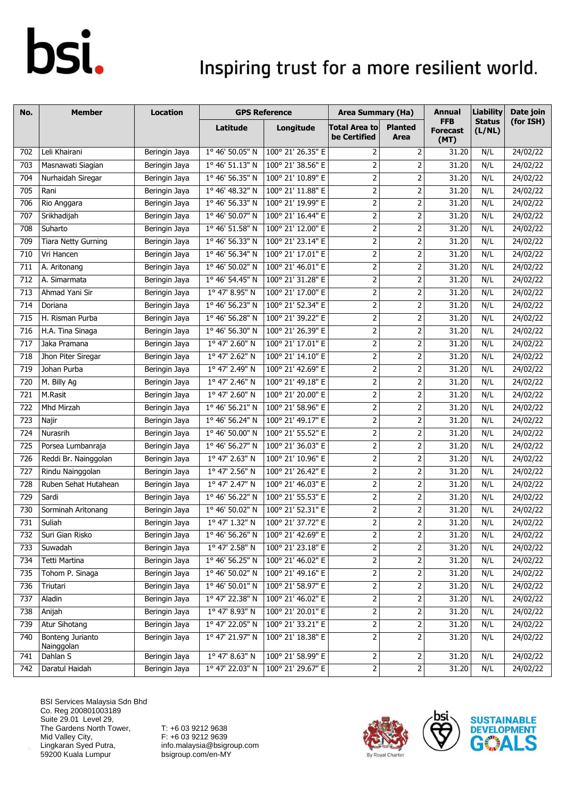### Inspiring trust for a more resilient world.

| No.              | <b>Member</b>                  | <b>Location</b> | <b>GPS Reference</b>    |                   | <b>Area Summary (Ha)</b>             |                                                                                                                  | <b>Annual</b>                         | <b>Liability</b>        | Date join |
|------------------|--------------------------------|-----------------|-------------------------|-------------------|--------------------------------------|------------------------------------------------------------------------------------------------------------------|---------------------------------------|-------------------------|-----------|
|                  |                                |                 | Latitude                | Longitude         | <b>Total Area to</b><br>be Certified | <b>Planted</b><br>Area                                                                                           | <b>FFB</b><br><b>Forecast</b><br>(MT) | <b>Status</b><br>(L/NL) | (for ISH) |
| 702              | Leli Khairani                  | Beringin Jaya   | 1° 46' 50.05" N         | 100° 21' 26.35" E | 2                                    | 2                                                                                                                | 31.20                                 | N/L                     | 24/02/22  |
| 703              | Masnawati Siagian              | Beringin Jaya   | 1° 46' 51.13" N         | 100° 21' 38.56" E | $\overline{2}$                       | $\overline{2}$                                                                                                   | 31.20                                 | N/L                     | 24/02/22  |
| 704              | Nurhaidah Siregar              | Beringin Jaya   | 1° 46' 56.35" N         | 100° 21' 10.89" E | $\overline{2}$                       | $\mathbf 2$                                                                                                      | 31.20                                 | N/L                     | 24/02/22  |
| 705              | Rani                           | Beringin Jaya   | 1° 46' 48.32" N         | 100° 21' 11.88" E | $\overline{2}$                       | $\overline{2}$                                                                                                   | 31.20                                 | N/L                     | 24/02/22  |
| 706              | Rio Anggara                    | Beringin Jaya   | 1° 46' 56.33" N         | 100° 21' 19.99" E | $\overline{2}$                       | 2                                                                                                                | 31.20                                 | N/L                     | 24/02/22  |
| 707              | Srikhadijah                    | Beringin Jaya   | 1° 46' 50.07" N         | 100° 21' 16.44" E | $\mathbf 2$                          | 2                                                                                                                | 31.20                                 | N/L                     | 24/02/22  |
| 708              | Suharto                        | Beringin Jaya   | 1° 46' 51.58" N         | 100° 21' 12.00" E | $\overline{2}$                       | $\mathbf 2$                                                                                                      | 31.20                                 | N/L                     | 24/02/22  |
| 709              | <b>Tiara Netty Gurning</b>     | Beringin Jaya   | 1° 46' 56.33" N         | 100° 21' 23.14" E | $\overline{2}$                       | 2                                                                                                                | 31.20                                 | N/L                     | 24/02/22  |
| 710              | Vri Hancen                     | Beringin Jaya   | 1° 46' 56.34" N         | 100° 21' 17.01" E | $\overline{2}$                       | $\mathbf 2$                                                                                                      | 31.20                                 | N/L                     | 24/02/22  |
| 711              | A. Aritonang                   | Beringin Jaya   | 1° 46' 50.02" N         | 100° 21' 46.01" E | $\mathbf 2$                          | $\mathbf 2$                                                                                                      | 31.20                                 | N/L                     | 24/02/22  |
| 712              | A. Simarmata                   | Beringin Jaya   | 1° 46' 54.45" N         | 100° 21' 31.28" E | $\overline{2}$                       | $\mathbf 2$                                                                                                      | 31.20                                 | N/L                     | 24/02/22  |
| 713              | Ahmad Yani Sir                 | Beringin Jaya   | 1° 47' 8.95" N          | 100° 21' 17.00" E | $\overline{2}$                       | $\overline{2}$                                                                                                   | 31.20                                 | N/L                     | 24/02/22  |
| 714              | Doriana                        | Beringin Jaya   | 1º 46' 56.23" N         | 100° 21' 52.34" E | $\overline{2}$                       | 2                                                                                                                | 31.20                                 | N/L                     | 24/02/22  |
| 715              | H. Risman Purba                | Beringin Jaya   | 1° 46' 56.28" N         | 100° 21' 39.22" E | $\overline{2}$                       | $\mathbf 2$                                                                                                      | 31.20                                 | N/L                     | 24/02/22  |
| 716              | H.A. Tina Sinaga               | Beringin Jaya   | 1° 46' 56.30" N         | 100° 21' 26.39" E | $\overline{2}$                       | $\mathbf 2$                                                                                                      | 31.20                                 | N/L                     | 24/02/22  |
| 717              | Jaka Pramana                   | Beringin Jaya   | 1° 47' 2.60" N          | 100° 21' 17.01" E | $\mathbf 2$                          | $\mathbf 2$                                                                                                      | 31.20                                 | N/L                     | 24/02/22  |
| $\overline{718}$ | Jhon Piter Siregar             | Beringin Jaya   | 1° 47' 2.62" N          | 100° 21' 14.10" E | $\overline{2}$                       | $\mathbf 2$                                                                                                      | 31.20                                 | N/L                     | 24/02/22  |
| 719              | Johan Purba                    | Beringin Jaya   | 1° 47' 2.49" N          | 100° 21' 42.69" E | $\overline{2}$                       | $\mathbf 2$                                                                                                      | 31.20                                 | N/L                     | 24/02/22  |
| 720              | M. Billy Ag                    | Beringin Jaya   | 1° 47' 2.46" N          | 100° 21' 49.18" E | $\overline{2}$                       | $\mathbf 2$                                                                                                      | 31.20                                 | N/L                     | 24/02/22  |
| 721              | M.Rasit                        | Beringin Jaya   | 1° 47' 2.60" N          | 100° 21' 20.00" E | $\overline{2}$                       | $\mathbf 2$                                                                                                      | 31.20                                 | N/L                     | 24/02/22  |
| 722              | Mhd Mirzah                     | Beringin Jaya   | 1° 46' 56.21" N         | 100° 21' 58.96" E | $\overline{2}$                       | $\overline{2}$                                                                                                   | 31.20                                 | N/L                     | 24/02/22  |
| 723              | Najir                          | Beringin Jaya   | 1° 46' 56.24" N         | 100° 21' 49.17" E | $\overline{2}$                       | 2                                                                                                                | 31.20                                 | N/L                     | 24/02/22  |
| 724              | Nurasrih                       | Beringin Jaya   | 1° 46' 50.00" N         | 100° 21' 55.52" E | $\overline{2}$                       | $\mathbf 2$                                                                                                      | 31.20                                 | N/L                     | 24/02/22  |
| 725              | Porsea Lumbanraja              | Beringin Jaya   | 1° 46' 56.27" N         | 100° 21' 36.03" E | $\overline{2}$                       | $\mathbf 2$                                                                                                      | 31.20                                 | N/L                     | 24/02/22  |
| 726              | Reddi Br. Nainggolan           | Beringin Jaya   | 1° 47' 2.63" N          | 100° 21' 10.96" E | $\overline{2}$                       | $\mathbf 2$                                                                                                      | 31.20                                 | N/L                     | 24/02/22  |
| 727              | Rindu Nainggolan               | Beringin Jaya   | 1° 47' 2.56" N          | 100° 21' 26.42" E | $\overline{2}$                       | $\overline{\mathbf{c}}$                                                                                          | 31.20                                 | N/L                     | 24/02/22  |
| 728              | Ruben Sehat Hutahean           | Beringin Jaya   | $1^{\circ}$ 47' 2.47" N | 100° 21' 46.03" E | $\overline{2}$                       | $\mathbf 2$                                                                                                      | 31.20                                 | N/L                     | 24/02/22  |
| 729              | Sardi                          | Beringin Jaya   | 1° 46' 56.22" N         | 100° 21' 55.53" E | $\overline{2}$                       | $\mathbf 2$                                                                                                      | 31.20                                 | N/L                     | 24/02/22  |
| 730              | Sorminah Aritonang             | Beringin Jaya   | 1° 46' 50.02" N         | 100° 21' 52.31" E | $\mathbf{2}$                         | $\mathbf 2$                                                                                                      | 31.20                                 | N/L                     | 24/02/22  |
| 731              | Suliah                         | Beringin Jaya   | 1º 47' 1.32" N          | 100° 21' 37.72" E | $\overline{2}$                       | 2                                                                                                                | 31.20                                 | N/L                     | 24/02/22  |
| 732              | Suri Gian Risko                | Beringin Jaya   | 1° 46' 56.26" N         | 100° 21' 42.69" E | $\mathbf{2}$                         | $\overline{\mathbf{c}}$                                                                                          | 31.20                                 | N/L                     | 24/02/22  |
| 733              | Suwadah                        | Beringin Jaya   | 1° 47' 2.58" N          | 100° 21' 23.18" E | $\overline{2}$                       | $\overline{\mathbf{c}}$                                                                                          | 31.20                                 | N/L                     | 24/02/22  |
| 734              | Tetti Martina                  | Beringin Jaya   | 1° 46' 56.25" N         | 100° 21' 46.02" E | $\mathbf{2}$                         | $\mathbf 2$                                                                                                      | 31.20                                 | N/L                     | 24/02/22  |
| 735              | Tohom P. Sinaga                | Beringin Jaya   | 1° 46' 50.02" N         | 100° 21' 49.16" E | $\mathbf{2}$                         | 2                                                                                                                | 31.20                                 | N/L                     | 24/02/22  |
| 736              | Triutari                       | Beringin Jaya   | 1° 46' 50.01" N         | 100° 21' 58.97" E | $\overline{2}$                       | $\mathsf{2}$                                                                                                     | 31.20                                 | N/L                     | 24/02/22  |
| 737              | Aladin                         | Beringin Jaya   | 1º 47' 22.38" N         | 100° 21' 46.02" E | $\mathbf 2$                          | $\overline{\mathbf{c}}$                                                                                          | 31.20                                 | N/L                     | 24/02/22  |
| 738              | Anijah                         | Beringin Jaya   | 1° 47' 8.93" N          | 100° 21' 20.01" E | 2                                    | 2                                                                                                                | 31.20                                 | N/L                     | 24/02/22  |
| 739              | Atur Sihotang                  | Beringin Jaya   | 1° 47' 22.05" N         | 100° 21' 33.21" E | $\overline{2}$                       | $\mathbf 2$                                                                                                      | 31.20                                 | N/L                     | 24/02/22  |
| 740              | Bonteng Jurianto<br>Nainggolan | Beringin Jaya   | 1° 47' 21.97" N         | 100° 21' 18.38" E | $\mathbf{2}$                         | $\mathbf 2$                                                                                                      | 31.20                                 | N/L                     | 24/02/22  |
| 741              | Dahlan S                       | Beringin Jaya   | 1° 47' 8.63" N          | 100° 21' 58.99" E | $\overline{2}$                       | $\overline{\mathbf{c}}$                                                                                          | 31.20                                 | N/L                     | 24/02/22  |
| 742              | Daratul Haidah                 | Beringin Jaya   | 1° 47' 22.03" N         | 100° 21' 29.67" E | $\mathbf{2}$                         | $\mathsf{2}\!\!\:\mathsf{1}\!\!\:\mathsf{2}\!\!\:\mathsf{1}\!\!\:\mathsf{3}\mathsf{2}\!\!\:\mathsf{4}\mathsf{3}$ | 31.20                                 | N/L                     | 24/02/22  |

BSI Services Malaysia Sdn Bhd Co. Reg 200801003189 Suite 29.01 Level 29, The Gardens North Tower, Mid Valley City, Lingkaran Syed Putra, 59200 Kuala Lumpur



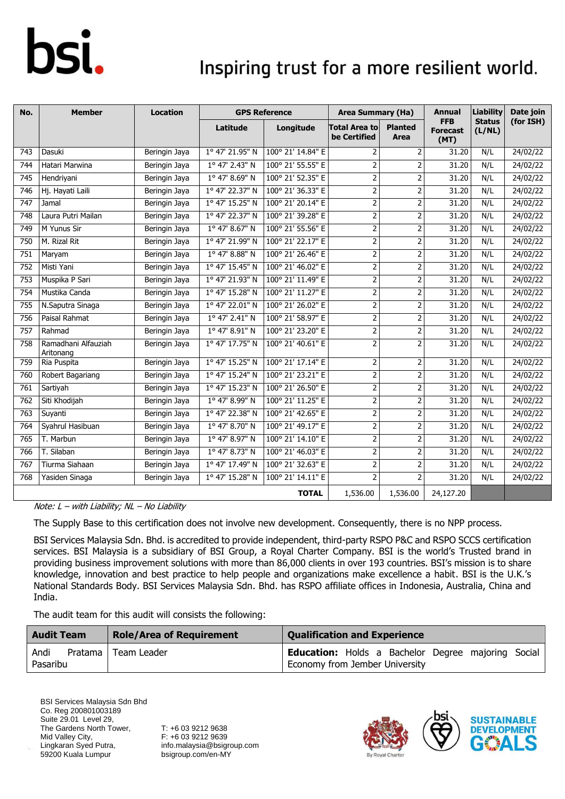### Inspiring trust for a more resilient world.

| No.              | <b>Member</b>                    | <b>Location</b> |                 | <b>GPS Reference</b> | <b>Area Summary (Ha)</b>             |                               | <b>Annual</b>                         | <b>Liability</b>        | Date join |
|------------------|----------------------------------|-----------------|-----------------|----------------------|--------------------------------------|-------------------------------|---------------------------------------|-------------------------|-----------|
|                  |                                  |                 | Latitude        | Longitude            | <b>Total Area to</b><br>be Certified | <b>Planted</b><br><b>Area</b> | <b>FFB</b><br><b>Forecast</b><br>(MT) | <b>Status</b><br>(L/NL) | (for ISH) |
| 743              | Dasuki                           | Beringin Jaya   | 1° 47' 21.95" N | 100° 21' 14.84" E    | 2                                    | 2                             | 31.20                                 | N/L                     | 24/02/22  |
| 744              | Hatari Marwina                   | Beringin Jaya   | 1° 47' 2.43" N  | 100° 21' 55.55" E    | $\overline{2}$                       | 2                             | 31.20                                 | N/L                     | 24/02/22  |
| 745              | Hendriyani                       | Beringin Jaya   | 1° 47' 8.69" N  | 100° 21' 52.35" E    | $\overline{2}$                       | $\overline{2}$                | 31.20                                 | N/L                     | 24/02/22  |
| 746              | Hj. Hayati Laili                 | Beringin Jaya   | 1° 47' 22.37" N | 100° 21' 36.33" E    | 2                                    | $\overline{2}$                | 31.20                                 | N/L                     | 24/02/22  |
| 747              | Jamal                            | Beringin Jaya   | 1° 47' 15.25" N | 100° 21' 20.14" E    | $\overline{2}$                       | $\overline{2}$                | 31.20                                 | N/L                     | 24/02/22  |
| 748              | Laura Putri Mailan               | Beringin Jaya   | 1° 47' 22.37" N | 100° 21' 39.28" E    | $\overline{2}$                       | 2                             | 31.20                                 | N/L                     | 24/02/22  |
| 749              | M Yunus Sir                      | Beringin Jaya   | 1° 47' 8.67" N  | 100° 21' 55.56" E    | $\overline{2}$                       | $\overline{2}$                | 31.20                                 | N/L                     | 24/02/22  |
| 750              | M. Rizal Rit                     | Beringin Jaya   | 1° 47' 21.99" N | 100° 21' 22.17" E    | $\overline{2}$                       | 2                             | 31.20                                 | N/L                     | 24/02/22  |
| $\overline{751}$ | Maryam                           | Beringin Jaya   | 1° 47' 8.88" N  | 100° 21' 26.46" E    | $\overline{2}$                       | $\overline{2}$                | 31.20                                 | N/L                     | 24/02/22  |
| 752              | Misti Yani                       | Beringin Jaya   | 1° 47' 15.45" N | 100° 21' 46.02" E    | $\overline{2}$                       | $\overline{2}$                | 31.20                                 | N/L                     | 24/02/22  |
| 753              | Muspika P Sari                   | Beringin Jaya   | 1º 47' 21.93" N | 100° 21' 11.49" E    | $\overline{2}$                       | $\overline{\mathbf{c}}$       | 31.20                                 | N/L                     | 24/02/22  |
| 754              | Mustika Canda                    | Beringin Jaya   | 1° 47' 15.28" N | 100° 21' 11.27" E    | $\overline{2}$                       | 2                             | 31.20                                 | N/L                     | 24/02/22  |
| 755              | N.Saputra Sinaga                 | Beringin Jaya   | 1º 47' 22.01" N | 100° 21' 26.02" E    | $\overline{2}$                       | 2                             | 31.20                                 | N/L                     | 24/02/22  |
| 756              | Paisal Rahmat                    | Beringin Jaya   | 1º 47' 2.41" N  | 100° 21' 58.97" E    | $\overline{2}$                       | 2                             | 31.20                                 | N/L                     | 24/02/22  |
| 757              | Rahmad                           | Beringin Jaya   | 1° 47' 8.91" N  | 100° 21' 23.20" E    | $\overline{2}$                       | $\overline{2}$                | 31.20                                 | N/L                     | 24/02/22  |
| 758              | Ramadhani Alfauziah<br>Aritonang | Beringin Jaya   | 1° 47' 17.75" N | 100° 21' 40.61" E    | $\overline{2}$                       | 2                             | 31.20                                 | N/L                     | 24/02/22  |
| 759              | Ria Puspita                      | Beringin Jaya   | 1° 47' 15.25" N | 100° 21' 17.14" E    | $\overline{2}$                       | $\overline{2}$                | 31.20                                 | N/L                     | 24/02/22  |
| 760              | Robert Bagariang                 | Beringin Jaya   | 1° 47' 15.24" N | 100° 21' 23.21" E    | $\overline{2}$                       | 2                             | 31.20                                 | N/L                     | 24/02/22  |
| 761              | Sartiyah                         | Beringin Jaya   | 1° 47' 15.23" N | 100° 21' 26.50" E    | $\overline{2}$                       | $\overline{2}$                | 31.20                                 | N/L                     | 24/02/22  |
| 762              | Siti Khodijah                    | Beringin Jaya   | 1° 47' 8.99" N  | 100° 21' 11.25" E    | $\overline{2}$                       | 2                             | 31.20                                 | N/L                     | 24/02/22  |
| 763              | Suyanti                          | Beringin Jaya   | 1° 47' 22.38" N | 100° 21' 42.65" E    | 2                                    | 2                             | 31.20                                 | N/L                     | 24/02/22  |
| 764              | Syahrul Hasibuan                 | Beringin Jaya   | 1° 47' 8.70" N  | 100° 21' 49.17" E    | $\overline{2}$                       | $\overline{2}$                | 31.20                                 | N/L                     | 24/02/22  |
| 765              | T. Marbun                        | Beringin Jaya   | 1° 47' 8.97" N  | 100° 21' 14.10" E    | $\overline{2}$                       | $\overline{2}$                | 31.20                                 | N/L                     | 24/02/22  |
| 766              | T. Silaban                       | Beringin Jaya   | 1° 47' 8.73" N  | 100° 21' 46.03" E    | 2                                    | $\overline{2}$                | 31.20                                 | N/L                     | 24/02/22  |
| 767              | Tiurma Siahaan                   | Beringin Jaya   | 1° 47' 17.49" N | 100° 21' 32.63" E    | $\overline{2}$                       | $\overline{2}$                | 31.20                                 | N/L                     | 24/02/22  |
| 768              | Yasiden Sinaga                   | Beringin Jaya   | 1° 47' 15.28" N | 100° 21' 14.11" E    | $\overline{2}$                       | $\overline{2}$                | 31.20                                 | N/L                     | 24/02/22  |
|                  |                                  |                 |                 | <b>TOTAL</b>         | 1,536.00                             | 1,536.00                      | 24,127.20                             |                         |           |

Note:  $L - with$  Liability;  $NL - No$  Liability

The Supply Base to this certification does not involve new development. Consequently, there is no NPP process.

BSI Services Malaysia Sdn. Bhd. is accredited to provide independent, third-party RSPO P&C and RSPO SCCS certification services. BSI Malaysia is a subsidiary of BSI Group, a Royal Charter Company. BSI is the world's Trusted brand in providing business improvement solutions with more than 86,000 clients in over 193 countries. BSI's mission is to share knowledge, innovation and best practice to help people and organizations make excellence a habit. BSI is the U.K.'s National Standards Body. BSI Services Malaysia Sdn. Bhd. has RSPO affiliate offices in Indonesia, Australia, China and India.

The audit team for this audit will consists the following:

| <b>Audit Team</b>             | <b>Role/Area of Requirement</b> | <b>Qualification and Experience</b>                                                         |  |  |  |  |  |  |
|-------------------------------|---------------------------------|---------------------------------------------------------------------------------------------|--|--|--|--|--|--|
| Andi<br>Pratama  <br>Pasaribu | Team Leader                     | <b>Education:</b> Holds a Bachelor Degree majoring Social<br>Economy from Jember University |  |  |  |  |  |  |

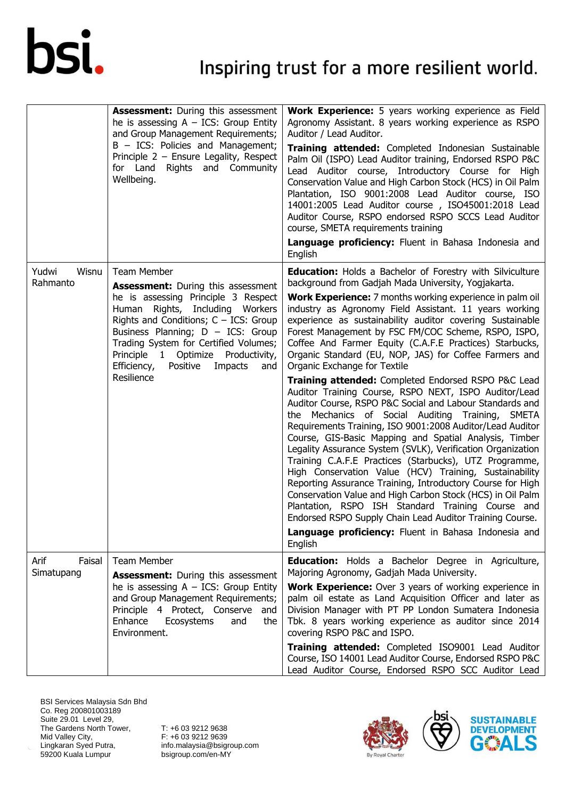|                              | <b>Assessment:</b> During this assessment<br>he is assessing $A - ICS$ : Group Entity<br>and Group Management Requirements;<br>B - ICS: Policies and Management;<br>Principle $2$ – Ensure Legality, Respect<br>Rights and Community<br>for Land<br>Wellbeing.                                                                                             | Work Experience: 5 years working experience as Field<br>Agronomy Assistant. 8 years working experience as RSPO<br>Auditor / Lead Auditor.<br>Training attended: Completed Indonesian Sustainable<br>Palm Oil (ISPO) Lead Auditor training, Endorsed RSPO P&C<br>Lead Auditor course, Introductory Course for High<br>Conservation Value and High Carbon Stock (HCS) in Oil Palm<br>Plantation, ISO 9001:2008 Lead Auditor course, ISO<br>14001:2005 Lead Auditor course, ISO45001:2018 Lead<br>Auditor Course, RSPO endorsed RSPO SCCS Lead Auditor<br>course, SMETA requirements training<br>Language proficiency: Fluent in Bahasa Indonesia and<br>English                                                                                                                                                                                                                                                                                                                                                                                                                                                                                                                                                                                                                                                                                                                           |  |  |  |
|------------------------------|------------------------------------------------------------------------------------------------------------------------------------------------------------------------------------------------------------------------------------------------------------------------------------------------------------------------------------------------------------|-----------------------------------------------------------------------------------------------------------------------------------------------------------------------------------------------------------------------------------------------------------------------------------------------------------------------------------------------------------------------------------------------------------------------------------------------------------------------------------------------------------------------------------------------------------------------------------------------------------------------------------------------------------------------------------------------------------------------------------------------------------------------------------------------------------------------------------------------------------------------------------------------------------------------------------------------------------------------------------------------------------------------------------------------------------------------------------------------------------------------------------------------------------------------------------------------------------------------------------------------------------------------------------------------------------------------------------------------------------------------------------------|--|--|--|
| Yudwi<br>Wisnu<br>Rahmanto   | Team Member<br><b>Assessment:</b> During this assessment<br>he is assessing Principle 3 Respect<br>Human Rights, Including Workers<br>Rights and Conditions; $C - ICS$ : Group<br>Business Planning; D - ICS: Group<br>Trading System for Certified Volumes;<br>Principle 1 Optimize Productivity,<br>Positive Impacts<br>Efficiency,<br>and<br>Resilience | <b>Education:</b> Holds a Bachelor of Forestry with Silviculture<br>background from Gadjah Mada University, Yogjakarta.<br><b>Work Experience:</b> 7 months working experience in palm oil<br>industry as Agronomy Field Assistant. 11 years working<br>experience as sustainability auditor covering Sustainable<br>Forest Management by FSC FM/COC Scheme, RSPO, ISPO,<br>Coffee And Farmer Equity (C.A.F.E Practices) Starbucks,<br>Organic Standard (EU, NOP, JAS) for Coffee Farmers and<br>Organic Exchange for Textile<br>Training attended: Completed Endorsed RSPO P&C Lead<br>Auditor Training Course, RSPO NEXT, ISPO Auditor/Lead<br>Auditor Course, RSPO P&C Social and Labour Standards and<br>the Mechanics of Social Auditing Training, SMETA<br>Requirements Training, ISO 9001:2008 Auditor/Lead Auditor<br>Course, GIS-Basic Mapping and Spatial Analysis, Timber<br>Legality Assurance System (SVLK), Verification Organization<br>Training C.A.F.E Practices (Starbucks), UTZ Programme,<br>High Conservation Value (HCV) Training, Sustainability<br>Reporting Assurance Training, Introductory Course for High<br>Conservation Value and High Carbon Stock (HCS) in Oil Palm<br>Plantation, RSPO ISH Standard Training Course and<br>Endorsed RSPO Supply Chain Lead Auditor Training Course.<br>Language proficiency: Fluent in Bahasa Indonesia and<br>English |  |  |  |
| Arif<br>Faisal<br>Simatupang | <b>Team Member</b><br><b>Assessment:</b> During this assessment<br>he is assessing $A - ICS$ : Group Entity<br>and Group Management Requirements;<br>Principle 4 Protect, Conserve<br>and<br>Enhance<br>Ecosystems<br>and<br>the<br>Environment.                                                                                                           | <b>Education:</b> Holds a Bachelor Degree in Agriculture,<br>Majoring Agronomy, Gadjah Mada University.<br><b>Work Experience:</b> Over 3 years of working experience in<br>palm oil estate as Land Acquisition Officer and later as<br>Division Manager with PT PP London Sumatera Indonesia<br>Tbk. 8 years working experience as auditor since 2014<br>covering RSPO P&C and ISPO.<br>Training attended: Completed ISO9001 Lead Auditor<br>Course, ISO 14001 Lead Auditor Course, Endorsed RSPO P&C<br>Lead Auditor Course, Endorsed RSPO SCC Auditor Lead                                                                                                                                                                                                                                                                                                                                                                                                                                                                                                                                                                                                                                                                                                                                                                                                                           |  |  |  |

BSI Services Malaysia Sdn Bhd Co. Reg 200801003189 Suite 29.01 Level 29, The Gardens North Tower, Mid Valley City, Lingkaran Syed Putra, 59200 Kuala Lumpur